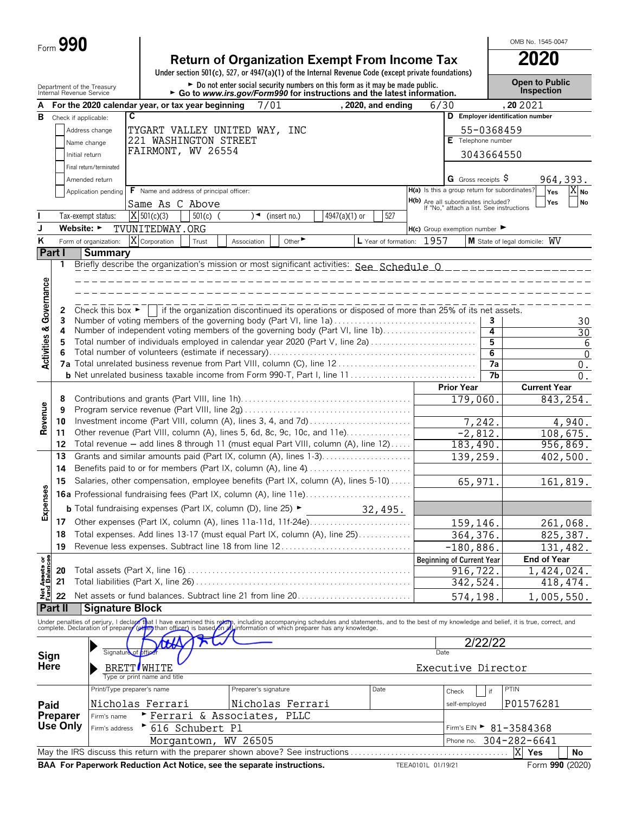| Form $\boldsymbol{J}$ | 990 |
|-----------------------|-----|
|-----------------------|-----|

|                                        | Form 990        |                                                        |                                          |                 |                                                                                                                                                                                                                                   |               |                           |      |                                                                                 |                 | OMB No. 1545-0047                      |                         |
|----------------------------------------|-----------------|--------------------------------------------------------|------------------------------------------|-----------------|-----------------------------------------------------------------------------------------------------------------------------------------------------------------------------------------------------------------------------------|---------------|---------------------------|------|---------------------------------------------------------------------------------|-----------------|----------------------------------------|-------------------------|
|                                        |                 |                                                        |                                          |                 | <b>Return of Organization Exempt From Income Tax</b><br>Under section 501(c), 527, or 4947(a)(1) of the Internal Revenue Code (except private foundations)                                                                        |               |                           |      |                                                                                 |                 | <b>2020</b>                            |                         |
|                                        |                 | Department of the Treasury<br>Internal Revenue Service |                                          |                 | ► Do not enter social security numbers on this form as it may be made public.<br>► Go to www.irs.gov/Form990 for instructions and the latest information.                                                                         |               |                           |      |                                                                                 |                 | <b>Open to Public</b><br>Inspection    |                         |
|                                        |                 | For the 2020 calendar year, or tax year beginning      |                                          |                 | 7/01                                                                                                                                                                                                                              |               | , 2020, and ending        | 6/30 |                                                                                 |                 | , 20 20 21                             |                         |
| в                                      |                 | Check if applicable:                                   | C                                        |                 |                                                                                                                                                                                                                                   |               |                           |      |                                                                                 |                 | D Employer identification number       |                         |
|                                        |                 | Address change                                         |                                          |                 | TYGART VALLEY UNITED WAY, INC                                                                                                                                                                                                     |               |                           |      |                                                                                 | 55-0368459      |                                        |                         |
|                                        |                 | Name change                                            | 221 WASHINGTON STREET                    |                 |                                                                                                                                                                                                                                   |               |                           |      | E Telephone number                                                              |                 |                                        |                         |
|                                        |                 | Initial return                                         | FAIRMONT, WV 26554                       |                 |                                                                                                                                                                                                                                   |               |                           |      |                                                                                 | 3043664550      |                                        |                         |
|                                        |                 | Final return/terminated                                |                                          |                 |                                                                                                                                                                                                                                   |               |                           |      |                                                                                 |                 |                                        |                         |
|                                        |                 | Amended return                                         |                                          |                 |                                                                                                                                                                                                                                   |               |                           |      | <b>G</b> Gross receipts $\varphi$                                               |                 |                                        | 964,393.                |
|                                        |                 | Application pending                                    | F Name and address of principal officer: |                 |                                                                                                                                                                                                                                   |               |                           |      | H(a) Is this a group return for subordinates?                                   |                 | Yes                                    | $ X _{\mathsf{No}}$     |
|                                        |                 |                                                        | Same As C Above                          |                 |                                                                                                                                                                                                                                   |               |                           |      | H(b) Are all subordinates included?<br>If "No," attach a list. See instructions |                 | Yes                                    | <b>No</b>               |
|                                        |                 | Tax-exempt status:                                     | X 501(c)(3)                              | $501(c)$ (      | )◄<br>(insert no.)                                                                                                                                                                                                                | 4947(a)(1) or | 527                       |      |                                                                                 |                 |                                        |                         |
| J                                      |                 | Website: $\blacktriangleright$                         | TVUNITEDWAY.ORG                          |                 |                                                                                                                                                                                                                                   |               |                           |      | $H(c)$ Group exemption number $\blacktriangleright$                             |                 |                                        |                         |
| ĸ                                      |                 | Form of organization:                                  | $\overline{X}$ Corporation               | Trust           | Other <sup>&gt;</sup><br>Association                                                                                                                                                                                              |               | L Year of formation: 1957 |      |                                                                                 |                 | M State of legal domicile: WV          |                         |
|                                        | Part I          | <b>Summary</b>                                         |                                          |                 |                                                                                                                                                                                                                                   |               |                           |      |                                                                                 |                 |                                        |                         |
|                                        | 1               |                                                        |                                          |                 |                                                                                                                                                                                                                                   |               |                           |      |                                                                                 |                 |                                        |                         |
|                                        |                 |                                                        |                                          |                 |                                                                                                                                                                                                                                   |               |                           |      |                                                                                 |                 |                                        |                         |
|                                        |                 |                                                        |                                          |                 |                                                                                                                                                                                                                                   |               |                           |      |                                                                                 |                 |                                        |                         |
| <b>Activities &amp; Governance</b>     | 2               |                                                        |                                          |                 | Check this box $\blacktriangleright$   if the organization discontinued its operations or disposed of more than 25% of its net assets.                                                                                            |               |                           |      |                                                                                 |                 |                                        |                         |
|                                        | 3               |                                                        |                                          |                 | Number of voting members of the governing body (Part VI, line 1a)                                                                                                                                                                 |               |                           |      |                                                                                 | 3               |                                        | 30                      |
|                                        | 4               |                                                        |                                          |                 | Number of independent voting members of the governing body (Part VI, line 1b)                                                                                                                                                     |               |                           |      |                                                                                 | 4               |                                        | $\overline{30}$         |
|                                        | 5               |                                                        |                                          |                 | Total number of individuals employed in calendar year 2020 (Part V, line 2a)                                                                                                                                                      |               |                           |      |                                                                                 | 5               |                                        | 6                       |
|                                        | 6               |                                                        |                                          |                 |                                                                                                                                                                                                                                   |               |                           |      |                                                                                 | 6               |                                        | $\mathbf{0}$            |
|                                        |                 |                                                        |                                          |                 |                                                                                                                                                                                                                                   |               |                           |      |                                                                                 | $\overline{7a}$ |                                        | $0$ .                   |
|                                        |                 |                                                        |                                          |                 |                                                                                                                                                                                                                                   |               |                           |      |                                                                                 | 7b              |                                        | 0.                      |
|                                        |                 |                                                        |                                          |                 |                                                                                                                                                                                                                                   |               |                           |      | <b>Prior Year</b>                                                               |                 | <b>Current Year</b>                    |                         |
|                                        | 8<br>9          |                                                        |                                          |                 |                                                                                                                                                                                                                                   |               |                           |      | 179,060.                                                                        |                 |                                        | $\overline{843}$ , 254. |
| Revenue                                | 10              |                                                        |                                          |                 | Investment income (Part VIII, column (A), lines 3, 4, and 7d)                                                                                                                                                                     |               |                           |      |                                                                                 | 7,242.          |                                        | 4,940.                  |
|                                        | 11              |                                                        |                                          |                 | Other revenue (Part VIII, column (A), lines 5, 6d, 8c, 9c, 10c, and 11e)                                                                                                                                                          |               |                           |      | $-2,812.$                                                                       |                 |                                        | 108,675.                |
|                                        | 12              |                                                        |                                          |                 | Total revenue - add lines 8 through 11 (must equal Part VIII, column (A), line 12)                                                                                                                                                |               |                           |      | 183,490.                                                                        |                 |                                        | 956,869.                |
|                                        | 13              |                                                        |                                          |                 | Grants and similar amounts paid (Part IX, column (A), lines 1-3)                                                                                                                                                                  |               |                           |      | 139,259.                                                                        |                 |                                        | 402,500.                |
|                                        | 14              |                                                        |                                          |                 |                                                                                                                                                                                                                                   |               |                           |      |                                                                                 |                 |                                        |                         |
|                                        | 15              |                                                        |                                          |                 | Salaries, other compensation, employee benefits (Part IX, column (A), lines 5-10)                                                                                                                                                 |               |                           |      | 65, 971.                                                                        |                 |                                        | 161,819.                |
| es                                     |                 |                                                        |                                          |                 | 16a Professional fundraising fees (Part IX, column (A), line 11e)                                                                                                                                                                 |               |                           |      |                                                                                 |                 |                                        |                         |
| Expense                                |                 |                                                        |                                          |                 | <b>b</b> Total fundraising expenses (Part IX, column (D), line 25) $\blacktriangleright$                                                                                                                                          | 32,495.       |                           |      |                                                                                 |                 |                                        |                         |
|                                        | 17              |                                                        |                                          |                 | Other expenses (Part IX, column (A), lines 11a-11d, 11f-24e)                                                                                                                                                                      |               |                           |      |                                                                                 |                 |                                        |                         |
|                                        | 18              |                                                        |                                          |                 | Total expenses. Add lines 13-17 (must equal Part IX, column (A), line 25)                                                                                                                                                         |               |                           |      | 159,146.<br>364, 376.                                                           |                 |                                        | 261,068.<br>825,387.    |
|                                        | 19              |                                                        |                                          |                 | Revenue less expenses. Subtract line 18 from line 12                                                                                                                                                                              |               |                           |      | $-180,886.$                                                                     |                 |                                        | 131,482.                |
|                                        |                 |                                                        |                                          |                 |                                                                                                                                                                                                                                   |               |                           |      | <b>Beginning of Current Year</b>                                                |                 | <b>End of Year</b>                     |                         |
| <b>Net Assets or<br/>Fund Balances</b> | 20              |                                                        |                                          |                 |                                                                                                                                                                                                                                   |               |                           |      | 916, 722.                                                                       |                 | 1,424,024.                             |                         |
|                                        | 21              |                                                        |                                          |                 |                                                                                                                                                                                                                                   |               |                           |      | 342,524.                                                                        |                 |                                        | 418, 474.               |
|                                        | 22              |                                                        |                                          |                 | Net assets or fund balances. Subtract line 21 from line 20                                                                                                                                                                        |               |                           |      | 574,198.                                                                        |                 | 1,005,550.                             |                         |
|                                        | Part II         | <b>Signature Block</b>                                 |                                          |                 |                                                                                                                                                                                                                                   |               |                           |      |                                                                                 |                 |                                        |                         |
|                                        |                 |                                                        |                                          |                 |                                                                                                                                                                                                                                   |               |                           |      |                                                                                 |                 |                                        |                         |
|                                        |                 |                                                        |                                          |                 | Under penalties of perjury, I declare that I have examined this return, including accompanying schedules and statements, and to the best of my knowledge and belief, it is true, correct, and<br>complete. Declaration of prepare |               |                           |      |                                                                                 |                 |                                        |                         |
|                                        |                 |                                                        | ₩                                        |                 |                                                                                                                                                                                                                                   |               |                           |      |                                                                                 | 2/22/22         |                                        |                         |
| Sign                                   |                 |                                                        | Signature of officer                     |                 |                                                                                                                                                                                                                                   |               |                           | Date |                                                                                 |                 |                                        |                         |
| Here                                   |                 |                                                        | <b>BRETT</b> WHITE                       |                 |                                                                                                                                                                                                                                   |               |                           |      | Executive Director                                                              |                 |                                        |                         |
|                                        |                 |                                                        | Type or print name and title             |                 |                                                                                                                                                                                                                                   |               |                           |      |                                                                                 |                 |                                        |                         |
|                                        |                 |                                                        | Print/Type preparer's name               |                 | Preparer's signature                                                                                                                                                                                                              |               | Date                      |      | Check                                                                           | if              | PTIN                                   |                         |
| Paid                                   |                 |                                                        | Nicholas Ferrari                         |                 | Nicholas Ferrari                                                                                                                                                                                                                  |               |                           |      | self-employed                                                                   |                 | P01576281                              |                         |
|                                        | <b>Preparer</b> | Firm's name                                            |                                          |                 | Ferrari & Associates, PLLC                                                                                                                                                                                                        |               |                           |      |                                                                                 |                 |                                        |                         |
|                                        | Use Only        | Firm's address                                         |                                          | 616 Schubert Pl |                                                                                                                                                                                                                                   |               |                           |      |                                                                                 |                 | Firm's EIN $\triangleright$ 81-3584368 |                         |
|                                        |                 |                                                        |                                          |                 | Morgantown, WV 26505                                                                                                                                                                                                              |               |                           |      |                                                                                 |                 | Phone no. 304-282-6641                 |                         |
|                                        |                 |                                                        |                                          |                 |                                                                                                                                                                                                                                   |               |                           |      |                                                                                 |                 | X Yes                                  | No                      |

**BAA For Paperwork Reduction Act Notice, see the separate instructions.** TEEA0101L 01/19/21 Form 990 (2020)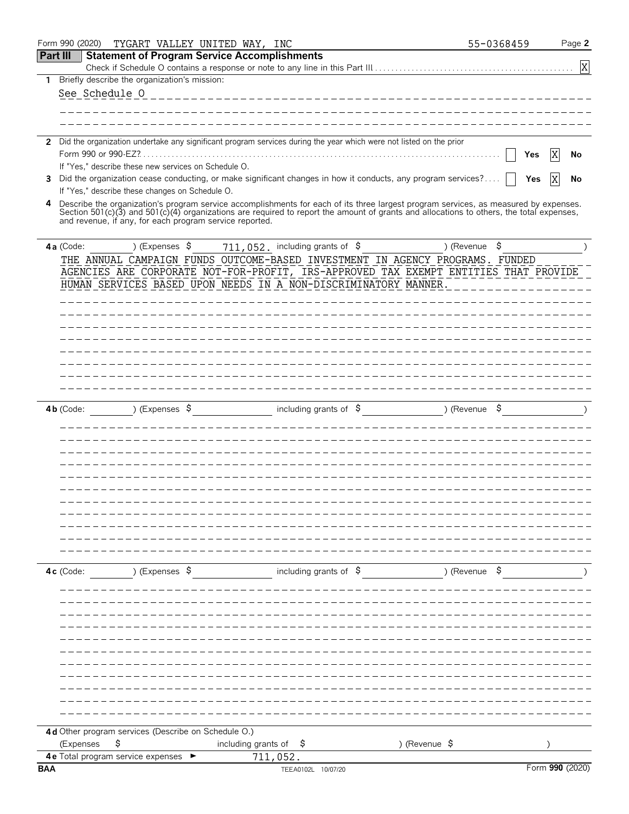|                 | Form 990 (2020) | TYGART VALLEY UNITED WAY, INC                                                                                        |                                   |                                  |                                                                                                                                                                                                                                                                                  | 55-0368459 | Page 2          |
|-----------------|-----------------|----------------------------------------------------------------------------------------------------------------------|-----------------------------------|----------------------------------|----------------------------------------------------------------------------------------------------------------------------------------------------------------------------------------------------------------------------------------------------------------------------------|------------|-----------------|
| <b>Part III</b> |                 | <b>Statement of Program Service Accomplishments</b>                                                                  |                                   |                                  |                                                                                                                                                                                                                                                                                  |            |                 |
|                 |                 |                                                                                                                      |                                   |                                  |                                                                                                                                                                                                                                                                                  |            | X               |
| 1               |                 | Briefly describe the organization's mission:                                                                         |                                   |                                  |                                                                                                                                                                                                                                                                                  |            |                 |
|                 | See Schedule 0  |                                                                                                                      |                                   |                                  |                                                                                                                                                                                                                                                                                  |            |                 |
|                 |                 |                                                                                                                      |                                   |                                  |                                                                                                                                                                                                                                                                                  |            |                 |
|                 |                 |                                                                                                                      |                                   |                                  |                                                                                                                                                                                                                                                                                  |            |                 |
|                 |                 | 2 Did the organization undertake any significant program services during the year which were not listed on the prior |                                   |                                  |                                                                                                                                                                                                                                                                                  |            |                 |
|                 |                 |                                                                                                                      |                                   |                                  |                                                                                                                                                                                                                                                                                  |            | Yes<br>X<br>No  |
|                 |                 | If "Yes," describe these new services on Schedule O.                                                                 |                                   |                                  |                                                                                                                                                                                                                                                                                  |            |                 |
| 3               |                 |                                                                                                                      |                                   |                                  | Did the organization cease conducting, or make significant changes in how it conducts, any program services?                                                                                                                                                                     |            | X<br>Yes<br>No  |
|                 |                 | If "Yes," describe these changes on Schedule O.                                                                      |                                   |                                  |                                                                                                                                                                                                                                                                                  |            |                 |
| 4               |                 | and revenue, if any, for each program service reported.                                                              |                                   |                                  | Describe the organization's program service accomplishments for each of its three largest program services, as measured by expenses.<br>Section 501(c)(3) and 501(c)(4) organizations are required to report the amount of grants and allocations to others, the total expenses, |            |                 |
|                 | 4a (Code:       | ) (Expenses \$                                                                                                       |                                   | 711, 052. including grants of \$ |                                                                                                                                                                                                                                                                                  |            |                 |
|                 |                 |                                                                                                                      |                                   |                                  | THE ANNUAL CAMPAIGN FUNDS OUTCOME-BASED INVESTMENT IN AGENCY PROGRAMS. FUNDED                                                                                                                                                                                                    |            |                 |
|                 |                 |                                                                                                                      |                                   |                                  | AGENCIES ARE CORPORATE NOT-FOR-PROFIT, IRS-APPROVED TAX EXEMPT ENTITIES THAT PROVIDE                                                                                                                                                                                             |            |                 |
|                 |                 | HUMAN SERVICES BASED UPON NEEDS IN A NON-DISCRIMINATORY MANNER.                                                      |                                   |                                  |                                                                                                                                                                                                                                                                                  |            |                 |
|                 |                 |                                                                                                                      |                                   |                                  |                                                                                                                                                                                                                                                                                  |            |                 |
|                 |                 |                                                                                                                      |                                   |                                  |                                                                                                                                                                                                                                                                                  |            |                 |
|                 |                 |                                                                                                                      |                                   |                                  |                                                                                                                                                                                                                                                                                  |            |                 |
|                 |                 |                                                                                                                      |                                   |                                  |                                                                                                                                                                                                                                                                                  |            |                 |
|                 |                 |                                                                                                                      |                                   |                                  |                                                                                                                                                                                                                                                                                  |            |                 |
|                 |                 |                                                                                                                      |                                   |                                  |                                                                                                                                                                                                                                                                                  |            |                 |
|                 |                 |                                                                                                                      |                                   |                                  |                                                                                                                                                                                                                                                                                  |            |                 |
|                 |                 |                                                                                                                      |                                   |                                  |                                                                                                                                                                                                                                                                                  |            |                 |
|                 | $4b$ (Code:     | ) (Expenses \$                                                                                                       |                                   | including grants of \$           | $($ Revenue $\frac{1}{2}$                                                                                                                                                                                                                                                        |            |                 |
|                 |                 |                                                                                                                      |                                   |                                  |                                                                                                                                                                                                                                                                                  |            |                 |
|                 |                 |                                                                                                                      |                                   |                                  |                                                                                                                                                                                                                                                                                  |            |                 |
|                 |                 |                                                                                                                      |                                   |                                  |                                                                                                                                                                                                                                                                                  |            |                 |
|                 |                 |                                                                                                                      |                                   |                                  |                                                                                                                                                                                                                                                                                  |            |                 |
|                 |                 |                                                                                                                      |                                   |                                  |                                                                                                                                                                                                                                                                                  |            |                 |
|                 |                 |                                                                                                                      |                                   |                                  |                                                                                                                                                                                                                                                                                  |            |                 |
|                 |                 |                                                                                                                      |                                   |                                  |                                                                                                                                                                                                                                                                                  |            |                 |
|                 |                 |                                                                                                                      |                                   |                                  |                                                                                                                                                                                                                                                                                  |            |                 |
|                 |                 |                                                                                                                      |                                   |                                  |                                                                                                                                                                                                                                                                                  |            |                 |
|                 |                 |                                                                                                                      |                                   |                                  |                                                                                                                                                                                                                                                                                  |            |                 |
|                 | 4c (Code:       | ) (Expenses \$                                                                                                       |                                   | including grants of $\beta$      | ) (Revenue \$                                                                                                                                                                                                                                                                    |            |                 |
|                 |                 |                                                                                                                      |                                   |                                  |                                                                                                                                                                                                                                                                                  |            |                 |
|                 |                 |                                                                                                                      |                                   |                                  |                                                                                                                                                                                                                                                                                  |            |                 |
|                 |                 |                                                                                                                      |                                   |                                  |                                                                                                                                                                                                                                                                                  |            |                 |
|                 |                 |                                                                                                                      |                                   |                                  |                                                                                                                                                                                                                                                                                  |            |                 |
|                 |                 |                                                                                                                      |                                   |                                  |                                                                                                                                                                                                                                                                                  |            |                 |
|                 |                 |                                                                                                                      |                                   |                                  |                                                                                                                                                                                                                                                                                  |            |                 |
|                 |                 |                                                                                                                      |                                   |                                  |                                                                                                                                                                                                                                                                                  |            |                 |
|                 |                 |                                                                                                                      |                                   |                                  |                                                                                                                                                                                                                                                                                  |            |                 |
|                 |                 |                                                                                                                      |                                   |                                  |                                                                                                                                                                                                                                                                                  |            |                 |
|                 |                 |                                                                                                                      |                                   |                                  |                                                                                                                                                                                                                                                                                  |            |                 |
|                 |                 |                                                                                                                      |                                   |                                  |                                                                                                                                                                                                                                                                                  |            |                 |
|                 |                 | 4d Other program services (Describe on Schedule O.)                                                                  |                                   |                                  |                                                                                                                                                                                                                                                                                  |            |                 |
|                 | (Expenses       | \$                                                                                                                   | including grants of $\frac{1}{2}$ |                                  | ) (Revenue \$                                                                                                                                                                                                                                                                    |            |                 |
|                 |                 | 4 e Total program service expenses $\blacktriangleright$                                                             | 711,052.                          |                                  |                                                                                                                                                                                                                                                                                  |            |                 |
| <b>BAA</b>      |                 |                                                                                                                      |                                   | TEEA0102L 10/07/20               |                                                                                                                                                                                                                                                                                  |            | Form 990 (2020) |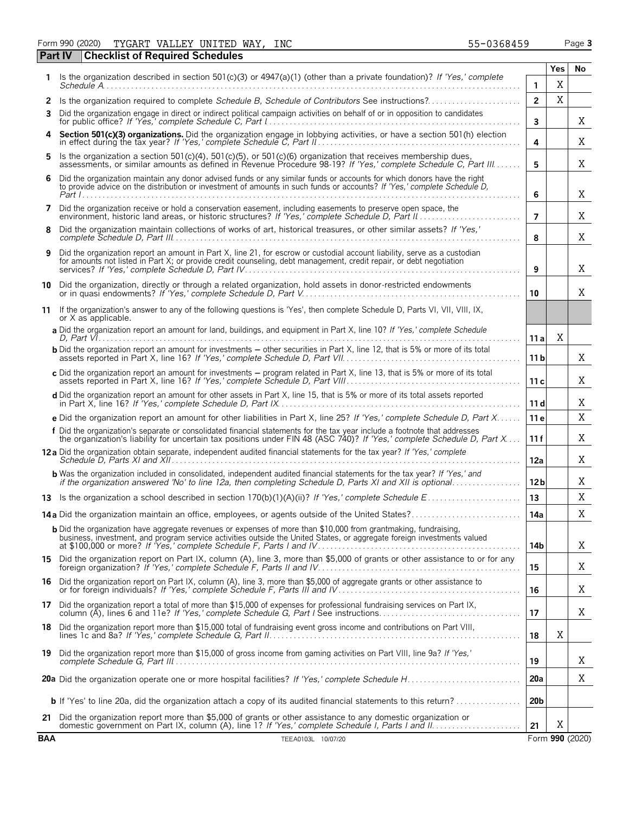Form 990 (2020) Page **3** TYGART VALLEY UNITED WAY, INC 55-0368459

|              | Part IV<br><b>Checklist of Required Schedules</b>                                                                                                                                                                                                   |                 |     |                 |  |  |  |  |  |
|--------------|-----------------------------------------------------------------------------------------------------------------------------------------------------------------------------------------------------------------------------------------------------|-----------------|-----|-----------------|--|--|--|--|--|
| 1.           | Is the organization described in section 501(c)(3) or 4947(a)(1) (other than a private foundation)? If 'Yes,' complete                                                                                                                              |                 | Yes | No              |  |  |  |  |  |
|              |                                                                                                                                                                                                                                                     | 1               | X   |                 |  |  |  |  |  |
| $\mathbf{2}$ |                                                                                                                                                                                                                                                     | $\overline{2}$  | X   |                 |  |  |  |  |  |
| 3            | Did the organization engage in direct or indirect political campaign activities on behalf of or in opposition to candidates                                                                                                                         | 3               |     | Χ               |  |  |  |  |  |
| 4            | Section 501(c)(3) organizations. Did the organization engage in lobbying activities, or have a section 501(h) election in effect during the tax year? If 'Yes,' complete Schedule C, Part II                                                        | 4               |     | Χ               |  |  |  |  |  |
| 5            | Is the organization a section 501(c)(4), 501(c)(5), or 501(c)(6) organization that receives membership dues,<br>assessments, or similar amounts as defined in Revenue Procedure 98-19? If 'Yes,' complete Schedule C, Part III                      | 5               |     | X               |  |  |  |  |  |
| 6            | Did the organization maintain any donor advised funds or any similar funds or accounts for which donors have the right to provide advice on the distribution or investment of amounts in such funds or accounts? If 'Yes,' com                      | 6               |     | X               |  |  |  |  |  |
| 7            | Did the organization receive or hold a conservation easement, including easements to preserve open space, the                                                                                                                                       | $\overline{7}$  |     | Χ               |  |  |  |  |  |
| 8            | Did the organization maintain collections of works of art, historical treasures, or other similar assets? If 'Yes,'<br>8                                                                                                                            |                 |     |                 |  |  |  |  |  |
| 9            | Did the organization report an amount in Part X, line 21, for escrow or custodial account liability, serve as a custodian<br>for amounts not listed in Part X; or provide credit counseling, debt management, credit repair, or debt negotiation    | 9               |     | X               |  |  |  |  |  |
|              | 10 Did the organization, directly or through a related organization, hold assets in donor-restricted endowments                                                                                                                                     | 10              |     | X               |  |  |  |  |  |
|              | 11 If the organization's answer to any of the following questions is 'Yes', then complete Schedule D, Parts VI, VII, VIII, IX,<br>or X as applicable.                                                                                               |                 |     |                 |  |  |  |  |  |
|              | a Did the organization report an amount for land, buildings, and equipment in Part X, line 10? If 'Yes,' complete Schedule<br>D. Part $V_1, \ldots, \ldots, \ldots, \ldots, \ldots, \ldots, \ldots, \ldots$                                         | 11 a            | Χ   |                 |  |  |  |  |  |
|              | <b>b</b> Did the organization report an amount for investments – other securities in Part X, line 12, that is 5% or more of its total                                                                                                               | 11 b            |     | Χ               |  |  |  |  |  |
|              | c Did the organization report an amount for investments - program related in Part X, line 13, that is 5% or more of its total                                                                                                                       | 11c             |     | X               |  |  |  |  |  |
|              | d Did the organization report an amount for other assets in Part X, line 15, that is 5% or more of its total assets reported                                                                                                                        | 11d             |     | X               |  |  |  |  |  |
|              | e Did the organization report an amount for other liabilities in Part X, line 25? If 'Yes,' complete Schedule D, Part X                                                                                                                             | 11 <sub>e</sub> |     | X               |  |  |  |  |  |
|              | f Did the organization's separate or consolidated financial statements for the tax year include a footnote that addresses<br>the organization's liability for uncertain tax positions under FIN 48 (ASC 740)? If 'Yes,' complete Schedule D, Part X | 11 f            |     | Χ               |  |  |  |  |  |
|              | 12a Did the organization obtain separate, independent audited financial statements for the tax year? If 'Yes,' complete                                                                                                                             | 12a             |     | X               |  |  |  |  |  |
|              | <b>b</b> Was the organization included in consolidated, independent audited financial statements for the tax year? If 'Yes,' and if the organization answered 'No' to line 12a, then completing Schedule D, Parts XI and XII is opt                 | 12 <sub>b</sub> |     | Χ               |  |  |  |  |  |
|              |                                                                                                                                                                                                                                                     | 13              |     | X               |  |  |  |  |  |
|              |                                                                                                                                                                                                                                                     | 14a             |     | Χ               |  |  |  |  |  |
|              | <b>b</b> Did the organization have aggregate revenues or expenses of more than \$10,000 from grantmaking, fundraising,<br>business, investment, and program service activities outside the United States, or aggregate foreign investments valued   | 14b             |     | X               |  |  |  |  |  |
|              | 15 Did the organization report on Part IX, column (A), line 3, more than \$5,000 of grants or other assistance to or for any                                                                                                                        | 15              |     | Χ               |  |  |  |  |  |
| 16           | Did the organization report on Part IX, column (A), line 3, more than \$5,000 of aggregate grants or other assistance to                                                                                                                            | 16              |     | X               |  |  |  |  |  |
|              | 17 Did the organization report a total of more than \$15,000 of expenses for professional fundraising services on Part IX,<br>column (A), lines 6 and 11e? If 'Yes,' complete Schedule G, Part I See instructions                                   | 17              |     | X               |  |  |  |  |  |
| 18.          | Did the organization report more than \$15,000 total of fundraising event gross income and contributions on Part VIII,                                                                                                                              | 18              | X   |                 |  |  |  |  |  |
|              | 19 Did the organization report more than \$15,000 of gross income from gaming activities on Part VIII, line 9a? If 'Yes,'                                                                                                                           | 19              |     | X               |  |  |  |  |  |
|              |                                                                                                                                                                                                                                                     | 20a             |     | Χ               |  |  |  |  |  |
|              |                                                                                                                                                                                                                                                     | 20 <sub>b</sub> |     |                 |  |  |  |  |  |
| 21           | Did the organization report more than \$5,000 of grants or other assistance to any domestic organization or                                                                                                                                         | 21              | X   |                 |  |  |  |  |  |
| <b>BAA</b>   | TEEA0103L 10/07/20                                                                                                                                                                                                                                  |                 |     | Form 990 (2020) |  |  |  |  |  |

| Form 990 (2020) | TYGART VALLEY UNITED I |  |
|-----------------|------------------------|--|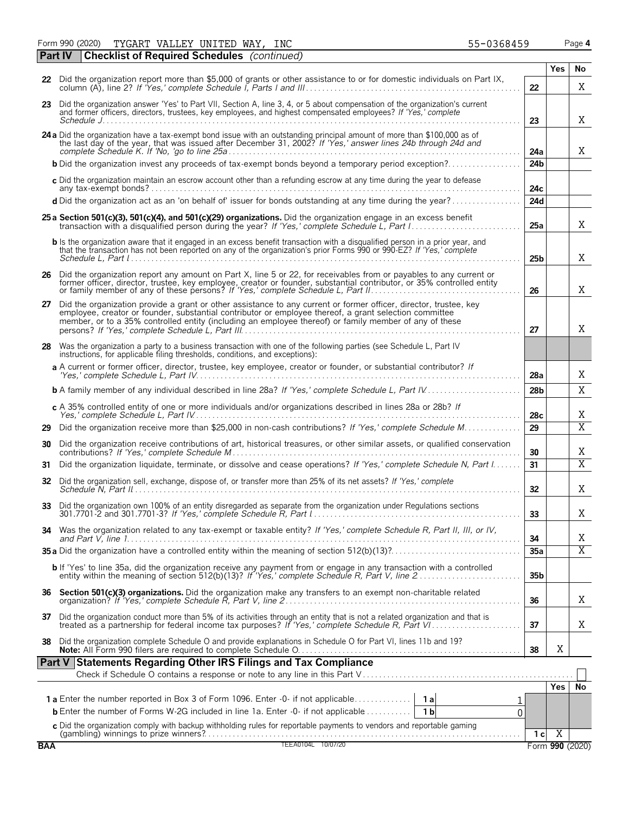Form 990 (2020) TYGART VALLEY UNITED WAY,INC 55-0368459 Page **4** TYGART VALLEY UNITED WAY, INC 55-0368459

|            | Part IV | <b>Checklist of Required Schedules</b> (continued)                                                                                                                                                                                                                                                                                    |                 |                |                         |
|------------|---------|---------------------------------------------------------------------------------------------------------------------------------------------------------------------------------------------------------------------------------------------------------------------------------------------------------------------------------------|-----------------|----------------|-------------------------|
|            |         | 22 Did the organization report more than \$5,000 of grants or other assistance to or for domestic individuals on Part IX,                                                                                                                                                                                                             |                 | Yes            | No                      |
|            |         |                                                                                                                                                                                                                                                                                                                                       | 22              |                | X                       |
|            |         | 23 Did the organization answer 'Yes' to Part VII, Section A, line 3, 4, or 5 about compensation of the organization's current<br>and former officers, directors, trustees, key employees, and highest compensated employees? If 'Yes,' complete                                                                                       | 23              |                | X                       |
|            |         | 24 a Did the organization have a tax-exempt bond issue with an outstanding principal amount of more than \$100,000 as of the last day of the year, that was issued after December 31, 2002? If 'Yes,' answer lines 24b through                                                                                                        | 24a             |                | X                       |
|            |         | <b>b</b> Did the organization invest any proceeds of tax-exempt bonds beyond a temporary period exception?                                                                                                                                                                                                                            | 24 <sub>b</sub> |                |                         |
|            |         | c Did the organization maintain an escrow account other than a refunding escrow at any time during the year to defease                                                                                                                                                                                                                | 24с             |                |                         |
|            |         | d Did the organization act as an 'on behalf of' issuer for bonds outstanding at any time during the year?                                                                                                                                                                                                                             | 24d             |                |                         |
|            |         | 25 a Section 501(c)(3), 501(c)(4), and 501(c)(29) organizations. Did the organization engage in an excess benefit                                                                                                                                                                                                                     | 25a             |                | X                       |
|            |         | <b>b</b> Is the organization aware that it engaged in an excess benefit transaction with a disqualified person in a prior year, and<br>that the transaction has not been reported on any of the organization's prior Forms 990 or 990-EZ? If 'Yes,' complete                                                                          | 25b             |                | X                       |
|            |         | 26 Did the organization report any amount on Part X, line 5 or 22, for receivables from or payables to any current or former officer, director, trustee, key employee, creator or founder, substantial contributor, or 35% con                                                                                                        | 26              |                | Χ                       |
| 27         |         | Did the organization provide a grant or other assistance to any current or former officer, director, trustee, key<br>employee, creator or founder, substantial contributor or employee thereof, a grant selection committee<br>member, or to a 35% controlled entity (including an employee thereof) or family member of any of these | 27              |                | Χ                       |
| 28         |         | Was the organization a party to a business transaction with one of the following parties (see Schedule L, Part IV<br>instructions, for applicable filing thresholds, conditions, and exceptions):                                                                                                                                     |                 |                |                         |
|            |         | a A current or former officer, director, trustee, key employee, creator or founder, or substantial contributor? If                                                                                                                                                                                                                    | 28a             |                | Χ                       |
|            |         | <b>b</b> A family member of any individual described in line 28a? If 'Yes,' complete Schedule L, Part IV                                                                                                                                                                                                                              | 28 <sub>b</sub> |                | X                       |
|            |         | c A 35% controlled entity of one or more individuals and/or organizations described in lines 28a or 28b? If                                                                                                                                                                                                                           | 28c             |                | Χ                       |
| 29         |         | Did the organization receive more than \$25,000 in non-cash contributions? If 'Yes,' complete Schedule M                                                                                                                                                                                                                              | 29              |                | $\overline{\text{X}}$   |
| 30         |         | Did the organization receive contributions of art, historical treasures, or other similar assets, or qualified conservation                                                                                                                                                                                                           | 30              |                | Χ                       |
| 31         |         | Did the organization liquidate, terminate, or dissolve and cease operations? If 'Yes,' complete Schedule N, Part I                                                                                                                                                                                                                    | 31              |                | $\overline{\mathrm{X}}$ |
| 32         |         | Did the organization sell, exchange, dispose of, or transfer more than 25% of its net assets? If 'Yes,' complete                                                                                                                                                                                                                      | 32 <sub>2</sub> |                | Χ                       |
| 33         |         | Did the organization own 100% of an entity disregarded as separate from the organization under Regulations sections<br>301.7701-2 and 301.7701-3? If 'Yes,' complete Schedule R, Part 1                                                                                                                                               | 33              |                | Χ                       |
| 34         |         | Was the organization related to any tax-exempt or taxable entity? If 'Yes,' complete Schedule R, Part II, III, or IV,                                                                                                                                                                                                                 | 34              |                | Χ                       |
|            |         |                                                                                                                                                                                                                                                                                                                                       | 35a             |                | $\overline{X}$          |
|            |         | b If 'Yes' to line 35a, did the organization receive any payment from or engage in any transaction with a controlled<br>entity within the meaning of section 512(b)(13)? If 'Yes,' complete Schedule R, Part V, line 2                                                                                                                | 35 <sub>b</sub> |                |                         |
|            |         |                                                                                                                                                                                                                                                                                                                                       | 36              |                | Χ                       |
| 37         |         | Did the organization conduct more than 5% of its activities through an entity that is not a related organization and that is treated as a partnership for federal income tax purposes? If 'Yes,' complete Schedule R, Part VI.                                                                                                        | 37              |                | Χ                       |
| 38         |         | Did the organization complete Schedule O and provide explanations in Schedule O for Part VI, lines 11b and 19?                                                                                                                                                                                                                        | 38              | X              |                         |
|            |         | Part V Statements Regarding Other IRS Filings and Tax Compliance                                                                                                                                                                                                                                                                      |                 |                |                         |
|            |         |                                                                                                                                                                                                                                                                                                                                       |                 | <b>Yes</b>     | No                      |
|            |         | <b>b</b> Enter the number of Forms W-2G included in line 1a. Enter -0- if not applicable<br>1 <sub>b</sub><br>0                                                                                                                                                                                                                       |                 |                |                         |
|            |         |                                                                                                                                                                                                                                                                                                                                       |                 |                |                         |
| <b>BAA</b> |         | C Did the organization comply with backup withholding rules for reportable payments to vendors and reportable gaming<br>(gambling) winnings to prize winners?<br>TEEA0104L 10/07/20                                                                                                                                                   | 1 <sub>c</sub>  | $\overline{X}$ | Form 990 (2020)         |
|            |         |                                                                                                                                                                                                                                                                                                                                       |                 |                |                         |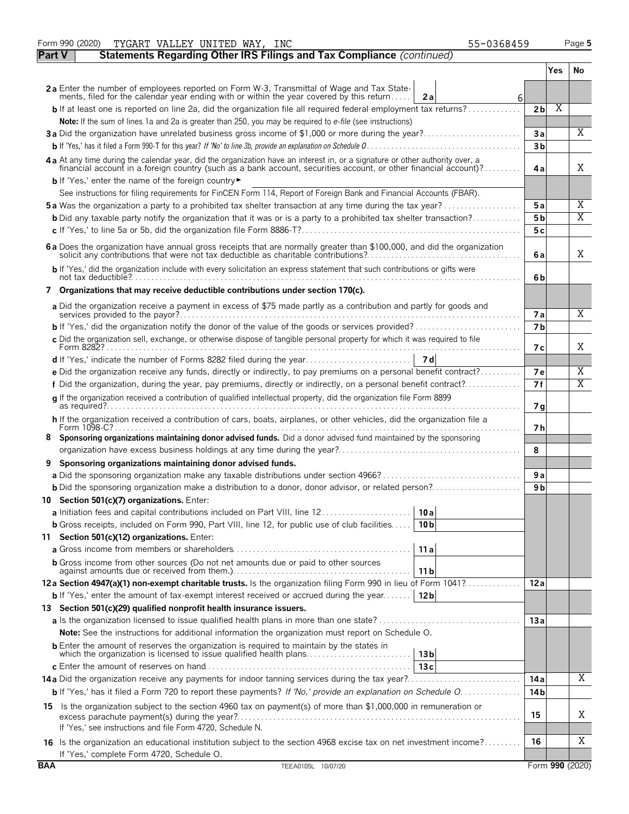|               | Form 990 (2020)<br>TYGART VALLEY UNITED WAY, INC<br>55-0368459                                                                                                                                              |                |            | Page 5          |
|---------------|-------------------------------------------------------------------------------------------------------------------------------------------------------------------------------------------------------------|----------------|------------|-----------------|
| <b>Part V</b> | Statements Regarding Other IRS Filings and Tax Compliance (continued)                                                                                                                                       |                |            |                 |
|               |                                                                                                                                                                                                             |                | <b>Yes</b> | No.             |
|               | 2a Enter the number of employees reported on Form W-3, Transmittal of Wage and Tax State-                                                                                                                   |                |            |                 |
|               | ments, filed for the calendar year ending with or within the year covered by this return<br>2a<br>6                                                                                                         |                |            |                 |
|               | $\mathsf{b}$ If at least one is reported on line 2a, did the organization file all required federal employment tax returns?                                                                                 | 2 <sub>b</sub> | X          |                 |
|               | Note: If the sum of lines 1a and 2a is greater than 250, you may be required to e-file (see instructions)                                                                                                   |                |            |                 |
|               | 3a Did the organization have unrelated business gross income of \$1,000 or more during the year?                                                                                                            | 3a             |            | $\overline{X}$  |
|               |                                                                                                                                                                                                             | 3 <sub>b</sub> |            |                 |
|               | 4a At any time during the calendar year, did the organization have an interest in, or a signature or other authority over, a                                                                                |                |            |                 |
|               | financial account in a foreign country (such as a bank account, securities account, or other financial account)?                                                                                            | 4a             |            | Χ               |
|               | <b>b</b> If 'Yes,' enter the name of the foreign country                                                                                                                                                    |                |            |                 |
|               | See instructions for filing requirements for FinCEN Form 114, Report of Foreign Bank and Financial Accounts (FBAR).                                                                                         |                |            |                 |
|               | <b>5a</b> Was the organization a party to a prohibited tax shelter transaction at any time during the tax year?                                                                                             | 5a             |            | Χ               |
|               | <b>b</b> Did any taxable party notify the organization that it was or is a party to a prohibited tax shelter transaction?                                                                                   | 5 <sub>b</sub> |            | X               |
|               |                                                                                                                                                                                                             | 5 c            |            |                 |
|               |                                                                                                                                                                                                             |                |            |                 |
|               | 6 a Does the organization have annual gross receipts that are normally greater than \$100,000, and did the organization solicit any contributions that were not tax deductible as charitable contributions? | 6a             |            | Χ               |
|               | b If 'Yes,' did the organization include with every solicitation an express statement that such contributions or gifts were                                                                                 |                |            |                 |
|               |                                                                                                                                                                                                             | 6b             |            |                 |
|               | 7 Organizations that may receive deductible contributions under section 170(c).                                                                                                                             |                |            |                 |
|               | a Did the organization receive a payment in excess of \$75 made partly as a contribution and partly for goods and                                                                                           |                |            |                 |
|               |                                                                                                                                                                                                             | <b>7a</b>      |            | X               |
|               |                                                                                                                                                                                                             | 7 <sub>b</sub> |            |                 |
|               | c Did the organization sell, exchange, or otherwise dispose of tangible personal property for which it was required to file                                                                                 |                |            |                 |
|               |                                                                                                                                                                                                             | 7 с            |            | Χ               |
|               |                                                                                                                                                                                                             |                |            |                 |
|               | e Did the organization receive any funds, directly or indirectly, to pay premiums on a personal benefit contract?                                                                                           | 7е             |            | Χ               |
|               | f Did the organization, during the year, pay premiums, directly or indirectly, on a personal benefit contract?                                                                                              | 7f             |            | Χ               |
|               | g If the organization received a contribution of qualified intellectual property, did the organization file Form 8899                                                                                       | 7 g            |            |                 |
|               | h If the organization received a contribution of cars, boats, airplanes, or other vehicles, did the organization file a                                                                                     |                |            |                 |
|               |                                                                                                                                                                                                             | 7 h            |            |                 |
|               | Sponsoring organizations maintaining donor advised funds. Did a donor advised fund maintained by the sponsoring                                                                                             |                |            |                 |
|               |                                                                                                                                                                                                             | 8              |            |                 |
| 9             | Sponsoring organizations maintaining donor advised funds.                                                                                                                                                   |                |            |                 |
|               |                                                                                                                                                                                                             | 9 a            |            |                 |
|               | <b>b</b> Did the sponsoring organization make a distribution to a donor, donor advisor, or related person?                                                                                                  | 9 <sub>b</sub> |            |                 |
|               | 10 Section 501(c)(7) organizations. Enter:                                                                                                                                                                  |                |            |                 |
|               | a Initiation fees and capital contributions included on Part VIII, line 12<br>10 a                                                                                                                          |                |            |                 |
|               | <b>b</b> Gross receipts, included on Form 990, Part VIII, line 12, for public use of club facilities<br>10 <sub>b</sub>                                                                                     |                |            |                 |
|               | 11 Section 501(c)(12) organizations. Enter:                                                                                                                                                                 |                |            |                 |
|               | 11a                                                                                                                                                                                                         |                |            |                 |
|               | <b>b</b> Gross income from other sources (Do not net amounts due or paid to other sources                                                                                                                   |                |            |                 |
|               | 11 <sub>b</sub>                                                                                                                                                                                             |                |            |                 |
|               | 12a Section 4947(a)(1) non-exempt charitable trusts. Is the organization filing Form 990 in lieu of Form 1041?                                                                                              | 12a            |            |                 |
|               | <b>b</b> If 'Yes,' enter the amount of tax-exempt interest received or accrued during the year<br>12 <sub>b</sub>                                                                                           |                |            |                 |
|               | 13 Section 501(c)(29) qualified nonprofit health insurance issuers.                                                                                                                                         |                |            |                 |
|               |                                                                                                                                                                                                             | 13a            |            |                 |
|               | <b>Note:</b> See the instructions for additional information the organization must report on Schedule O.                                                                                                    |                |            |                 |
|               | <b>b</b> Enter the amount of reserves the organization is required to maintain by the states in                                                                                                             |                |            |                 |
|               | 13 <sub>b</sub>                                                                                                                                                                                             |                |            |                 |
|               | 13c                                                                                                                                                                                                         |                |            |                 |
|               | 14a Did the organization receive any payments for indoor tanning services during the tax year?                                                                                                              | 14 a           |            | Χ               |
|               | b If 'Yes,' has it filed a Form 720 to report these payments? If 'No,' provide an explanation on Schedule O                                                                                                 | 14 b           |            |                 |
|               | 15 Is the organization subject to the section 4960 tax on payment(s) of more than \$1,000,000 in remuneration or                                                                                            |                |            |                 |
|               |                                                                                                                                                                                                             | 15             |            | Χ               |
|               | If 'Yes,' see instructions and file Form 4720, Schedule N.                                                                                                                                                  |                |            |                 |
|               | 16 Is the organization an educational institution subject to the section 4968 excise tax on net investment income?                                                                                          | 16             |            | Χ               |
|               | If 'Yes,' complete Form 4720, Schedule O.                                                                                                                                                                   |                |            |                 |
| <b>BAA</b>    | TEEA0105L 10/07/20                                                                                                                                                                                          |                |            | Form 990 (2020) |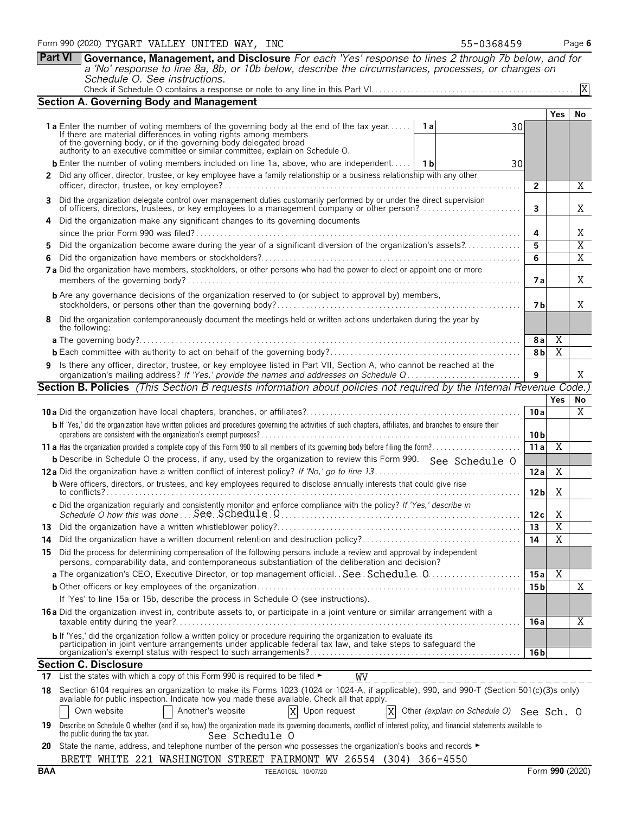**Part VI Governance, Management, and Disclosure** *For each 'Yes' response to lines 2 through 7b below, and for a 'No' response to line 8a, 8b, or 10b below, describe the circumstances, processes, or changes on Schedule O. See instructions.* Check if Schedule O contains a response or note to any line in this Part VI. . . . . . . . . . . . . . . . . . . . . . . . . . . . . . . . . . . . . . . . . . . . . . . . . . X

|     | <b>Section A. Governing Body and Management</b>                                                                                                                                                                               |                 |                         |                                  |  |  |  |  |  |  |
|-----|-------------------------------------------------------------------------------------------------------------------------------------------------------------------------------------------------------------------------------|-----------------|-------------------------|----------------------------------|--|--|--|--|--|--|
|     |                                                                                                                                                                                                                               |                 | Yes                     | No                               |  |  |  |  |  |  |
|     | 1 a Enter the number of voting members of the governing body at the end of the tax year<br>1 a<br>30<br>If there are material differences in voting rights among members                                                      |                 |                         |                                  |  |  |  |  |  |  |
|     | of the governing body, or if the governing body delegated broad<br>authority to an executive committee or similar committee, explain on Schedule O.                                                                           |                 |                         |                                  |  |  |  |  |  |  |
|     |                                                                                                                                                                                                                               |                 |                         |                                  |  |  |  |  |  |  |
|     | <b>b</b> Enter the number of voting members included on line 1a, above, who are independent   1b<br>30                                                                                                                        |                 |                         |                                  |  |  |  |  |  |  |
|     | 2 Did any officer, director, trustee, or key employee have a family relationship or a business relationship with any other                                                                                                    | 2               |                         | Χ                                |  |  |  |  |  |  |
|     | 3 Did the organization delegate control over management duties customarily performed by or under the direct supervision                                                                                                       |                 |                         |                                  |  |  |  |  |  |  |
|     | of officers, directors, trustees, or key employees to a management company or other person?                                                                                                                                   | 3               |                         | Χ                                |  |  |  |  |  |  |
|     | 4 Did the organization make any significant changes to its governing documents                                                                                                                                                |                 |                         |                                  |  |  |  |  |  |  |
|     |                                                                                                                                                                                                                               |                 |                         |                                  |  |  |  |  |  |  |
|     | Did the organization become aware during the year of a significant diversion of the organization's assets?<br>5.                                                                                                              | 5<br>6          |                         | $\overline{X}$<br>$\overline{X}$ |  |  |  |  |  |  |
|     | 6.                                                                                                                                                                                                                            |                 |                         |                                  |  |  |  |  |  |  |
|     | 7 a Did the organization have members, stockholders, or other persons who had the power to elect or appoint one or more                                                                                                       | 7 a             |                         | X                                |  |  |  |  |  |  |
|     | <b>b</b> Are any governance decisions of the organization reserved to (or subject to approval by) members,                                                                                                                    | 7 b             |                         | X                                |  |  |  |  |  |  |
|     | 8 Did the organization contemporaneously document the meetings held or written actions undertaken during the year by                                                                                                          |                 |                         |                                  |  |  |  |  |  |  |
|     | the following:                                                                                                                                                                                                                |                 |                         |                                  |  |  |  |  |  |  |
|     |                                                                                                                                                                                                                               | 8 a             | Χ                       |                                  |  |  |  |  |  |  |
|     |                                                                                                                                                                                                                               | 8 <sub>b</sub>  | $\overline{X}$          |                                  |  |  |  |  |  |  |
|     | 9 Is there any officer, director, trustee, or key employee listed in Part VII, Section A, who cannot be reached at the<br>organization's mailing address? If 'Yes,' provide the names and addresses on Schedule Q<br>9        |                 |                         |                                  |  |  |  |  |  |  |
|     | <b>Section B. Policies</b> (This Section B requests information about policies not required by the Internal Revenue Code.)                                                                                                    |                 |                         |                                  |  |  |  |  |  |  |
|     |                                                                                                                                                                                                                               |                 | <b>Yes</b>              | No                               |  |  |  |  |  |  |
|     |                                                                                                                                                                                                                               | 10a             |                         | X                                |  |  |  |  |  |  |
|     | b If 'Yes,' did the organization have written policies and procedures governing the activities of such chapters, affiliates, and branches to ensure their                                                                     | 10 <sub>b</sub> |                         |                                  |  |  |  |  |  |  |
| 11a |                                                                                                                                                                                                                               |                 |                         |                                  |  |  |  |  |  |  |
|     | <b>b</b> Describe in Schedule O the process, if any, used by the organization to review this Form 990. See Schedule O                                                                                                         |                 | X                       |                                  |  |  |  |  |  |  |
|     |                                                                                                                                                                                                                               | 12a             | Χ                       |                                  |  |  |  |  |  |  |
|     | <b>b</b> Were officers, directors, or trustees, and key employees required to disclose annually interests that could give rise                                                                                                |                 |                         |                                  |  |  |  |  |  |  |
|     |                                                                                                                                                                                                                               | 12 <sub>b</sub> | Χ                       |                                  |  |  |  |  |  |  |
|     | c Did the organization regularly and consistently monitor and enforce compliance with the policy? If 'Yes,' describe in                                                                                                       | 12c             | X                       |                                  |  |  |  |  |  |  |
|     |                                                                                                                                                                                                                               | 13              | $\overline{X}$          |                                  |  |  |  |  |  |  |
| 14. |                                                                                                                                                                                                                               | 14              | $\overline{\mathrm{X}}$ |                                  |  |  |  |  |  |  |
|     | Did the process for determining compensation of the following persons include a review and approval by independent<br>15<br>persons, comparability data, and contemporaneous substantiation of the deliberation and decision? |                 |                         |                                  |  |  |  |  |  |  |
|     |                                                                                                                                                                                                                               | 15 a            | Χ                       |                                  |  |  |  |  |  |  |
|     |                                                                                                                                                                                                                               | 15 b            |                         | Χ                                |  |  |  |  |  |  |
|     | If 'Yes' to line 15a or 15b, describe the process in Schedule O (see instructions).                                                                                                                                           |                 |                         |                                  |  |  |  |  |  |  |
|     | 16 a Did the organization invest in, contribute assets to, or participate in a joint venture or similar arrangement with a                                                                                                    | 16 a            |                         | Χ                                |  |  |  |  |  |  |
|     | <b>b</b> If 'Yes,' did the organization follow a written policy or procedure requiring the organization to evaluate its                                                                                                       |                 |                         |                                  |  |  |  |  |  |  |
|     | participation in joint venture arrangements under applicable federal tax law, and take steps to safeguard the                                                                                                                 | 16 <sub>b</sub> |                         |                                  |  |  |  |  |  |  |
|     | <b>Section C. Disclosure</b>                                                                                                                                                                                                  |                 |                         |                                  |  |  |  |  |  |  |
|     | 17 List the states with which a copy of this Form 990 is required to be filed $\blacktriangleright$<br>WV                                                                                                                     |                 |                         |                                  |  |  |  |  |  |  |
|     | 18 Section 6104 requires an organization to make its Forms 1023 (1024 or 1024-A, if applicable), 990, and 990-T (Section 501(c)(3)s only)                                                                                     |                 |                         |                                  |  |  |  |  |  |  |
|     | available for public inspection. Indicate how you made these available. Check all that apply.<br>Own website<br>Another's website<br>X Upon request<br>X Other (explain on Schedule O) See Sch. O                             |                 |                         |                                  |  |  |  |  |  |  |
|     | 19 Describe on Schedule O whether (and if so, how) the organization made its governing documents, conflict of interest policy, and financial statements available to                                                          |                 |                         |                                  |  |  |  |  |  |  |
|     | the public during the tax year.<br>See Schedule O                                                                                                                                                                             |                 |                         |                                  |  |  |  |  |  |  |
|     | 20 State the name, address, and telephone number of the person who possesses the organization's books and records ►<br>BRETT WHITE 221 WASHINGTON STREET FAIRMONT WV 26554 (304) 366-4550                                     |                 |                         |                                  |  |  |  |  |  |  |
|     |                                                                                                                                                                                                                               |                 |                         |                                  |  |  |  |  |  |  |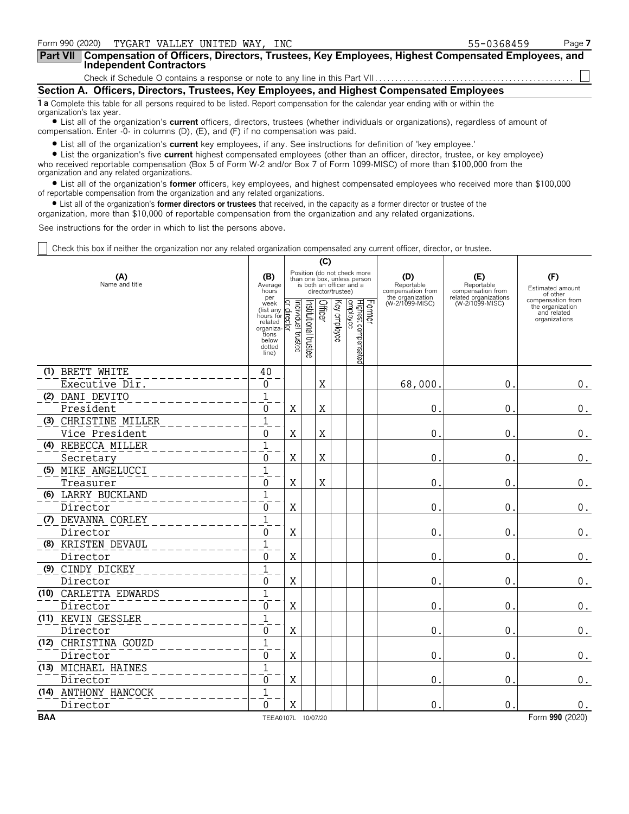| Form 990 (2020)<br>TYGART VALLEY UNITED WAY, INC                                                                                                               | 55-0368459 | Page 7 |
|----------------------------------------------------------------------------------------------------------------------------------------------------------------|------------|--------|
| Part VII   Compensation of Officers, Directors, Trustees, Key Employees, Highest Compensated Employees, and<br>Independent Contractors                         |            |        |
|                                                                                                                                                                |            |        |
| Section A. Officers, Directors, Trustees, Key Employees, and Highest Compensated Employees                                                                     |            |        |
| 1 a Complete this table for all persons required to be listed. Report compensation for the calendar year ending with or within the<br>organization's tax year. |            |        |

? List all of the organization's **current** officers, directors, trustees (whether individuals or organizations), regardless of amount of compensation. Enter -0- in columns (D), (E), and (F) if no compensation was paid.

? List all of the organization's **current** key employees, if any. See instructions for definition of 'key employee.'

? List the organization's five **current** highest compensated employees (other than an officer, director, trustee, or key employee) who received reportable compensation (Box 5 of Form W-2 and/or Box 7 of Form 1099-MISC) of more than \$100,000 from the organization and any related organizations.

? List all of the organization's **former** officers, key employees, and highest compensated employees who received more than \$100,000 of reportable compensation from the organization and any related organizations.

? List all of the organization's **former directors or trustees** that received, in the capacity as a former director or trustee of the

organization, more than \$10,000 of reportable compensation from the organization and any related organizations.

See instructions for the order in which to list the persons above.

Check this box if neither the organization nor any related organization compensated any current officer, director, or trustee.

|            |                       | (C)                                                                                                |                                    |                       |         |                   |                                                                                        |  |                                                            |                                                                 |                                                                       |
|------------|-----------------------|----------------------------------------------------------------------------------------------------|------------------------------------|-----------------------|---------|-------------------|----------------------------------------------------------------------------------------|--|------------------------------------------------------------|-----------------------------------------------------------------|-----------------------------------------------------------------------|
|            | (A)<br>Name and title |                                                                                                    |                                    |                       |         | director/trustee) | Position (do not check more<br>than one box, unless person<br>is both an officer and a |  | (D)<br>Reportable<br>compensation from<br>the organization | (E)<br>Reportable<br>compensation from<br>related organizations | (F)<br>Estimated amount<br>of other                                   |
|            |                       | per<br>week<br>(list any<br>hours for<br>related<br>organiza-<br>tions<br>below<br>dotted<br>line) | ndividual trustee<br>Q.<br>ĒS<br>Σ | Institutional trustee | Officer | Key employee      | Former<br>Highest compensated<br>employee                                              |  | (W-2/1099-MISC)                                            | (W-2/1099-MISC)                                                 | compensation from<br>the organization<br>and related<br>organizations |
|            | (1) BRETT WHITE       | 40                                                                                                 |                                    |                       |         |                   |                                                                                        |  |                                                            |                                                                 |                                                                       |
|            | Executive Dir.        | 0                                                                                                  |                                    |                       | X       |                   |                                                                                        |  | 68,000                                                     | $\mathbf 0$                                                     | 0.                                                                    |
|            | (2) DANI DEVITO       | $\mathbf{1}$                                                                                       |                                    |                       |         |                   |                                                                                        |  |                                                            |                                                                 |                                                                       |
|            | President             | $\mathbf{0}$                                                                                       | $\mathbf X$                        |                       | X       |                   |                                                                                        |  | 0                                                          | $\mathbf 0$                                                     | $0$ .                                                                 |
|            | (3) CHRISTINE MILLER  | $\mathbf{1}$                                                                                       |                                    |                       |         |                   |                                                                                        |  |                                                            |                                                                 |                                                                       |
|            | Vice President        | $\mathbf{0}$                                                                                       | $\mathbf X$                        |                       | X       |                   |                                                                                        |  | 0                                                          | $\mathbf 0$                                                     | 0.                                                                    |
|            | (4) REBECCA MILLER    | $\mathbf{1}$                                                                                       |                                    |                       |         |                   |                                                                                        |  |                                                            |                                                                 |                                                                       |
|            | Secretary             | 0                                                                                                  | X                                  |                       | Χ       |                   |                                                                                        |  | $\pmb{0}$                                                  | $\pmb{0}$                                                       | $\boldsymbol{0}$ .                                                    |
|            | (5) MIKE ANGELUCCI    | $\overline{1}$                                                                                     |                                    |                       |         |                   |                                                                                        |  |                                                            |                                                                 |                                                                       |
|            | Treasurer             | 0                                                                                                  | X                                  |                       | X       |                   |                                                                                        |  | 0                                                          | 0                                                               | $0$ .                                                                 |
|            | (6) LARRY BUCKLAND    | $\mathbf{1}$                                                                                       |                                    |                       |         |                   |                                                                                        |  |                                                            |                                                                 |                                                                       |
|            | Director              | $\mathbf{0}$                                                                                       | X                                  |                       |         |                   |                                                                                        |  | 0                                                          | $\mathbf 0$                                                     | $0$ .                                                                 |
|            | (7) DEVANNA CORLEY    | $\overline{1}$                                                                                     |                                    |                       |         |                   |                                                                                        |  |                                                            |                                                                 |                                                                       |
|            | Director              | $\Omega$                                                                                           | $\mathbf X$                        |                       |         |                   |                                                                                        |  | $\mathbf 0$                                                | $\mathbf 0$                                                     | $\boldsymbol{0}$ .                                                    |
|            | (8) KRISTEN DEVAUL    | $\mathbf{1}$                                                                                       |                                    |                       |         |                   |                                                                                        |  |                                                            |                                                                 |                                                                       |
|            | Director              | 0                                                                                                  | X                                  |                       |         |                   |                                                                                        |  | 0                                                          | 0                                                               | 0.                                                                    |
|            | (9) CINDY DICKEY      | $\overline{1}$                                                                                     |                                    |                       |         |                   |                                                                                        |  |                                                            |                                                                 |                                                                       |
|            | Director              | $\Omega$                                                                                           | X                                  |                       |         |                   |                                                                                        |  | 0                                                          | $\mathbf 0$                                                     | $0$ .                                                                 |
|            | (10) CARLETTA EDWARDS | $\mathbf{1}$                                                                                       |                                    |                       |         |                   |                                                                                        |  |                                                            |                                                                 |                                                                       |
|            | Director              | $\Omega$                                                                                           | X                                  |                       |         |                   |                                                                                        |  | 0                                                          | $\mathbf{0}$                                                    | $0$ .                                                                 |
|            | (11) KEVIN GESSLER    | $\overline{1}$                                                                                     |                                    |                       |         |                   |                                                                                        |  |                                                            |                                                                 |                                                                       |
|            | Director              | 0                                                                                                  | X                                  |                       |         |                   |                                                                                        |  | $\boldsymbol{0}$                                           | $\mathbf 0$                                                     | $\boldsymbol{0}$ .                                                    |
|            | (12) CHRISTINA GOUZD  | $\overline{1}$                                                                                     |                                    |                       |         |                   |                                                                                        |  |                                                            |                                                                 |                                                                       |
|            | Director              | 0                                                                                                  | X                                  |                       |         |                   |                                                                                        |  | 0                                                          | $\mathbf 0$                                                     | 0.                                                                    |
|            | (13) MICHAEL HAINES   | $\overline{1}$                                                                                     |                                    |                       |         |                   |                                                                                        |  |                                                            |                                                                 |                                                                       |
|            | Director              | 0                                                                                                  | X                                  |                       |         |                   |                                                                                        |  | 0                                                          | $\mathbf 0$                                                     | 0.                                                                    |
|            | (14) ANTHONY HANCOCK  | $\overline{1}$                                                                                     |                                    |                       |         |                   |                                                                                        |  |                                                            |                                                                 |                                                                       |
|            | Director              | $\Omega$                                                                                           | Χ                                  |                       |         |                   |                                                                                        |  | 0                                                          | $\mathbf 0$                                                     | 0.                                                                    |
| <b>BAA</b> |                       | TEEA0107L 10/07/20                                                                                 |                                    |                       |         |                   |                                                                                        |  |                                                            |                                                                 | Form 990 (2020)                                                       |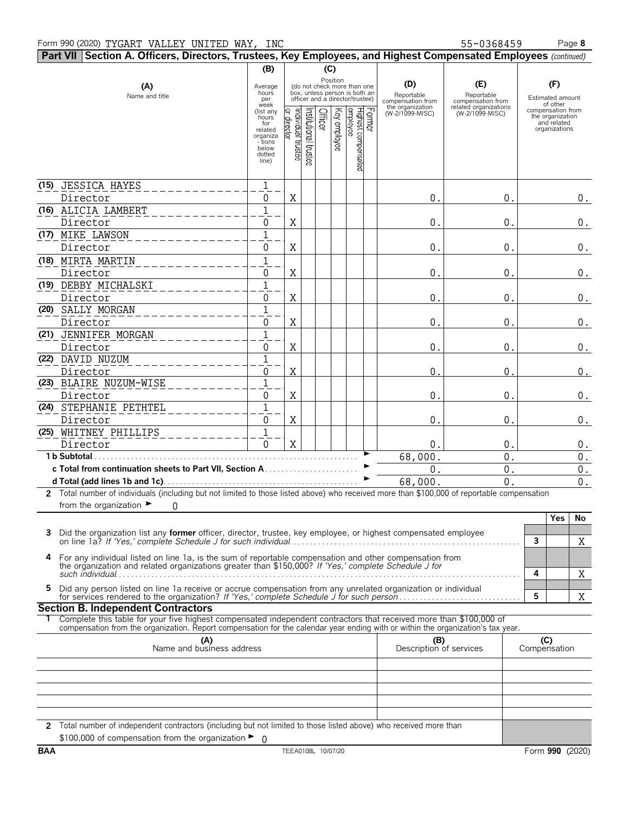## Form 990 (2020) Page **8** TYGART VALLEY UNITED WAY, INC 55-0368459

|            | Part VII Section A. Officers, Directors, Trustees, Key Employees, and Highest Compensated Employees (continued)                                                                                                 |                                                                                                                                         |                                   |                                  |              |                                                                                                                                                           |                                                                               |                                                                                    |                                                                                                              |
|------------|-----------------------------------------------------------------------------------------------------------------------------------------------------------------------------------------------------------------|-----------------------------------------------------------------------------------------------------------------------------------------|-----------------------------------|----------------------------------|--------------|-----------------------------------------------------------------------------------------------------------------------------------------------------------|-------------------------------------------------------------------------------|------------------------------------------------------------------------------------|--------------------------------------------------------------------------------------------------------------|
|            |                                                                                                                                                                                                                 | (B)                                                                                                                                     |                                   |                                  | (C)          |                                                                                                                                                           |                                                                               |                                                                                    |                                                                                                              |
|            | (A)<br>Name and title                                                                                                                                                                                           | Average<br>hours<br>per<br>week<br>(list any<br>hours <sup>-</sup><br>for<br>related<br>organiza<br>- tions<br>below<br>dotted<br>line) | or director<br>Individual trustee | Officer<br>Institutional trustee | Key employee | Position<br>(do not check more than one<br>box, unless person is both an<br>officer and a director/trustee)<br>Former<br>Highest compensated<br> employee | (D)<br>Reportable<br>compensation from<br>the organization<br>(W-2/1099-MISC) | (E)<br>Reportable<br>compensation from<br>related organizations<br>(W-2/1099-MISC) | (F)<br>Estimated amount<br>of other<br>compensation from<br>the organization<br>and related<br>organizations |
|            |                                                                                                                                                                                                                 |                                                                                                                                         |                                   |                                  |              |                                                                                                                                                           |                                                                               |                                                                                    |                                                                                                              |
|            | (15) JESSICA HAYES                                                                                                                                                                                              | $\mathbf{1}$                                                                                                                            |                                   |                                  |              |                                                                                                                                                           |                                                                               |                                                                                    |                                                                                                              |
|            | Director                                                                                                                                                                                                        | 0                                                                                                                                       | X                                 |                                  |              |                                                                                                                                                           | $\mathsf{O}$ .                                                                | 0.                                                                                 | $0$ .                                                                                                        |
|            | (16) ALICIA LAMBERT                                                                                                                                                                                             | $\overline{1}$                                                                                                                          |                                   |                                  |              |                                                                                                                                                           |                                                                               |                                                                                    |                                                                                                              |
|            | Director                                                                                                                                                                                                        | 0                                                                                                                                       | X                                 |                                  |              |                                                                                                                                                           | 0.                                                                            | 0.                                                                                 | $0$ .                                                                                                        |
|            | (17) MIKE LAWSON                                                                                                                                                                                                | $\overline{1}$                                                                                                                          |                                   |                                  |              |                                                                                                                                                           |                                                                               |                                                                                    |                                                                                                              |
|            | Director                                                                                                                                                                                                        | 0                                                                                                                                       | X                                 |                                  |              |                                                                                                                                                           | $\mathsf{O}$ .                                                                | 0.                                                                                 | $0$ .                                                                                                        |
|            | (18) MIRTA MARTIN                                                                                                                                                                                               | $\mathbf{1}$                                                                                                                            |                                   |                                  |              |                                                                                                                                                           |                                                                               |                                                                                    |                                                                                                              |
|            | Director                                                                                                                                                                                                        | 0                                                                                                                                       | Χ                                 |                                  |              |                                                                                                                                                           | $\mathsf{O}$ .                                                                | 0.                                                                                 | $0$ .                                                                                                        |
|            | (19) DEBBY MICHALSKI                                                                                                                                                                                            | $\mathbf{1}$                                                                                                                            |                                   |                                  |              |                                                                                                                                                           |                                                                               |                                                                                    |                                                                                                              |
|            | Director<br>(20) SALLY MORGAN                                                                                                                                                                                   | 0<br>$\overline{1}$                                                                                                                     | Χ                                 |                                  |              |                                                                                                                                                           | 0.                                                                            | 0.                                                                                 | $0$ .                                                                                                        |
|            | Director                                                                                                                                                                                                        | 0                                                                                                                                       | Χ                                 |                                  |              |                                                                                                                                                           | 0.                                                                            | 0.                                                                                 | $0$ .                                                                                                        |
|            | (21) JENNIFER MORGAN                                                                                                                                                                                            | $\overline{1}$                                                                                                                          |                                   |                                  |              |                                                                                                                                                           |                                                                               |                                                                                    |                                                                                                              |
|            | Director                                                                                                                                                                                                        | 0                                                                                                                                       | Χ                                 |                                  |              |                                                                                                                                                           | 0.                                                                            | 0.                                                                                 | $0$ .                                                                                                        |
|            | (22) DAVID NUZUM                                                                                                                                                                                                | $\overline{1}$                                                                                                                          |                                   |                                  |              |                                                                                                                                                           |                                                                               |                                                                                    |                                                                                                              |
|            | Director                                                                                                                                                                                                        | 0                                                                                                                                       | X                                 |                                  |              |                                                                                                                                                           | 0                                                                             | $\Omega$                                                                           | $0$ .                                                                                                        |
|            | (23) BLAIRE NUZUM-WISE                                                                                                                                                                                          | $\mathbf{1}$                                                                                                                            |                                   |                                  |              |                                                                                                                                                           |                                                                               |                                                                                    |                                                                                                              |
|            | Director                                                                                                                                                                                                        | 0                                                                                                                                       | X                                 |                                  |              |                                                                                                                                                           | 0.                                                                            | $\mathbf 0$ .                                                                      | $0$ .                                                                                                        |
|            | (24) STEPHANIE PETHTEL                                                                                                                                                                                          | $\overline{1}$                                                                                                                          |                                   |                                  |              |                                                                                                                                                           |                                                                               |                                                                                    |                                                                                                              |
|            | Director                                                                                                                                                                                                        | 0                                                                                                                                       | Χ                                 |                                  |              |                                                                                                                                                           | 0.                                                                            | 0.                                                                                 | 0.                                                                                                           |
|            | (25) WHITNEY PHILLIPS                                                                                                                                                                                           | $\overline{1}$                                                                                                                          |                                   |                                  |              |                                                                                                                                                           |                                                                               |                                                                                    |                                                                                                              |
|            | Director                                                                                                                                                                                                        | $\mathbf 0$                                                                                                                             | X                                 |                                  |              |                                                                                                                                                           | 0.                                                                            | 0.                                                                                 | $0$ .                                                                                                        |
|            | 1 b Subtotal                                                                                                                                                                                                    |                                                                                                                                         |                                   |                                  |              |                                                                                                                                                           | 68,000.                                                                       | 0.                                                                                 | $0$ .                                                                                                        |
|            |                                                                                                                                                                                                                 |                                                                                                                                         |                                   |                                  |              |                                                                                                                                                           | 0.                                                                            | $0$ .                                                                              | $\overline{0}$ .                                                                                             |
|            | 2 Total number of individuals (including but not limited to those listed above) who received more than \$100,000 of reportable compensation                                                                     |                                                                                                                                         |                                   |                                  |              |                                                                                                                                                           | 68,000.                                                                       | 0.                                                                                 | 0.                                                                                                           |
|            | from the organization $\blacktriangleright$<br>0                                                                                                                                                                |                                                                                                                                         |                                   |                                  |              |                                                                                                                                                           |                                                                               |                                                                                    |                                                                                                              |
|            |                                                                                                                                                                                                                 |                                                                                                                                         |                                   |                                  |              |                                                                                                                                                           |                                                                               |                                                                                    | Yes<br>No                                                                                                    |
| 3          | Did the organization list any <b>former</b> officer, director, trustee, key employee, or highest compensated employee                                                                                           |                                                                                                                                         |                                   |                                  |              |                                                                                                                                                           |                                                                               |                                                                                    | $\mathbf{3}$<br>X                                                                                            |
| 4          | For any individual listed on line 1a, is the sum of reportable compensation and other compensation from<br>the organization and related organizations greater than \$150,000? If 'Yes,' complete Schedule J for |                                                                                                                                         |                                   |                                  |              |                                                                                                                                                           |                                                                               |                                                                                    | 4<br>X                                                                                                       |
| 5          | Did any person listed on line 1a receive or accrue compensation from any unrelated organization or individual                                                                                                   |                                                                                                                                         |                                   |                                  |              |                                                                                                                                                           |                                                                               |                                                                                    | 5<br>X                                                                                                       |
|            | <b>Section B. Independent Contractors</b>                                                                                                                                                                       |                                                                                                                                         |                                   |                                  |              |                                                                                                                                                           |                                                                               |                                                                                    |                                                                                                              |
|            | Complete this table for your five highest compensated independent contractors that received more than \$100,000 of                                                                                              |                                                                                                                                         |                                   |                                  |              |                                                                                                                                                           |                                                                               |                                                                                    |                                                                                                              |
|            | compensation from the organization. Report compensation for the calendar year ending with or within the organization's tax year.                                                                                |                                                                                                                                         |                                   |                                  |              |                                                                                                                                                           |                                                                               |                                                                                    |                                                                                                              |
|            | (A)<br>Name and business address                                                                                                                                                                                |                                                                                                                                         |                                   |                                  |              |                                                                                                                                                           | (B)<br>Description of services                                                |                                                                                    | (C)<br>Compensation                                                                                          |
|            |                                                                                                                                                                                                                 |                                                                                                                                         |                                   |                                  |              |                                                                                                                                                           |                                                                               |                                                                                    |                                                                                                              |
|            |                                                                                                                                                                                                                 |                                                                                                                                         |                                   |                                  |              |                                                                                                                                                           |                                                                               |                                                                                    |                                                                                                              |
|            | 2 Total number of independent contractors (including but not limited to those listed above) who received more than                                                                                              |                                                                                                                                         |                                   |                                  |              |                                                                                                                                                           |                                                                               |                                                                                    |                                                                                                              |
|            | \$100,000 of compensation from the organization $\blacktriangleright$ 0                                                                                                                                         |                                                                                                                                         |                                   |                                  |              |                                                                                                                                                           |                                                                               |                                                                                    |                                                                                                              |
| <b>BAA</b> |                                                                                                                                                                                                                 |                                                                                                                                         |                                   | TEEA0108L 10/07/20               |              |                                                                                                                                                           |                                                                               |                                                                                    | Form 990 (2020)                                                                                              |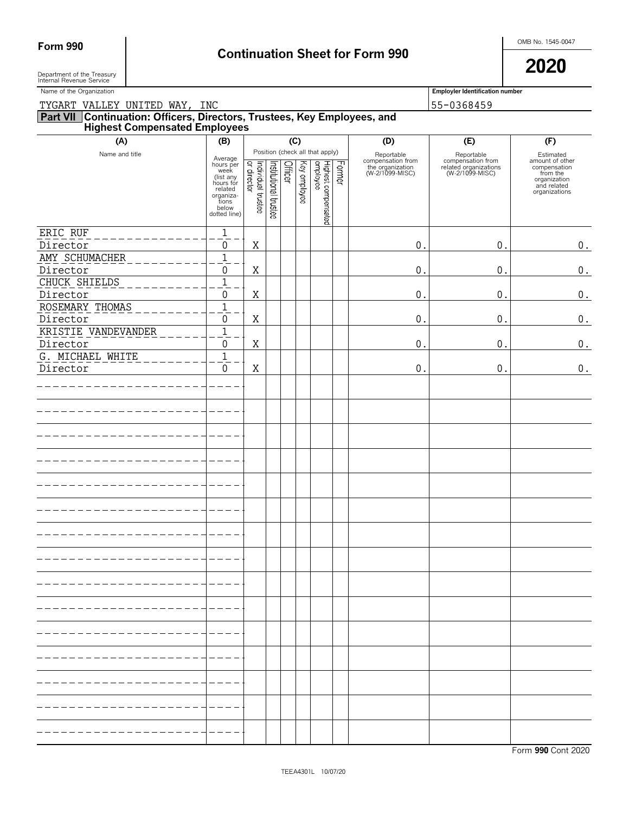# Form 990 **Continuation Sheet for Form 990 Continuation Sheet for Form 990**

 $\blacksquare$  Department of the Treasury  $\blacksquare$ Department of the Treasury<br>Internal Revenue Service

| Name of the Organization                                                                                      |                                                                                                                  |                                   |                       |         |              |                                                                    |        |                                                                        | <b>Employler Identification number</b>                                      |                                                                                                          |  |  |  |  |
|---------------------------------------------------------------------------------------------------------------|------------------------------------------------------------------------------------------------------------------|-----------------------------------|-----------------------|---------|--------------|--------------------------------------------------------------------|--------|------------------------------------------------------------------------|-----------------------------------------------------------------------------|----------------------------------------------------------------------------------------------------------|--|--|--|--|
| TYGART VALLEY UNITED WAY, INC                                                                                 |                                                                                                                  |                                   |                       |         |              |                                                                    |        | 55-0368459                                                             |                                                                             |                                                                                                          |  |  |  |  |
| <b>Part VII Continuation: Officers, Directors, Trustees, Key Employees, and Highest Compensated Employees</b> |                                                                                                                  |                                   |                       |         |              |                                                                    |        |                                                                        |                                                                             |                                                                                                          |  |  |  |  |
| (A)                                                                                                           | (B)                                                                                                              |                                   |                       |         | (C)          |                                                                    |        | (D)                                                                    | (E)                                                                         | (F)                                                                                                      |  |  |  |  |
| Name and title                                                                                                | Average<br>hours per<br>week<br>(list any<br>hours for<br>related<br>organiza-<br>tions<br>below<br>dotted line) | Individual trustee<br>or director | Institutional trustee | Officer | Key employee | Position (check all that apply)<br>Highest compensated<br>employee | Former | Reportable<br>compensation from<br>the organization<br>(W-2/1099-MISC) | Reportable<br>compensation from<br>related organizations<br>(W-2/1099-MISC) | Estimated<br>amount of other<br>compensation<br>from the<br>organization<br>and related<br>organizations |  |  |  |  |
| ERIC RUF                                                                                                      | $\overline{1}$                                                                                                   |                                   |                       |         |              |                                                                    |        |                                                                        |                                                                             |                                                                                                          |  |  |  |  |
| Director                                                                                                      | 0                                                                                                                | Χ                                 |                       |         |              |                                                                    |        | 0.                                                                     | 0.                                                                          | $\boldsymbol{0}$ .                                                                                       |  |  |  |  |
| AMY SCHUMACHER                                                                                                | $\mathbf 1$                                                                                                      |                                   |                       |         |              |                                                                    |        |                                                                        |                                                                             |                                                                                                          |  |  |  |  |
| Director                                                                                                      | 0                                                                                                                | Χ                                 |                       |         |              |                                                                    |        | 0.                                                                     | 0.                                                                          | $\boldsymbol{0}$ .                                                                                       |  |  |  |  |
| CHUCK SHIELDS                                                                                                 | $\mathbf 1$                                                                                                      |                                   |                       |         |              |                                                                    |        |                                                                        |                                                                             |                                                                                                          |  |  |  |  |
| Director                                                                                                      | 0                                                                                                                | Χ                                 |                       |         |              |                                                                    |        | 0.                                                                     | 0.                                                                          | $\boldsymbol{0}$ .                                                                                       |  |  |  |  |
| ROSEMARY THOMAS                                                                                               | $\mathbf 1$                                                                                                      |                                   |                       |         |              |                                                                    |        |                                                                        |                                                                             |                                                                                                          |  |  |  |  |
| Director                                                                                                      | 0                                                                                                                | Χ                                 |                       |         |              |                                                                    |        | 0.                                                                     | 0.                                                                          | $\boldsymbol{0}$ .                                                                                       |  |  |  |  |
| KRISTIE VANDEVANDER                                                                                           | $\overline{1}$                                                                                                   |                                   |                       |         |              |                                                                    |        |                                                                        |                                                                             |                                                                                                          |  |  |  |  |
| Director                                                                                                      | 0                                                                                                                | Χ                                 |                       |         |              |                                                                    |        | 0.                                                                     | 0.                                                                          | $\boldsymbol{0}$ .                                                                                       |  |  |  |  |
| G. MICHAEL WHITE                                                                                              | $\overline{1}$                                                                                                   |                                   |                       |         |              |                                                                    |        |                                                                        |                                                                             |                                                                                                          |  |  |  |  |
| Director                                                                                                      | 0                                                                                                                | Χ                                 |                       |         |              |                                                                    |        | 0.                                                                     | 0.                                                                          | $\boldsymbol{0}$ .                                                                                       |  |  |  |  |
|                                                                                                               |                                                                                                                  |                                   |                       |         |              |                                                                    |        |                                                                        |                                                                             |                                                                                                          |  |  |  |  |
|                                                                                                               |                                                                                                                  |                                   |                       |         |              |                                                                    |        |                                                                        |                                                                             |                                                                                                          |  |  |  |  |
|                                                                                                               |                                                                                                                  |                                   |                       |         |              |                                                                    |        |                                                                        |                                                                             |                                                                                                          |  |  |  |  |
|                                                                                                               |                                                                                                                  |                                   |                       |         |              |                                                                    |        |                                                                        |                                                                             |                                                                                                          |  |  |  |  |
|                                                                                                               |                                                                                                                  |                                   |                       |         |              |                                                                    |        |                                                                        |                                                                             |                                                                                                          |  |  |  |  |
|                                                                                                               |                                                                                                                  |                                   |                       |         |              |                                                                    |        |                                                                        |                                                                             |                                                                                                          |  |  |  |  |
|                                                                                                               |                                                                                                                  |                                   |                       |         |              |                                                                    |        |                                                                        |                                                                             |                                                                                                          |  |  |  |  |
|                                                                                                               |                                                                                                                  |                                   |                       |         |              |                                                                    |        |                                                                        |                                                                             |                                                                                                          |  |  |  |  |
|                                                                                                               |                                                                                                                  |                                   |                       |         |              |                                                                    |        |                                                                        |                                                                             |                                                                                                          |  |  |  |  |
|                                                                                                               |                                                                                                                  |                                   |                       |         |              |                                                                    |        |                                                                        |                                                                             |                                                                                                          |  |  |  |  |
|                                                                                                               |                                                                                                                  |                                   |                       |         |              |                                                                    |        |                                                                        |                                                                             |                                                                                                          |  |  |  |  |
|                                                                                                               |                                                                                                                  |                                   |                       |         |              |                                                                    |        |                                                                        |                                                                             |                                                                                                          |  |  |  |  |
|                                                                                                               |                                                                                                                  |                                   |                       |         |              |                                                                    |        |                                                                        |                                                                             |                                                                                                          |  |  |  |  |
|                                                                                                               |                                                                                                                  |                                   |                       |         |              |                                                                    |        |                                                                        |                                                                             |                                                                                                          |  |  |  |  |
|                                                                                                               |                                                                                                                  |                                   |                       |         |              |                                                                    |        |                                                                        |                                                                             |                                                                                                          |  |  |  |  |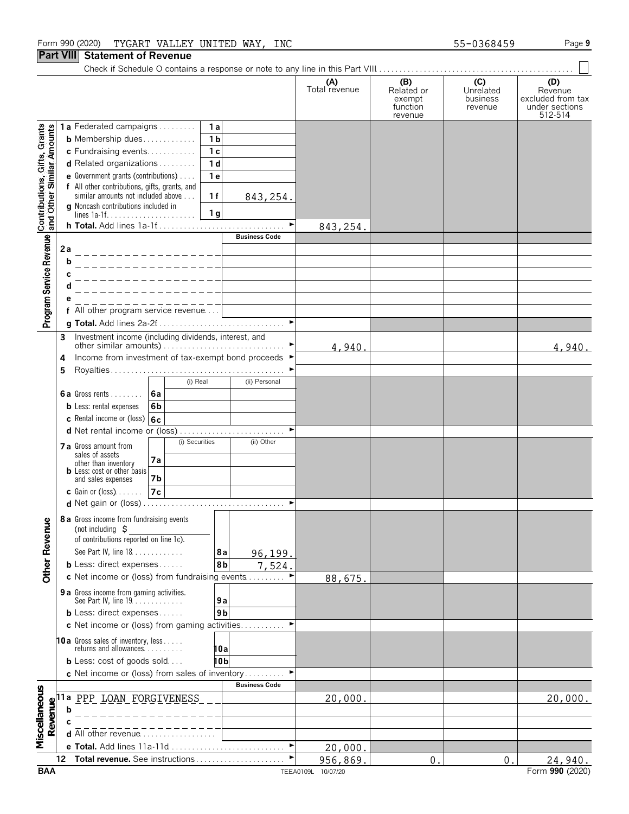## Form 990 (2020) Page **9** TYGART VALLEY UNITED WAY, INC 55-0368459

## **Part VIII Statement of Revenue**

Check if Schedule O contains a response or note to any line in this Part VIII. . . . . . . . . . . . . . . . . . . . . . . . . . . . . . . . . . . . . . . . . . . . . . . . .

|                                                           |                                                           |                                                                                     |                                         | (A)<br>Total revenue | (B)<br>Related or<br>exempt | (C)<br>Unrelated<br>business | (D)<br>Revenue<br>excluded from tax |
|-----------------------------------------------------------|-----------------------------------------------------------|-------------------------------------------------------------------------------------|-----------------------------------------|----------------------|-----------------------------|------------------------------|-------------------------------------|
|                                                           |                                                           |                                                                                     |                                         |                      | function<br>revenue         | revenue                      | under sections<br>512-514           |
|                                                           |                                                           | 1a Federated campaigns                                                              | 1a                                      |                      |                             |                              |                                     |
| Contributions, Gifts, Grants<br>and Other Similar Amounts |                                                           | <b>b</b> Membership dues                                                            | 1 <sub>b</sub>                          |                      |                             |                              |                                     |
|                                                           |                                                           | c Fundraising events                                                                | 1 <sub>c</sub>                          |                      |                             |                              |                                     |
|                                                           |                                                           | d Related organizations                                                             | 1 <sub>d</sub>                          |                      |                             |                              |                                     |
|                                                           |                                                           | e Government grants (contributions)                                                 | 1 <sub>e</sub>                          |                      |                             |                              |                                     |
|                                                           |                                                           | f All other contributions, gifts, grants, and<br>similar amounts not included above | 1f<br>843, 254.                         |                      |                             |                              |                                     |
|                                                           |                                                           | <b>g</b> Noncash contributions included in                                          |                                         |                      |                             |                              |                                     |
|                                                           |                                                           |                                                                                     | 1 <sub>g</sub><br>$\blacktriangleright$ |                      |                             |                              |                                     |
|                                                           |                                                           | h Total. Add lines 1a-1f                                                            | <b>Business Code</b>                    | 843, 254.            |                             |                              |                                     |
| Program Service Revenue                                   | 2a                                                        |                                                                                     |                                         |                      |                             |                              |                                     |
|                                                           | b                                                         |                                                                                     |                                         |                      |                             |                              |                                     |
|                                                           |                                                           |                                                                                     |                                         |                      |                             |                              |                                     |
|                                                           |                                                           |                                                                                     |                                         |                      |                             |                              |                                     |
|                                                           |                                                           |                                                                                     |                                         |                      |                             |                              |                                     |
|                                                           |                                                           | f All other program service revenue                                                 |                                         |                      |                             |                              |                                     |
|                                                           |                                                           |                                                                                     | $\blacktriangleright$                   |                      |                             |                              |                                     |
|                                                           | 3                                                         | Investment income (including dividends, interest, and                               |                                         |                      |                             |                              |                                     |
|                                                           |                                                           |                                                                                     |                                         | 4,940.               |                             |                              | 4,940.                              |
|                                                           | 4<br>5                                                    | Income from investment of tax-exempt bond proceeds ▶                                | ▶                                       |                      |                             |                              |                                     |
|                                                           |                                                           | (i) Real                                                                            | (ii) Personal                           |                      |                             |                              |                                     |
|                                                           |                                                           | 6a<br><b>6a</b> Gross rents $\ldots$                                                |                                         |                      |                             |                              |                                     |
|                                                           |                                                           | 6b<br><b>b</b> Less: rental expenses                                                |                                         |                      |                             |                              |                                     |
|                                                           |                                                           | c Rental income or (loss) $6c$                                                      |                                         |                      |                             |                              |                                     |
|                                                           |                                                           |                                                                                     |                                         |                      |                             |                              |                                     |
|                                                           |                                                           | (i) Securities<br>7 a Gross amount from                                             | (ii) Other                              |                      |                             |                              |                                     |
|                                                           |                                                           | sales of assets<br>7a<br>other than inventory                                       |                                         |                      |                             |                              |                                     |
|                                                           |                                                           | <b>b</b> Less: cost or other basis                                                  |                                         |                      |                             |                              |                                     |
|                                                           |                                                           | 7b<br>and sales expenses<br>7c<br>$c$ Gain or (loss) $\ldots$ .                     |                                         |                      |                             |                              |                                     |
|                                                           |                                                           |                                                                                     | ٠                                       |                      |                             |                              |                                     |
|                                                           |                                                           |                                                                                     |                                         |                      |                             |                              |                                     |
| gmu                                                       |                                                           | 8 a Gross income from fundraising events<br>(not including $\zeta$                  |                                         |                      |                             |                              |                                     |
|                                                           |                                                           | of contributions reported on line 1c).                                              |                                         |                      |                             |                              |                                     |
| Other Reve                                                |                                                           | See Part IV, line 18                                                                | 8a<br>96,199.                           |                      |                             |                              |                                     |
|                                                           |                                                           | <b>b</b> Less: direct expenses                                                      | 8 <sub>b</sub><br>7,524.                |                      |                             |                              |                                     |
|                                                           |                                                           | c Net income or (loss) from fundraising events                                      | $\blacktriangleright$                   | 88,675.              |                             |                              |                                     |
|                                                           |                                                           | 9 a Gross income from gaming activities.<br>See Part IV, line 19.                   |                                         |                      |                             |                              |                                     |
|                                                           |                                                           | <b>b</b> Less: direct expenses                                                      | 9a<br>9 <sub>b</sub>                    |                      |                             |                              |                                     |
|                                                           |                                                           | c Net income or (loss) from gaming activities                                       | ▸                                       |                      |                             |                              |                                     |
|                                                           |                                                           |                                                                                     |                                         |                      |                             |                              |                                     |
|                                                           |                                                           | <b>10a</b> Gross sales of inventory, less<br>returns and allowances                 | 10a                                     |                      |                             |                              |                                     |
|                                                           |                                                           | <b>b</b> Less: cost of goods sold                                                   | 10b                                     |                      |                             |                              |                                     |
|                                                           |                                                           | c Net income or (loss) from sales of inventory                                      |                                         |                      |                             |                              |                                     |
|                                                           |                                                           |                                                                                     | <b>Business Code</b>                    |                      |                             |                              |                                     |
| Miscellaneous                                             | $\begin{array}{c}\n\textbf{Reume} \\ \hline\n\end{array}$ | PPP LOAN FORGIVENESS                                                                |                                         | 20,000.              |                             |                              | 20,000.                             |
|                                                           |                                                           |                                                                                     |                                         |                      |                             |                              |                                     |
|                                                           |                                                           | d All other revenue                                                                 |                                         |                      |                             |                              |                                     |
|                                                           |                                                           |                                                                                     | $\blacktriangleright$                   | 20,000.              |                             |                              |                                     |
|                                                           | 12                                                        | Total revenue. See instructions                                                     |                                         | 956,869.             | 0                           | $\mathbf 0$ .                | 24,940.                             |
| <b>BAA</b>                                                |                                                           |                                                                                     |                                         | TEEA0109L 10/07/20   |                             |                              | Form 990 (2020)                     |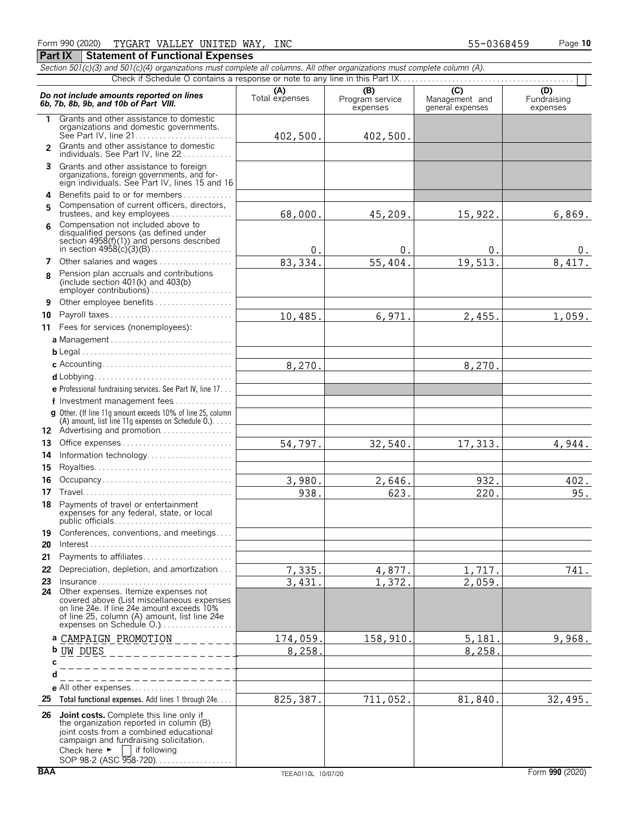#### *Section 501(c)(3) and 501(c)(4) organizations must complete all columns. All other organizations must complete column (A).* Check if Schedule O contains a response or note to any line in this Part IX. Do not include amounts reported on lines<br> **6b, 7b, 8b, 9b, and 10b of Part VIII.**<br> **6b, 7b, 8b, 9b, and 10b of Part VIII.**<br>
expenses and the strenges and the critical expenses and the strenges **1** Grants and other assistance to domestic organizations and domestic governments. See Part IV, line 21. . . . . . . . . . . . . . . . . . . . . . . . Grants and other assistance to domestic **2** individuals. See Part IV, line 22 . . . . . . . **3** Grants and other assistance to foreign organizations, foreign governments, and for-eign individuals. See Part IV, lines 15 and 16 **4** Benefits paid to or for members. . . . . . . . . . . . . Compensation of current officers, directors, **5** trustees, and key employees . . . . . . . . . . . . Compensation not included above to **6** disqualified persons (as defined under section 4958(f)(1)) and persons described in section 4958(c)(3)(B). . . . . . . . . . . . . . . . . . . . **7** Other salaries and wages................ Pension plan accruals and contributions **8** (include section 401(k) and 403(b) employer contributions) . . . . . . . . . . . **9** Other employee benefits . . . . . . . . **10** Payroll taxes . . . . . . . . . . . . . . . . . . **11** Fees for services (nonemployees): **a** Management . . . . . . . . . . . . . . . . . . . . . . . . . . . . . . **b** Legal. . . . . . . . . . . . . . . . . . . . . . . . . . . . . . . . . . . . . . **c** Accounting. . . . . . . . . . . . . . . . . . . . . . . . . . . . . . . . **d** Lobbying............................ **e** Professional fundraising services. See Part IV, line 17. . . **f** Investment management fees. . . . . . . . . . . . . . . **g** Other. (If line 11g amount exceeds 10% of line 25, column (A) amount, list line 11g expenses on Schedule O.). . . . . 12 Advertising and promotion. . . . . . . . . . . . **13** Office expenses. . . . . . . . . . . . . . . . . . . . . . . . . . . . **14** Information technology.............. **15** Royalties. . . . . . . . . . . . . . . . . . . . . . . . . . . . . . . . . . **16** Occupancy . . . . . . . . . . . . **17** Travel. . . . . . . . . . . . . . . . . . . . . . . . . . . . . . . . . . . . . **18** Payments of travel or entertainment expenses for any federal, state, or local public officials. . . . . . . . . . . . . . . . . . . . . . . . . . . . . **19** Conferences, conventions, and meetings.... **20** Interest. . . . . . . . . . . . . . . . . . . . . . . . . . . . . . . . . . . . **21** Payments to affiliates. . . . . . . . . . . . . . . . . . . . . . **22** Depreciation, depletion, and amortization. . . . **23** Insurance . . . . . . . . . . . . . . . . . . . . . . . . . . . . . . . . . **24** Other expenses. Itemize expenses not covered above (List miscellaneous expenses on line 24e. If line 24e amount exceeds 10% of line 25, column (A) amount, list line 24e expenses on Schedule O.).................. **a** CAMPAIGN PROMOTION **b c d e** All other expenses. . . . . . . . . . . . . . . . . . **25 Total functional expenses.** Add lines 1 through 24e. . . . **26 Joint costs.** Complete this line only if the organization reported in column (B) joint costs from a combined educational campaign and fundraising solicitation.<br>Check here  $\blacktriangleright \Box$  if following 402,500. 402,500. 68,000. 45,209. 15,922. 6,869.  $0.$  0. 0. 0. 0.  $83,334.$   $55,404.$   $19,513.$   $8,417.$ 10,485. 6,971. 2,455. 1,059. 8,270. 8,270. 54,797. 32,540. 17,313. 4,944.  $3,980.$  2,646. 932. 402. 938. 623. 220. 95.  $7,335.$  4,877. 1,717. 741. 3,431. 1,372. 2,059. 174,059. 158,910. 5,181. 9,968 8,258. 8,258. 825,387. 711,052. 81,840. 32,495. UW DUES

 $\Box$  if following SOP 98-2 (ASC 958-720). . . . . . . . . . . .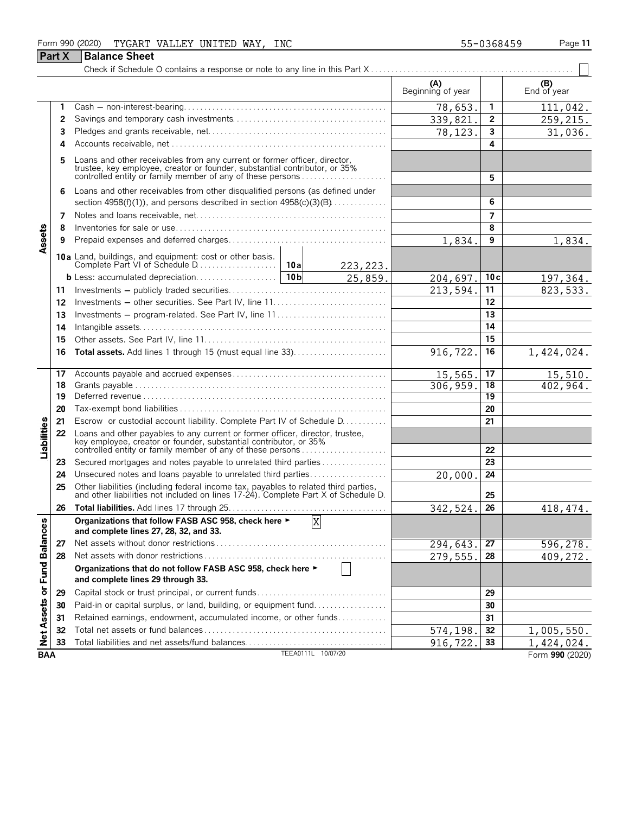### Form 990 (2020) Page **11** TYGART VALLEY UNITED WAY, INC 55-0368459

| ЭΟ | ۱ρ |  |
|----|----|--|

|                             | Part X | <b>Balance Sheet</b>                                                                                                                                                                                             |                    |                      |                          |     |                    |
|-----------------------------|--------|------------------------------------------------------------------------------------------------------------------------------------------------------------------------------------------------------------------|--------------------|----------------------|--------------------------|-----|--------------------|
|                             |        |                                                                                                                                                                                                                  |                    |                      |                          |     |                    |
|                             |        |                                                                                                                                                                                                                  |                    |                      | (A)<br>Beginning of year |     | (B)<br>End of year |
|                             | 1      |                                                                                                                                                                                                                  |                    |                      | 78,653.                  | 1.  | 111,042.           |
|                             | 2      |                                                                                                                                                                                                                  |                    |                      | 339,821.                 | 2   | 259,215.           |
|                             | 3      |                                                                                                                                                                                                                  |                    |                      | 78,123.                  | 3   | 31,036.            |
|                             | 4      |                                                                                                                                                                                                                  |                    |                      |                          | 4   |                    |
|                             | 5      | Loans and other receivables from any current or former officer, director, trustee, key employee, creator or founder, substantial contributor, or 35% controlled entity or family member of any of these persons  |                    |                      |                          | 5   |                    |
|                             | 6      | Loans and other receivables from other disqualified persons (as defined under<br>section $4958(f)(1)$ , and persons described in section $4958(c)(3)(B)$                                                         |                    |                      |                          | 6   |                    |
|                             | 7      |                                                                                                                                                                                                                  |                    |                      |                          | 7   |                    |
|                             | 8      |                                                                                                                                                                                                                  |                    |                      |                          | 8   |                    |
| Assets                      | 9      |                                                                                                                                                                                                                  |                    |                      | 1,834.                   | 9   | 1,834.             |
|                             |        | 10a Land, buildings, and equipment: cost or other basis.                                                                                                                                                         |                    |                      |                          |     |                    |
|                             |        |                                                                                                                                                                                                                  |                    | 223, 223.<br>25,859. | 204,697.                 | 10c | 197,364.           |
|                             | 11     |                                                                                                                                                                                                                  |                    |                      | 213,594.                 | 11  | 823,533.           |
|                             | 12     |                                                                                                                                                                                                                  |                    |                      |                          | 12  |                    |
|                             | 13     | Investments – program-related. See Part IV, line 11                                                                                                                                                              |                    |                      |                          | 13  |                    |
|                             | 14     |                                                                                                                                                                                                                  |                    |                      |                          | 14  |                    |
|                             | 15     |                                                                                                                                                                                                                  |                    |                      |                          | 15  |                    |
|                             | 16     | <b>Total assets.</b> Add lines 1 through 15 (must equal line 33)                                                                                                                                                 |                    |                      | 916,722.                 | 16  | 1,424,024.         |
|                             |        |                                                                                                                                                                                                                  |                    |                      |                          |     |                    |
|                             | 17     |                                                                                                                                                                                                                  | 15,565.            | 17                   | 15,510.                  |     |                    |
|                             | 18     |                                                                                                                                                                                                                  |                    |                      | 306, 959.                | 18  | 402,964.           |
|                             | 19     |                                                                                                                                                                                                                  |                    |                      |                          | 19  |                    |
|                             | 20     |                                                                                                                                                                                                                  |                    |                      |                          | 20  |                    |
|                             | 21     | Escrow or custodial account liability. Complete Part IV of Schedule D.                                                                                                                                           |                    |                      |                          | 21  |                    |
| Liabilities                 | 22     | Loans and other payables to any current or former officer, director, trustee,<br>key employee, creator or founder, substantial contributor, or 35%<br>controlled entity or family member of any of these persons |                    |                      |                          | 22  |                    |
|                             | 23     | Secured mortgages and notes payable to unrelated third parties                                                                                                                                                   |                    |                      |                          | 23  |                    |
|                             | 24     | Unsecured notes and loans payable to unrelated third parties                                                                                                                                                     |                    |                      | 20,000.                  | 24  |                    |
|                             | 25     | Other liabilities (including federal income tax, payables to related third parties, and other liabilities not included on lines 17-24). Complete Part X of Schedule D.                                           |                    |                      |                          | 25  |                    |
|                             |        |                                                                                                                                                                                                                  |                    |                      | 342,524                  | 26  | 418, 474           |
|                             |        | Organizations that follow FASB ASC 958, check here ►<br>and complete lines 27, 28, 32, and 33.                                                                                                                   | $\mathbf X$        |                      |                          |     |                    |
|                             | 27     |                                                                                                                                                                                                                  |                    |                      | 294,643.                 | 27  | 596,278.           |
|                             | 28     |                                                                                                                                                                                                                  |                    |                      | 279,555.                 | 28  | 409,272.           |
| Net Assets or Fund Balances |        | Organizations that do not follow FASB ASC 958, check here ►<br>and complete lines 29 through 33.                                                                                                                 |                    |                      |                          |     |                    |
|                             | 29     |                                                                                                                                                                                                                  |                    | 29                   |                          |     |                    |
|                             | 30     | Paid-in or capital surplus, or land, building, or equipment fund                                                                                                                                                 |                    |                      |                          | 30  |                    |
|                             | 31     | Retained earnings, endowment, accumulated income, or other funds                                                                                                                                                 |                    |                      |                          | 31  |                    |
|                             | 32     |                                                                                                                                                                                                                  |                    |                      | 574,198.                 | 32  | 1,005,550.         |
|                             | 33     | Total liabilities and net assets/fund balances                                                                                                                                                                   |                    |                      | 916,722                  | 33  | 1,424,024.         |
| <b>BAA</b>                  |        |                                                                                                                                                                                                                  | TEEA0111L 10/07/20 |                      |                          |     | Form 990 (2020)    |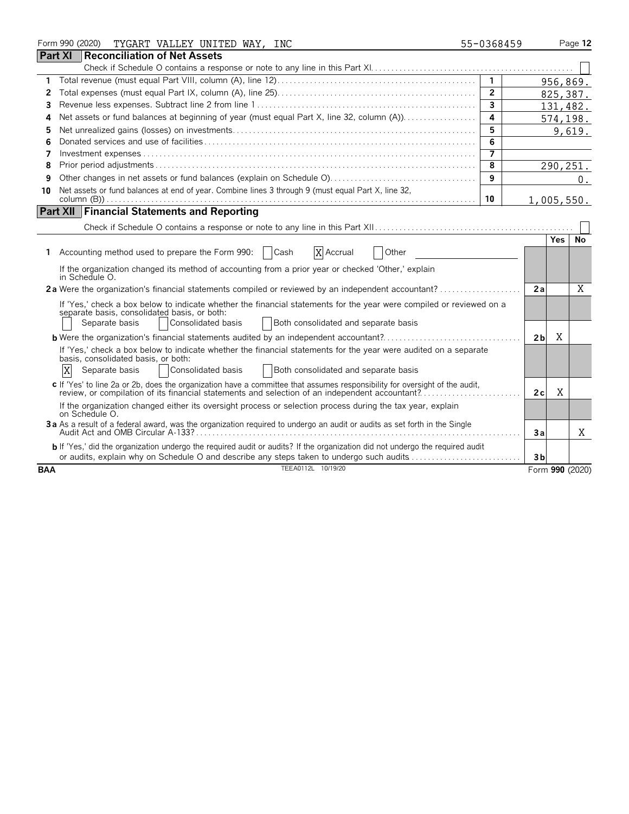|            | Form 990 (2020)<br>TYGART VALLEY UNITED WAY, INC                                                                                                                                                                               | 55-0368459     |                |            | Page 12         |
|------------|--------------------------------------------------------------------------------------------------------------------------------------------------------------------------------------------------------------------------------|----------------|----------------|------------|-----------------|
|            | <b>Part XI</b><br>Reconciliation of Net Assets                                                                                                                                                                                 |                |                |            |                 |
|            |                                                                                                                                                                                                                                |                |                |            |                 |
| 1.         |                                                                                                                                                                                                                                | $\mathbf{1}$   |                | 956,869.   |                 |
| 2          |                                                                                                                                                                                                                                | $\overline{2}$ |                | 825,387.   |                 |
| 3          |                                                                                                                                                                                                                                | $\overline{3}$ |                | 131,482.   |                 |
| 4          | Net assets or fund balances at beginning of year (must equal Part X, line 32, column (A))                                                                                                                                      | 4              |                |            | 574,198.        |
| 5          |                                                                                                                                                                                                                                | 5              |                |            | 9,619.          |
| 6          |                                                                                                                                                                                                                                | 6              |                |            |                 |
| 7          |                                                                                                                                                                                                                                | $\overline{7}$ |                |            |                 |
| 8          |                                                                                                                                                                                                                                | 8              |                | 290, 251.  |                 |
| 9          |                                                                                                                                                                                                                                | 9              |                |            | 0.              |
| 10         | Net assets or fund balances at end of year. Combine lines 3 through 9 (must equal Part X, line 32,                                                                                                                             |                |                |            |                 |
|            |                                                                                                                                                                                                                                | 10             |                | 1,005,550. |                 |
|            | <b>Part XII Financial Statements and Reporting</b>                                                                                                                                                                             |                |                |            |                 |
|            |                                                                                                                                                                                                                                |                |                |            |                 |
|            |                                                                                                                                                                                                                                |                |                | <b>Yes</b> | No.             |
| 1          | X Accrual<br>Accounting method used to prepare the Form 990:<br>Other<br>Cash                                                                                                                                                  |                |                |            |                 |
|            | If the organization changed its method of accounting from a prior year or checked 'Other,' explain<br>in Schedule O.                                                                                                           |                |                |            |                 |
|            | 2a Were the organization's financial statements compiled or reviewed by an independent accountant?                                                                                                                             |                | 2a             |            | X               |
|            | If 'Yes,' check a box below to indicate whether the financial statements for the year were compiled or reviewed on a                                                                                                           |                |                |            |                 |
|            | separate basis, consolidated basis, or both:                                                                                                                                                                                   |                |                |            |                 |
|            | Consolidated basis<br>Both consolidated and separate basis<br>Separate basis                                                                                                                                                   |                |                |            |                 |
|            |                                                                                                                                                                                                                                |                | 2 <sub>b</sub> | X          |                 |
|            | If 'Yes,' check a box below to indicate whether the financial statements for the year were audited on a separate                                                                                                               |                |                |            |                 |
|            | basis, consolidated basis, or both:                                                                                                                                                                                            |                |                |            |                 |
|            | Consolidated basis<br>ΙX<br>Both consolidated and separate basis<br>Separate basis                                                                                                                                             |                |                |            |                 |
|            | c If 'Yes' to line 2a or 2b, does the organization have a committee that assumes responsibility for oversight of the audit,<br>review, or compilation of its financial statements and selection of an independent accountant?. |                | 2c             | X          |                 |
|            | If the organization changed either its oversight process or selection process during the tax year, explain<br>on Schedule O.                                                                                                   |                |                |            |                 |
|            | 3a As a result of a federal award, was the organization required to undergo an audit or audits as set forth in the Single                                                                                                      |                | Зa             |            | X               |
|            | b If 'Yes,' did the organization undergo the required audit or audits? If the organization did not undergo the required audit                                                                                                  |                |                |            |                 |
|            | or audits, explain why on Schedule O and describe any steps taken to undergo such audits                                                                                                                                       |                | 3 <sub>b</sub> |            |                 |
| <b>BAA</b> | TEEA0112L 10/19/20                                                                                                                                                                                                             |                |                |            | Form 990 (2020) |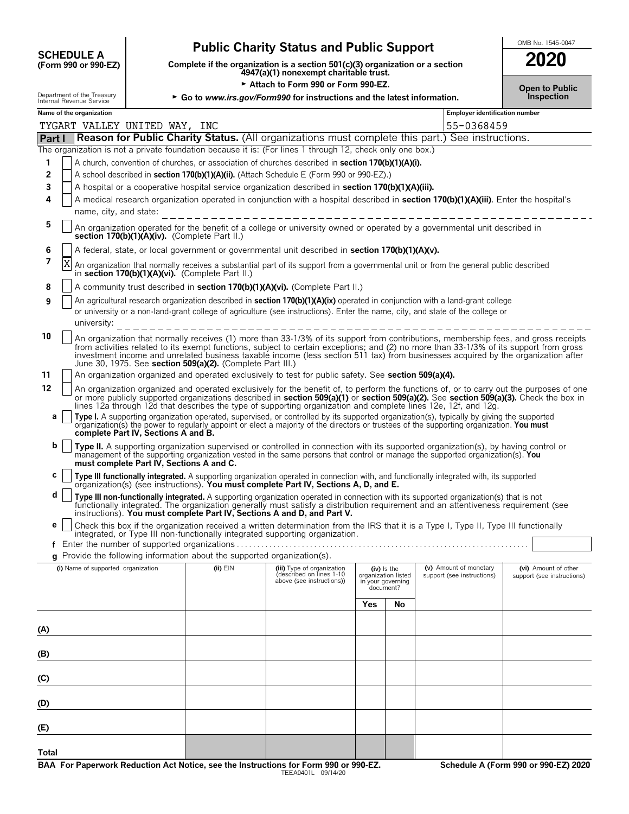| <b>SCHEDULE A</b>             |  |
|-------------------------------|--|
| $(F_{\rm O}$ rm 990 or 990-FZ |  |

# Public Charity Status and Public Support<br>
Complete if the organization is a section 501(c)(3) organization or a section

**COMPOSCHEDULE A**<br>(Form 990 or 990-EZ) Complete if the organization is a section 501(c)(3) organization or a section<br>4947(a)(1) nonexempt charitable trust.

Attach to Form 990 or Form 990-EZ.

| 2020 |  |
|------|--|
|      |  |

| Department of the Treasury<br>Internal Revenue Service |                                                                                                                                                                |                                                                                                                                                                            | $\triangleright$ Go to www.irs.gov/Form990 for instructions and the latest information. |                                                                                                                                                                                                                                                                                                                                                                                                                                                                                                                                                                                                                                                                                             |                                                                      |    |                                       | ושו ו טוויט<br>Inspection  |  |
|--------------------------------------------------------|----------------------------------------------------------------------------------------------------------------------------------------------------------------|----------------------------------------------------------------------------------------------------------------------------------------------------------------------------|-----------------------------------------------------------------------------------------|---------------------------------------------------------------------------------------------------------------------------------------------------------------------------------------------------------------------------------------------------------------------------------------------------------------------------------------------------------------------------------------------------------------------------------------------------------------------------------------------------------------------------------------------------------------------------------------------------------------------------------------------------------------------------------------------|----------------------------------------------------------------------|----|---------------------------------------|----------------------------|--|
|                                                        | Name of the organization                                                                                                                                       |                                                                                                                                                                            |                                                                                         |                                                                                                                                                                                                                                                                                                                                                                                                                                                                                                                                                                                                                                                                                             |                                                                      |    | <b>Employer identification number</b> |                            |  |
|                                                        | TYGART VALLEY UNITED WAY, INC                                                                                                                                  |                                                                                                                                                                            |                                                                                         |                                                                                                                                                                                                                                                                                                                                                                                                                                                                                                                                                                                                                                                                                             |                                                                      |    | 55-0368459                            |                            |  |
| Part I                                                 |                                                                                                                                                                |                                                                                                                                                                            |                                                                                         | Reason for Public Charity Status. (All organizations must complete this part.) See instructions.                                                                                                                                                                                                                                                                                                                                                                                                                                                                                                                                                                                            |                                                                      |    |                                       |                            |  |
|                                                        |                                                                                                                                                                |                                                                                                                                                                            |                                                                                         | The organization is not a private foundation because it is: (For lines 1 through 12, check only one box.)                                                                                                                                                                                                                                                                                                                                                                                                                                                                                                                                                                                   |                                                                      |    |                                       |                            |  |
| 1                                                      |                                                                                                                                                                |                                                                                                                                                                            |                                                                                         | A church, convention of churches, or association of churches described in <b>section 170(b)(1)(A)(i).</b>                                                                                                                                                                                                                                                                                                                                                                                                                                                                                                                                                                                   |                                                                      |    |                                       |                            |  |
| $\overline{2}$                                         |                                                                                                                                                                |                                                                                                                                                                            |                                                                                         | A school described in section 170(b)(1)(A)(ii). (Attach Schedule E (Form 990 or 990-EZ).)                                                                                                                                                                                                                                                                                                                                                                                                                                                                                                                                                                                                   |                                                                      |    |                                       |                            |  |
| 3<br>4                                                 |                                                                                                                                                                |                                                                                                                                                                            |                                                                                         | A hospital or a cooperative hospital service organization described in section 170(b)(1)(A)(iii).                                                                                                                                                                                                                                                                                                                                                                                                                                                                                                                                                                                           |                                                                      |    |                                       |                            |  |
|                                                        | A medical research organization operated in conjunction with a hospital described in section 170(b)(1)(A)(iii). Enter the hospital's<br>name, city, and state: |                                                                                                                                                                            |                                                                                         |                                                                                                                                                                                                                                                                                                                                                                                                                                                                                                                                                                                                                                                                                             |                                                                      |    |                                       |                            |  |
| 5                                                      |                                                                                                                                                                | An organization operated for the benefit of a college or university owned or operated by a governmental unit described in<br>section 170(b)(1)(A)(iv). (Complete Part II.) |                                                                                         |                                                                                                                                                                                                                                                                                                                                                                                                                                                                                                                                                                                                                                                                                             |                                                                      |    |                                       |                            |  |
| 6                                                      |                                                                                                                                                                |                                                                                                                                                                            |                                                                                         | A federal, state, or local government or governmental unit described in section 170(b)(1)(A)(v).                                                                                                                                                                                                                                                                                                                                                                                                                                                                                                                                                                                            |                                                                      |    |                                       |                            |  |
| 7                                                      | Χ                                                                                                                                                              |                                                                                                                                                                            | in section 170(b)(1)(A)(vi). (Complete Part II.)                                        | An organization that normally receives a substantial part of its support from a governmental unit or from the general public described                                                                                                                                                                                                                                                                                                                                                                                                                                                                                                                                                      |                                                                      |    |                                       |                            |  |
| 8                                                      |                                                                                                                                                                |                                                                                                                                                                            |                                                                                         | A community trust described in section 170(b)(1)(A)(vi). (Complete Part II.)                                                                                                                                                                                                                                                                                                                                                                                                                                                                                                                                                                                                                |                                                                      |    |                                       |                            |  |
| 9                                                      | university:                                                                                                                                                    |                                                                                                                                                                            |                                                                                         | An agricultural research organization described in section 170(b)(1)(A)(ix) operated in conjunction with a land-grant college<br>or university or a non-land-grant college of agriculture (see instructions). Enter the name, city, and state of the college or<br>________________________________                                                                                                                                                                                                                                                                                                                                                                                         |                                                                      |    |                                       |                            |  |
| 10                                                     |                                                                                                                                                                |                                                                                                                                                                            | June 30, 1975. See section 509(a)(2). (Complete Part III.)                              | An organization that normally receives (1) more than 33-1/3% of its support from contributions, membership fees, and gross receipts<br>from activities related to its exempt functions, subject to certain exceptions; and (2) no more than 33-1/3% of its support from gross<br>investment income and unrelated business taxable income (less section 511 tax) from businesses acquired by the organization after                                                                                                                                                                                                                                                                          |                                                                      |    |                                       |                            |  |
| 11                                                     |                                                                                                                                                                |                                                                                                                                                                            |                                                                                         | An organization organized and operated exclusively to test for public safety. See section 509(a)(4).                                                                                                                                                                                                                                                                                                                                                                                                                                                                                                                                                                                        |                                                                      |    |                                       |                            |  |
| 12<br>а                                                |                                                                                                                                                                | complete Part IV, Sections A and B.                                                                                                                                        |                                                                                         | An organization organized and operated exclusively for the benefit of, to perform the functions of, or to carry out the purposes of one<br>or more publicly supported organizations described in section 509(a)(1) or section 509(a)(2). See section 509(a)(3). Check the box in<br>lines 12a through 12d that describes the type of supporting organization and complete lines 12e, 12f, and 12g.<br>Type I. A supporting organization operated, supervised, or controlled by its supported organization(s), typically by giving the supported<br>organization(s) the power to regularly appoint or elect a majority of the directors or trustees of the supporting organization. You must |                                                                      |    |                                       |                            |  |
| b                                                      |                                                                                                                                                                | must complete Part IV, Sections A and C.                                                                                                                                   |                                                                                         | Type II. A supporting organization supervised or controlled in connection with its supported organization(s), by having control or<br>management of the supporting organization vested in the same persons that control or manage the supported organization(s). You                                                                                                                                                                                                                                                                                                                                                                                                                        |                                                                      |    |                                       |                            |  |
| С                                                      |                                                                                                                                                                |                                                                                                                                                                            |                                                                                         | Type III functionally integrated. A supporting organization operated in connection with, and functionally integrated with, its supported organization(s) (see instructions). You must complete Part IV, Sections A, D, and E.                                                                                                                                                                                                                                                                                                                                                                                                                                                               |                                                                      |    |                                       |                            |  |
| d                                                      |                                                                                                                                                                |                                                                                                                                                                            |                                                                                         | Type III non-functionally integrated. A supporting organization operated in connection with its supported organization(s) that is not<br>functionally integrated. The organization generally must satisfy a distribution requirement and an attentiveness requirement (see<br>instructions). You must complete Part IV, Sections A and D, and Part V.                                                                                                                                                                                                                                                                                                                                       |                                                                      |    |                                       |                            |  |
| е                                                      |                                                                                                                                                                |                                                                                                                                                                            |                                                                                         | Check this box if the organization received a written determination from the IRS that it is a Type I, Type II, Type III functionally<br>integrated, or Type III non-functionally integrated supporting organization.                                                                                                                                                                                                                                                                                                                                                                                                                                                                        |                                                                      |    |                                       |                            |  |
|                                                        |                                                                                                                                                                |                                                                                                                                                                            | g Provide the following information about the supported organization(s).                |                                                                                                                                                                                                                                                                                                                                                                                                                                                                                                                                                                                                                                                                                             |                                                                      |    |                                       |                            |  |
|                                                        | (i) Name of supported organization                                                                                                                             |                                                                                                                                                                            | (ii) EIN                                                                                | (iii) Type of organization                                                                                                                                                                                                                                                                                                                                                                                                                                                                                                                                                                                                                                                                  |                                                                      |    | (v) Amount of monetary                | (vi) Amount of other       |  |
|                                                        |                                                                                                                                                                |                                                                                                                                                                            |                                                                                         | (described on lines 1-10<br>above (see instructions))                                                                                                                                                                                                                                                                                                                                                                                                                                                                                                                                                                                                                                       | (iv) Is the<br>organization listed<br>in your governing<br>document? |    | support (see instructions)            | support (see instructions) |  |
|                                                        |                                                                                                                                                                |                                                                                                                                                                            |                                                                                         |                                                                                                                                                                                                                                                                                                                                                                                                                                                                                                                                                                                                                                                                                             | Yes                                                                  | No |                                       |                            |  |
| (A)                                                    |                                                                                                                                                                |                                                                                                                                                                            |                                                                                         |                                                                                                                                                                                                                                                                                                                                                                                                                                                                                                                                                                                                                                                                                             |                                                                      |    |                                       |                            |  |
| (B)                                                    |                                                                                                                                                                |                                                                                                                                                                            |                                                                                         |                                                                                                                                                                                                                                                                                                                                                                                                                                                                                                                                                                                                                                                                                             |                                                                      |    |                                       |                            |  |
| (C)                                                    |                                                                                                                                                                |                                                                                                                                                                            |                                                                                         |                                                                                                                                                                                                                                                                                                                                                                                                                                                                                                                                                                                                                                                                                             |                                                                      |    |                                       |                            |  |
| (D)                                                    |                                                                                                                                                                |                                                                                                                                                                            |                                                                                         |                                                                                                                                                                                                                                                                                                                                                                                                                                                                                                                                                                                                                                                                                             |                                                                      |    |                                       |                            |  |
| (E)                                                    |                                                                                                                                                                |                                                                                                                                                                            |                                                                                         |                                                                                                                                                                                                                                                                                                                                                                                                                                                                                                                                                                                                                                                                                             |                                                                      |    |                                       |                            |  |
| Total                                                  |                                                                                                                                                                |                                                                                                                                                                            |                                                                                         |                                                                                                                                                                                                                                                                                                                                                                                                                                                                                                                                                                                                                                                                                             |                                                                      |    |                                       |                            |  |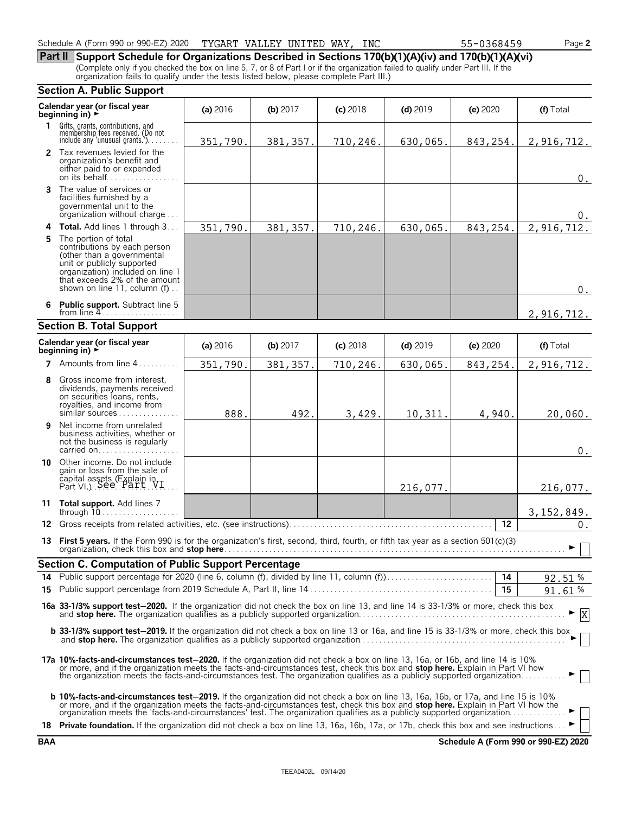**Part II Support Schedule for Organizations Described in Sections 170(b)(1)(A)(iv) and 170(b)(1)(A)(vi)** (Complete only if you checked the box on line 5, 7, or 8 of Part I or if the organization failed to qualify under Part III. If the organization fails to qualify under the tests listed below, please complete Part III.)

#### **Section A. Public Support Calendar year (or fiscal year (a)** <sup>2016</sup> **(b)** <sup>2017</sup> **(c)** <sup>2018</sup> **(d)** <sup>2019</sup> **(e)** <sup>2020</sup> **(f)** Total **beginning in)** <sup>G</sup> **1** Gifts, grants, contributions, and<br>
membership fees received. (Do not<br>
include any 'unusual grants.'). . . . . . . . **2** Tax revenues levied for the organization's benefit and either paid to or expended on its behalf. . . . . . . . . . . . **3** The value of services or facilities furnished by a governmental unit to the organization without charge. . . . **4 Total.** Add lines 1 through 3 . . . **5** The portion of total contributions by each person (other than a governmental unit or publicly supported organization) included on line 1 that exceeds 2% of the amount shown on line 11, column (f)... **6 Public support.** Subtract line 5 from line 4 **Section B. Total Support Calendar year (or fiscal year (a) 2016 <b>(b)** 2017 **(c)** 2018 **(d)** 2019 **(e)** 2020 **(f)** Total **beginning in) 7** Amounts from line 4...... **8** Gross income from interest, dividends, payments received on securities loans, rents, royalties, and income from similar sources . . . . . . . **9** Net income from unrelated business activities, whether or not the business is regularly carried on. . . . . . . . . . . . . . . . . . . . **10** Other income. Do not include gain or loss from the sale of capital assets (Explain in  $Part VI.$ ). See  $Part VI.$ ... **11 Total support.** Add lines 7 through 10. . . . . . . . . . . . . . . . . . . . **12** Gross receipts from related activities, etc. (see instructions). . . . . . . . . . . . . . . . . . . . . . . . . . . . . . . . . . . . . . . . . . . . . . . . . . **12 13 First 5 years.** If the Form 990 is for the organization's first, second, third, fourth, or fifth tax year as a section 501(c)(3) organization, check this box and **stop here**. . . . . . . . . . . . . . . . . . . . . . . . . . . . . . . . . . . . . . . . . . . . . . . . . . . . . . . . . . . . . . . . . . . . . . . . . . . . . . . . . . . . G **Section C. Computation of Public Support Percentage 14** Public support percentage for 2020 (line 6, column (f), divided by line 11, column (f)). . . . . . . . . . . . . . . . . . . . . . . . . . **14** % **15** Public support percentage from 2019 Schedule A, Part II, line 14 . . . . . . . . . . . . . . . . . . . . . . . . . . . . . . . . . . . . . . . . . . . . . **15** % **16a 33-1/3% support test**'**2020.** If the organization did not check the box on line 13, and line 14 is 33-1/3% or more, check this box and **stop here.** The organization qualifies as a publicly supported organization. . . . . . . . . . . . . . . . . . . . . . . . . . . . . . . . . . . . . . . . . . . . . . . . . . . G **b 33-1/3% support test-2019.** If the organization did not check a box on line 13 or 16a, and line 15 is 33-1/3% or more, check this box and **stop here.** The organization qualifies as a publicly supported organization. . . . . . . . . . . . . . . . . . . . . . . . . . . . . . . . . . . . . . . . . . . . . . . . . . . G **17a 10%-facts-and-circumstances test**'**2020.** If the organization did not check a box on line 13, 16a, or 16b, and line 14 is 10% or more, and if the organization meets the facts-and-circumstances test, check this box and **stop here.** Explain in Part VI how<br>the organization meets the facts-and-circumstances test. The organization qualifies as a publ **b** 10%-facts-and-circumstances test-2019. If the organization did not check a box on line 13, 16a, 16b, or 17a, and line 15 is 10% or more, and if the organization meets the facts-and-circumstances test, check this box and **stop here.** Explain in Part VI how the<br>organization meets the 'facts-and-circumstances' test. The organization qualifies as a pu 18 **Private foundation.** If the organization did not check a box on line 13, 16a, 16b, 17a, or 17b, check this box and see instructions. 351,790. 381,357. 710,246. 630,065. 843,254. 2,916,712. 0.  $\Omega$ 351,790. 381,357. 710,246. 630,065. 843,254. 2,916,712. 0. 2,916,712. 351,790. 381,357. 710,246. 630,065. 843,254. 2,916,712. 888. 492. 3,429. 10,311. 4,940. 20,060.  $\boldsymbol{0}$  . 216,077. 3,152,849.  $0.$ 92.51 91.61 X

**BAA Schedule A (Form 990 or 990-EZ) 2020**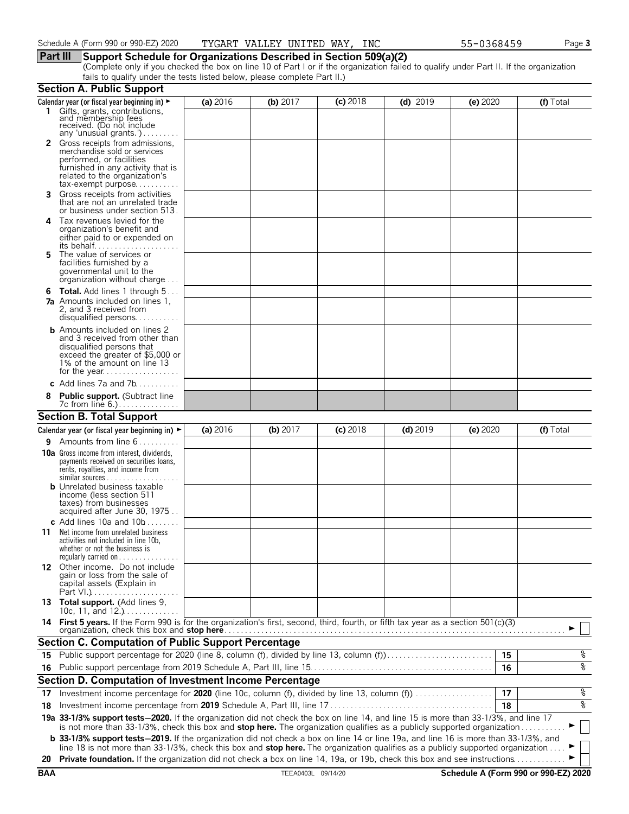## **Part III Support Schedule for Organizations Described in Section 509(a)(2)**

(Complete only if you checked the box on line 10 of Part I or if the organization failed to qualify under Part II. If the organization fails to qualify under the tests listed below, please complete Part II.)

|            | <b>Section A. Public Support</b>                                                                                                                                                                                                                                              |          |                    |            |            |          |                                      |
|------------|-------------------------------------------------------------------------------------------------------------------------------------------------------------------------------------------------------------------------------------------------------------------------------|----------|--------------------|------------|------------|----------|--------------------------------------|
|            | Calendar year (or fiscal year beginning in) ►                                                                                                                                                                                                                                 | (a) 2016 | (b) $2017$         | $(c)$ 2018 | $(d)$ 2019 | (e) 2020 | (f) Total                            |
|            | 1 Gifts, grants, contributions,<br>and membership fees<br>received. (Do not include<br>any 'unusual grants.')                                                                                                                                                                 |          |                    |            |            |          |                                      |
|            | 2 Gross receipts from admissions,<br>merchandise sold or services<br>performed, or facilities<br>furnished in any activity that is<br>related to the organization's<br>$tax\text{-}exempt$ purpose                                                                            |          |                    |            |            |          |                                      |
| 3.         | Gross receipts from activities<br>that are not an unrelated trade<br>or business under section 513.                                                                                                                                                                           |          |                    |            |            |          |                                      |
| 4          | Tax revenues levied for the<br>organization's benefit and<br>either paid to or expended on                                                                                                                                                                                    |          |                    |            |            |          |                                      |
| 5.         | The value of services or<br>facilities furnished by a<br>governmental unit to the<br>organization without charge                                                                                                                                                              |          |                    |            |            |          |                                      |
| 6          | <b>Total.</b> Add lines 1 through 5<br><b>7a</b> Amounts included on lines 1,<br>2, and 3 received from<br>disqualified persons                                                                                                                                               |          |                    |            |            |          |                                      |
|            | <b>b</b> Amounts included on lines 2<br>and 3 received from other than<br>disqualified persons that<br>exceed the greater of \$5,000 or<br>1% of the amount on line 13                                                                                                        |          |                    |            |            |          |                                      |
|            | c Add lines $7a$ and $7b$                                                                                                                                                                                                                                                     |          |                    |            |            |          |                                      |
|            | <b>Public support.</b> (Subtract line                                                                                                                                                                                                                                         |          |                    |            |            |          |                                      |
|            | <b>Section B. Total Support</b>                                                                                                                                                                                                                                               |          |                    |            |            |          |                                      |
|            | Calendar year (or fiscal year beginning in) $\blacktriangleright$                                                                                                                                                                                                             | (a) 2016 | (b) 2017           | $(c)$ 2018 | $(d)$ 2019 | (e) 2020 | (f) Total                            |
| 9.         | Amounts from line 6                                                                                                                                                                                                                                                           |          |                    |            |            |          |                                      |
|            | <b>10a</b> Gross income from interest, dividends,<br>payments received on securities loans,<br>rents, royalties, and income from<br><b>b</b> Unrelated business taxable<br>income (less section 511<br>taxes) from businesses                                                 |          |                    |            |            |          |                                      |
|            | acquired after June 30, 1975                                                                                                                                                                                                                                                  |          |                    |            |            |          |                                      |
| 11         | c Add lines 10a and $10b$<br>Net income from unrelated business<br>activities not included in line 10b,<br>whether or not the business is<br>regularly carried on $\dots\dots\dots\dots$                                                                                      |          |                    |            |            |          |                                      |
|            | 12 Other income. Do not include<br>gain or loss from the sale of<br>capital assets (Explain in                                                                                                                                                                                |          |                    |            |            |          |                                      |
|            | 13 Total support. (Add lines 9,<br>10c, 11, and $12$                                                                                                                                                                                                                          |          |                    |            |            |          |                                      |
|            | 14 First 5 years. If the Form 990 is for the organization's first, second, third, fourth, or fifth tax year as a section 501(c)(3)<br>organization, check this box and stop here                                                                                              |          |                    |            |            |          |                                      |
|            | <b>Section C. Computation of Public Support Percentage</b>                                                                                                                                                                                                                    |          |                    |            |            |          |                                      |
|            | 15 Public support percentage for 2020 (line 8, column (f), divided by line 13, column (f)                                                                                                                                                                                     |          |                    |            |            | 15       | န့                                   |
|            |                                                                                                                                                                                                                                                                               |          |                    |            |            | 16       | ०१०                                  |
|            | Section D. Computation of Investment Income Percentage                                                                                                                                                                                                                        |          |                    |            |            |          |                                      |
| 17         |                                                                                                                                                                                                                                                                               |          |                    |            |            | 17       | %                                    |
| 18         |                                                                                                                                                                                                                                                                               |          |                    |            |            | 18       | ०७                                   |
|            | 19a 33-1/3% support tests-2020. If the organization did not check the box on line 14, and line 15 is more than 33-1/3%, and line 17<br>is not more than 33-1/3%, check this box and stop here. The organization qualifies as a publicly supported organization                |          |                    |            |            |          |                                      |
|            | <b>b</b> 33-1/3% support tests-2019. If the organization did not check a box on line 14 or line 19a, and line 16 is more than 33-1/3%, and<br>line 18 is not more than 33-1/3%, check this box and stop here. The organization qualifies as a publicly supported organization |          |                    |            |            |          |                                      |
| 20         | Private foundation. If the organization did not check a box on line 14, 19a, or 19b, check this box and see instructions.                                                                                                                                                     |          |                    |            |            |          |                                      |
| <b>BAA</b> |                                                                                                                                                                                                                                                                               |          | TEEA0403L 09/14/20 |            |            |          | Schedule A (Form 990 or 990-EZ) 2020 |
|            |                                                                                                                                                                                                                                                                               |          |                    |            |            |          |                                      |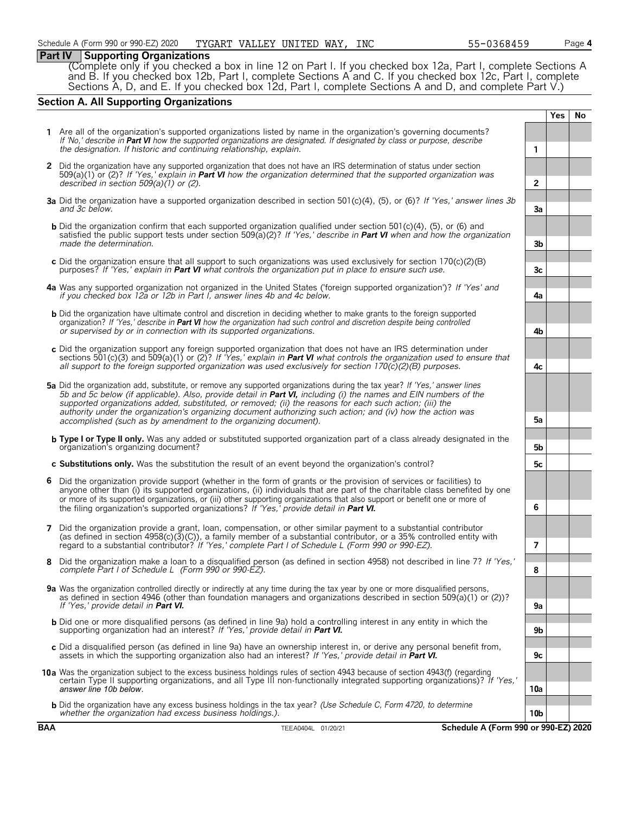## **Part IV Supporting Organizations**

(Complete only if you checked a box in line 12 on Part I. If you checked box 12a, Part I, complete Sections A and B. If you checked box 12b, Part I, complete Sections A and C. If you checked box 12c, Part I, complete Sections A, D, and E. If you checked box 12d, Part I, complete Sections A and D, and complete Part V.)

## **Section A. All Supporting Organizations**

|   |                                                                                                                                                                                                                                                                                                                                                                                                                                                                                                                                                      |                 | Yes | <b>No</b> |
|---|------------------------------------------------------------------------------------------------------------------------------------------------------------------------------------------------------------------------------------------------------------------------------------------------------------------------------------------------------------------------------------------------------------------------------------------------------------------------------------------------------------------------------------------------------|-----------------|-----|-----------|
|   | 1 Are all of the organization's supported organizations listed by name in the organization's governing documents?<br>If 'No,' describe in Part VI how the supported organizations are designated. If designated by class or purpose, describe<br>the designation. If historic and continuing relationship, explain.                                                                                                                                                                                                                                  | 1               |     |           |
|   | 2 Did the organization have any supported organization that does not have an IRS determination of status under section<br>509(a)(1) or (2)? If 'Yes,' explain in <b>Part VI</b> how the organization determined that the supported organization was<br>described in section $509(a)(1)$ or (2).                                                                                                                                                                                                                                                      | $\overline{2}$  |     |           |
|   | 3a Did the organization have a supported organization described in section 501(c)(4), (5), or (6)? If 'Yes,' answer lines 3b<br>and 3c below.                                                                                                                                                                                                                                                                                                                                                                                                        | 3a              |     |           |
|   | <b>b</b> Did the organization confirm that each supported organization qualified under section 501(c)(4), (5), or (6) and<br>satisfied the public support tests under section 509( $a(2)$ ? If 'Yes,' describe in Part VI when and how the organization<br>made the determination.                                                                                                                                                                                                                                                                   | 3b              |     |           |
|   | c Did the organization ensure that all support to such organizations was used exclusively for section $170(c)(2)(B)$<br>purposes? If 'Yes,' explain in <b>Part VI</b> what controls the organization put in place to ensure such use.                                                                                                                                                                                                                                                                                                                | 3c              |     |           |
|   | 4a Was any supported organization not organized in the United States ('foreign supported organization')? If 'Yes' and<br>if you checked box 12a or 12b in Part I, answer lines 4b and 4c below.                                                                                                                                                                                                                                                                                                                                                      | 4a              |     |           |
|   | <b>b</b> Did the organization have ultimate control and discretion in deciding whether to make grants to the foreign supported<br>organization? If 'Yes,' describe in Part VI how the organization had such control and discretion despite being controlled<br>or supervised by or in connection with its supported organizations.                                                                                                                                                                                                                   | 4b              |     |           |
|   | c Did the organization support any foreign supported organization that does not have an IRS determination under<br>sections 501(c)(3) and 509(a)(1) or (2)? If 'Yes,' explain in <b>Part VI</b> what controls the organization used to ensure that<br>all support to the foreign supported organization was used exclusively for section $170(c)(2)(B)$ purposes.                                                                                                                                                                                    | 4c              |     |           |
|   | 5a Did the organization add, substitute, or remove any supported organizations during the tax year? If 'Yes,' answer lines<br>5b and 5c below (if applicable). Also, provide detail in <b>Part VI</b> , including (i) the names and EIN numbers of the<br>supported organizations added, substituted, or removed; (ii) the reasons for each such action; (iii) the<br>authority under the organization's organizing document authorizing such action; and (iv) how the action was<br>accomplished (such as by amendment to the organizing document). | 5а              |     |           |
|   | <b>b</b> Type I or Type II only. Was any added or substituted supported organization part of a class already designated in the<br>organization's organizing document?                                                                                                                                                                                                                                                                                                                                                                                | 5b              |     |           |
|   | c Substitutions only. Was the substitution the result of an event beyond the organization's control?                                                                                                                                                                                                                                                                                                                                                                                                                                                 | 5c              |     |           |
| 6 | Did the organization provide support (whether in the form of grants or the provision of services or facilities) to<br>anyone other than (i) its supported organizations, (ii) individuals that are part of the charitable class benefited by one<br>or more of its supported organizations, or (iii) other supporting organizations that also support or benefit one or more of<br>the filing organization's supported organizations? If 'Yes,' provide detail in Part VI.                                                                           | 6               |     |           |
| 7 | Did the organization provide a grant, loan, compensation, or other similar payment to a substantial contributor<br>(as defined in section $4958(c)(3)(c)$ ), a family member of a substantial contributor, or a 35% controlled entity with<br>regard to a substantial contributor? If 'Yes,' complete Part I of Schedule L (Form 990 or 990-EZ).                                                                                                                                                                                                     | 7               |     |           |
| 8 | Did the organization make a loan to a disqualified person (as defined in section 4958) not described in line 7? If 'Yes,'<br>complete Part I of Schedule L (Form 990 or 990-EZ).                                                                                                                                                                                                                                                                                                                                                                     | 8               |     |           |
|   | 9a Was the organization controlled directly or indirectly at any time during the tax year by one or more disqualified persons,<br>as defined in section 4946 (other than foundation managers and organizations described in section 509(a)(1) or (2))?<br>If 'Yes,' provide detail in <b>Part VI.</b>                                                                                                                                                                                                                                                | 9а              |     |           |
|   | <b>b</b> Did one or more disqualified persons (as defined in line 9a) hold a controlling interest in any entity in which the<br>supporting organization had an interest? If 'Yes,' provide detail in Part VI.                                                                                                                                                                                                                                                                                                                                        | 9b              |     |           |
|   | c Did a disqualified person (as defined in line 9a) have an ownership interest in, or derive any personal benefit from,<br>assets in which the supporting organization also had an interest? If 'Yes,' provide detail in Part VI.                                                                                                                                                                                                                                                                                                                    | 9с              |     |           |
|   | 10a Was the organization subject to the excess business holdings rules of section 4943 because of section 4943(f) (regarding<br>certain Type II supporting organizations, and all Type III non-functionally integrated supporting organizations)? If 'Yes,'<br>answer line 10b below.                                                                                                                                                                                                                                                                | 10a             |     |           |
|   | <b>b</b> Did the organization have any excess business holdings in the tax year? (Use Schedule C, Form 4720, to determine<br>whether the organization had excess business holdings.).                                                                                                                                                                                                                                                                                                                                                                | 10 <sub>b</sub> |     |           |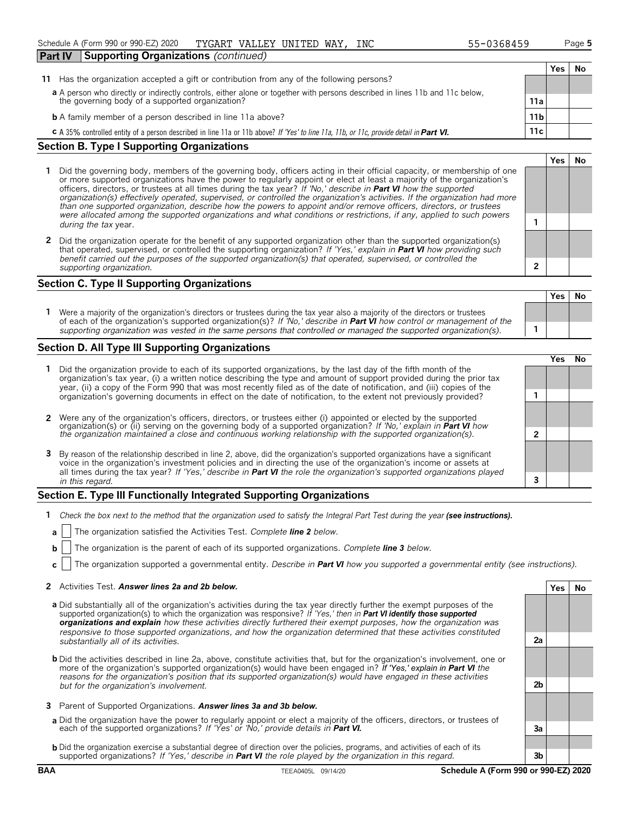| <b>Part IV</b> | <b>Supporting Organizations</b> (continued)                                                                                                                                    |                 |     |     |
|----------------|--------------------------------------------------------------------------------------------------------------------------------------------------------------------------------|-----------------|-----|-----|
|                |                                                                                                                                                                                |                 | Yes | No. |
| 11.            | Has the organization accepted a gift or contribution from any of the following persons?                                                                                        |                 |     |     |
|                | a A person who directly or indirectly controls, either alone or together with persons described in lines 11b and 11c below,<br>the governing body of a supported organization? | 11a             |     |     |
|                | <b>b</b> A family member of a person described in line 11a above?                                                                                                              | 11 <sub>b</sub> |     |     |
|                | C A 35% controlled entity of a person described in line 11a or 11b above? If 'Yes' to line 11a, 11b, or 11c, provide detail in Part VI.                                        | 11c             |     |     |

## **Section B. Type I Supporting Organizations**

- **1** Did the governing body, members of the governing body, officers acting in their official capacity, or membership of one or more supported organizations have the power to regularly appoint or elect at least a majority of the organization's officers, directors, or trustees at all times during the tax year? *If 'No,' describe in Part VI how the supported organization(s) effectively operated, supervised, or controlled the organization's activities. If the organization had more than one supported organization, describe how the powers to appoint and/or remove officers, directors, or trustees were allocated among the supported organizations and what conditions or restrictions, if any, applied to such powers* **1** *during the tax* year.
- **2** Did the organization operate for the benefit of any supported organization other than the supported organization(s) that operated, supervised, or controlled the supporting organization? *If 'Yes,' explain in Part VI how providing such benefit carried out the purposes of the supported organization(s) that operated, supervised, or controlled the supporting organization.* **2**

## **Section C. Type II Supporting Organizations**

**Yes No 1** Were a majority of the organization's directors or trustees during the tax year also a majority of the directors or trustees of each of the organization's supported organization(s)? *If 'No,' describe in Part VI how control or management of the supporting organization was vested in the same persons that controlled or managed the supported organization(s).* **1**

## **Section D. All Type III Supporting Organizations**

|                                                                                                                                                                                                                                                                                                                                                                                       |  | ∕e< |  |
|---------------------------------------------------------------------------------------------------------------------------------------------------------------------------------------------------------------------------------------------------------------------------------------------------------------------------------------------------------------------------------------|--|-----|--|
| 1 Did the organization provide to each of its supported organizations, by the last day of the fifth month of the<br>organization's tax year, (i) a written notice describing the type and amount of support provided during the prior tax<br>year, (ii) a copy of the Form 990 that was most recently filed as of the date of notification, and (iii) copies of the                   |  |     |  |
| organization's governing documents in effect on the date of notification, to the extent not previously provided?                                                                                                                                                                                                                                                                      |  |     |  |
| 2 Were any of the organization's officers, directors, or trustees either (i) appointed or elected by the supported                                                                                                                                                                                                                                                                    |  |     |  |
| organization(s) or (ii) serving on the governing body of a supported organization? If No, explain in <b>Part VI</b> how<br>the organization maintained a close and continuous working relationship with the supported organization(s).                                                                                                                                                |  |     |  |
| 3 By reason of the relationship described in line 2, above, did the organization's supported organizations have a significant<br>voice in the organization's investment policies and in directing the use of the organization's income or assets at<br>all times during the tax year? If 'Yes,' describe in <b>Part VI</b> the role the organization's supported organizations played |  |     |  |
| in this regard.                                                                                                                                                                                                                                                                                                                                                                       |  |     |  |

## **Section E. Type III Functionally Integrated Supporting Organizations**

- **1** *Check the box next to the method that the organization used to satisfy the Integral Part Test during the year (see instructions).*
- **a** The organization satisfied the Activities Test. *Complete line 2 below.*
- **b** The organization is the parent of each of its supported organizations. *Complete line 3 below.*
- **c** The organization supported a governmental entity. *Describe in Part VI how you supported a governmental entity (see instructions).*

## **2** Activities Test. *Answer lines 2a and 2b below.* **Yes No**

- **a** Did substantially all of the organization's activities during the tax year directly further the exempt purposes of the supported organization(s) to which the organization was responsive? *If 'Yes,' then in Part VI identify those supported organizations and explain how these activities directly furthered their exempt purposes, how the organization was responsive to those supported organizations, and how the organization determined that these activities constituted substantially all of its activities.* **2a**
- **b** Did the activities described in line 2a, above, constitute activities that, but for the organization's involvement, one or more of the organization's supported organization(s) would have been engaged in? *If 'Yes,' explain in Part VI the reasons for the organization's position that its supported organization(s) would have engaged in these activities but for the organization's involvement.* **2b**
- **3** Parent of Supported Organizations. *Answer lines 3a and 3b below.*
- **a** Did the organization have the power to regularly appoint or elect a majority of the officers, directors, or trustees of each of the supported organizations? *If 'Yes' or 'No,' provide details in Part VI.* **3a**
- **b** Did the organization exercise a substantial degree of direction over the policies, programs, and activities of each of its supported organizations? *If 'Yes,' describe in Part VI the role played by the organization in this regard.* **3b**

**Yes No**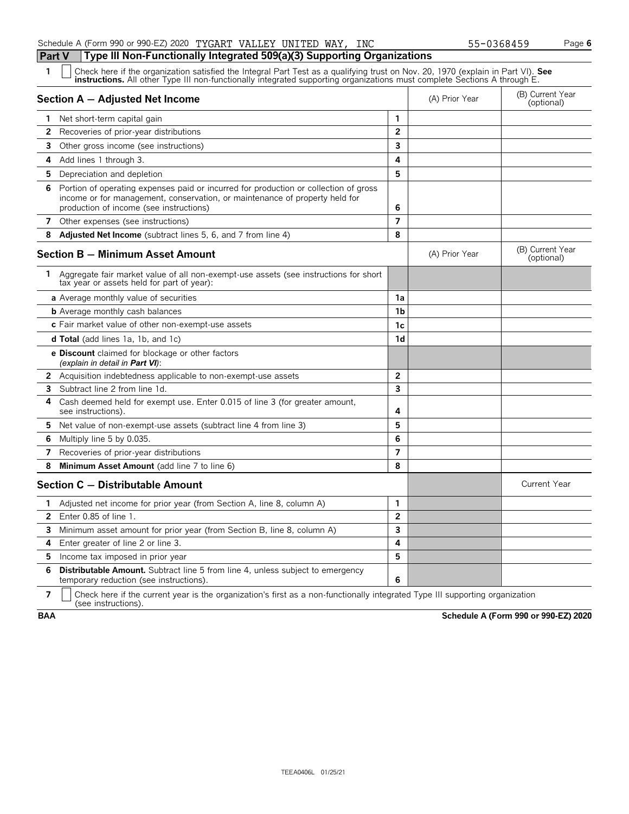## Schedule A (Form 990 or 990-EZ) 2020 Page **6** TYGART VALLEY UNITED WAY, INC 55-0368459

## **Part V Type III Non-Functionally Integrated 509(a)(3) Supporting Organizations**

Check here if the organization satisfied the Integral Part Test as a qualifying trust on Nov. 20, 1970 (explain in Part VI). See instructions. All other Type III non-functionally integrated supporting organizations must co

|              | Section A - Adjusted Net Income                                                                                                                                                                                |                         | (A) Prior Year | (B) Current Year<br>(optional) |
|--------------|----------------------------------------------------------------------------------------------------------------------------------------------------------------------------------------------------------------|-------------------------|----------------|--------------------------------|
| 1.           | Net short-term capital gain                                                                                                                                                                                    | 1                       |                |                                |
| 2            | Recoveries of prior-year distributions                                                                                                                                                                         | $\overline{2}$          |                |                                |
| 3            | Other gross income (see instructions)                                                                                                                                                                          | 3                       |                |                                |
| 4            | Add lines 1 through 3.                                                                                                                                                                                         | 4                       |                |                                |
| 5            | Depreciation and depletion                                                                                                                                                                                     | 5                       |                |                                |
| 6            | Portion of operating expenses paid or incurred for production or collection of gross<br>income or for management, conservation, or maintenance of property held for<br>production of income (see instructions) | 6                       |                |                                |
|              | 7 Other expenses (see instructions)                                                                                                                                                                            | $\overline{7}$          |                |                                |
|              | 8 Adjusted Net Income (subtract lines 5, 6, and 7 from line 4)                                                                                                                                                 | 8                       |                |                                |
|              | Section B - Minimum Asset Amount                                                                                                                                                                               |                         | (A) Prior Year | (B) Current Year<br>(optional) |
| 1            | Aggregate fair market value of all non-exempt-use assets (see instructions for short<br>tax year or assets held for part of year):                                                                             |                         |                |                                |
|              | <b>a</b> Average monthly value of securities                                                                                                                                                                   | 1a                      |                |                                |
|              | <b>b</b> Average monthly cash balances                                                                                                                                                                         | 1 <sub>b</sub>          |                |                                |
|              | c Fair market value of other non-exempt-use assets                                                                                                                                                             | 1c                      |                |                                |
|              | <b>d Total</b> (add lines 1a, 1b, and 1c)                                                                                                                                                                      | 1 <sub>d</sub>          |                |                                |
|              | <b>e Discount</b> claimed for blockage or other factors<br>(explain in detail in <b>Part VI</b> ):                                                                                                             |                         |                |                                |
|              | <b>2</b> Acquisition indebtedness applicable to non-exempt-use assets                                                                                                                                          | $\mathbf{2}$            |                |                                |
|              | 3 Subtract line 2 from line 1d.                                                                                                                                                                                | $\overline{\mathbf{3}}$ |                |                                |
| 4            | Cash deemed held for exempt use. Enter 0.015 of line 3 (for greater amount,<br>see instructions).                                                                                                              | 4                       |                |                                |
| 5            | Net value of non-exempt-use assets (subtract line 4 from line 3)                                                                                                                                               | 5                       |                |                                |
| 6            | Multiply line 5 by 0.035.                                                                                                                                                                                      | 6                       |                |                                |
| 7            | Recoveries of prior-year distributions                                                                                                                                                                         | $\overline{7}$          |                |                                |
| 8            | Minimum Asset Amount (add line 7 to line 6)                                                                                                                                                                    | 8                       |                |                                |
|              | Section C - Distributable Amount                                                                                                                                                                               |                         |                | <b>Current Year</b>            |
| 1.           | Adjusted net income for prior year (from Section A, line 8, column A)                                                                                                                                          | $\mathbf{1}$            |                |                                |
| $\mathbf{2}$ | Enter 0.85 of line 1.                                                                                                                                                                                          | $\overline{2}$          |                |                                |
| 3            | Minimum asset amount for prior year (from Section B, line 8, column A)                                                                                                                                         | 3                       |                |                                |
| 4            | Enter greater of line 2 or line 3.                                                                                                                                                                             | 4                       |                |                                |
| 5.           | Income tax imposed in prior year                                                                                                                                                                               | 5                       |                |                                |
| 6            | <b>Distributable Amount.</b> Subtract line 5 from line 4, unless subject to emergency<br>temporary reduction (see instructions).                                                                               | 6                       |                |                                |
|              | П                                                                                                                                                                                                              |                         |                |                                |

**7**  $\mid$  Check here if the current year is the organization's first as a non-functionally integrated Type III supporting organization (see instructions).

**BAA Schedule A (Form 990 or 990-EZ) 2020**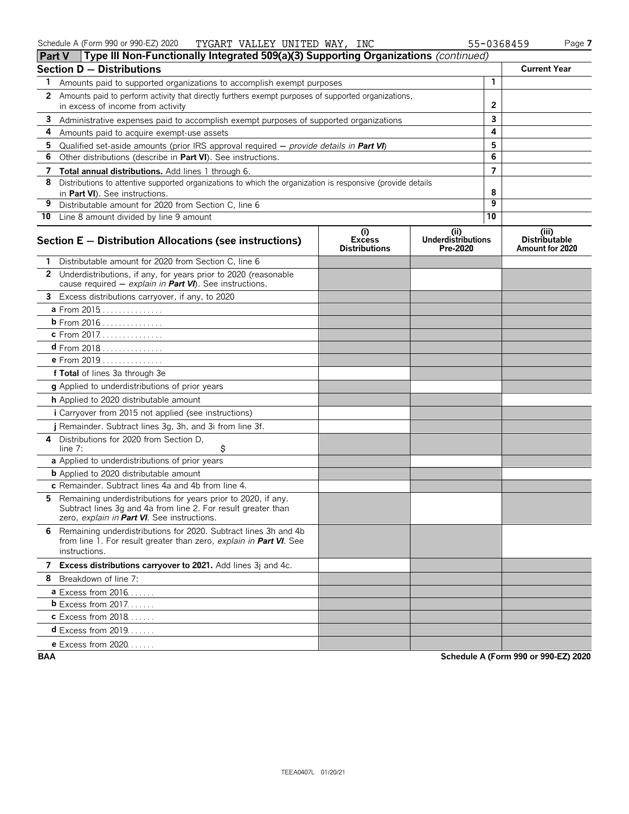|              | Type III Non-Functionally Integrated 509(a)(3) Supporting Organizations (continued)<br><b>Part V</b>                                                                          |                                              |                                               |                |                                                  |
|--------------|-------------------------------------------------------------------------------------------------------------------------------------------------------------------------------|----------------------------------------------|-----------------------------------------------|----------------|--------------------------------------------------|
|              | <b>Section D - Distributions</b>                                                                                                                                              |                                              |                                               |                | <b>Current Year</b>                              |
| 1            | Amounts paid to supported organizations to accomplish exempt purposes                                                                                                         |                                              |                                               | 1              |                                                  |
| $\mathbf{2}$ | Amounts paid to perform activity that directly furthers exempt purposes of supported organizations,                                                                           |                                              | 2                                             |                |                                                  |
|              | in excess of income from activity                                                                                                                                             |                                              |                                               |                |                                                  |
| 3            | Administrative expenses paid to accomplish exempt purposes of supported organizations                                                                                         |                                              |                                               | 3<br>4         |                                                  |
| 4            | Amounts paid to acquire exempt-use assets                                                                                                                                     |                                              |                                               | 5              |                                                  |
| 5<br>6       | Qualified set-aside amounts (prior IRS approval required $-$ provide details in Part VI)<br>Other distributions (describe in Part VI). See instructions.                      |                                              |                                               | 6              |                                                  |
| 7            | Total annual distributions. Add lines 1 through 6.                                                                                                                            |                                              |                                               | $\overline{7}$ |                                                  |
| 8            | Distributions to attentive supported organizations to which the organization is responsive (provide details                                                                   |                                              |                                               |                |                                                  |
|              | in Part VI). See instructions.                                                                                                                                                |                                              |                                               | 8              |                                                  |
| 9            | Distributable amount for 2020 from Section C, line 6                                                                                                                          |                                              |                                               | 9              |                                                  |
|              | 10 Line 8 amount divided by line 9 amount                                                                                                                                     |                                              |                                               | 10             |                                                  |
|              | Section E - Distribution Allocations (see instructions)                                                                                                                       | (i)<br><b>Excess</b><br><b>Distributions</b> | (ii)<br><b>Underdistributions</b><br>Pre-2020 |                | (iii)<br><b>Distributable</b><br>Amount for 2020 |
|              | Distributable amount for 2020 from Section C, line 6                                                                                                                          |                                              |                                               |                |                                                  |
|              | 2 Underdistributions, if any, for years prior to 2020 (reasonable<br>cause required $-$ explain in <b>Part VI</b> ). See instructions.                                        |                                              |                                               |                |                                                  |
| 3            | Excess distributions carryover, if any, to 2020                                                                                                                               |                                              |                                               |                |                                                  |
|              | a From 2015                                                                                                                                                                   |                                              |                                               |                |                                                  |
|              | b From 2016                                                                                                                                                                   |                                              |                                               |                |                                                  |
|              | c From 2017.                                                                                                                                                                  |                                              |                                               |                |                                                  |
|              | $d$ From 2018                                                                                                                                                                 |                                              |                                               |                |                                                  |
|              | e From 2019                                                                                                                                                                   |                                              |                                               |                |                                                  |
|              | f Total of lines 3a through 3e                                                                                                                                                |                                              |                                               |                |                                                  |
|              | g Applied to underdistributions of prior years                                                                                                                                |                                              |                                               |                |                                                  |
|              | h Applied to 2020 distributable amount                                                                                                                                        |                                              |                                               |                |                                                  |
|              | i Carryover from 2015 not applied (see instructions)                                                                                                                          |                                              |                                               |                |                                                  |
|              | j Remainder. Subtract lines 3g, 3h, and 3i from line 3f.                                                                                                                      |                                              |                                               |                |                                                  |
| 4            | Distributions for 2020 from Section D,<br>\$<br>line $7:$                                                                                                                     |                                              |                                               |                |                                                  |
|              | a Applied to underdistributions of prior years                                                                                                                                |                                              |                                               |                |                                                  |
|              | <b>b</b> Applied to 2020 distributable amount                                                                                                                                 |                                              |                                               |                |                                                  |
|              | c Remainder. Subtract lines 4a and 4b from line 4.                                                                                                                            |                                              |                                               |                |                                                  |
| 5.           | Remaining underdistributions for years prior to 2020, if any.<br>Subtract lines 3g and 4a from line 2. For result greater than<br>zero, explain in Part VI. See instructions. |                                              |                                               |                |                                                  |
|              | 6 Remaining underdistributions for 2020. Subtract lines 3h and 4b<br>from line 1. For result greater than zero, explain in Part VI. See<br>instructions.                      |                                              |                                               |                |                                                  |
|              | 7 Excess distributions carryover to 2021. Add lines 3j and 4c.                                                                                                                |                                              |                                               |                |                                                  |
|              | 8 Breakdown of line 7:                                                                                                                                                        |                                              |                                               |                |                                                  |
|              | <b>a</b> Excess from $2016$                                                                                                                                                   |                                              |                                               |                |                                                  |
|              | $b$ Excess from 2017.                                                                                                                                                         |                                              |                                               |                |                                                  |
|              | <b>c</b> Excess from 2018                                                                                                                                                     |                                              |                                               |                |                                                  |
|              | $d$ Excess from 2019.                                                                                                                                                         |                                              |                                               |                |                                                  |
|              | <b>e</b> Excess from 2020                                                                                                                                                     |                                              |                                               |                |                                                  |

**BAA Schedule A (Form 990 or 990-EZ) 2020**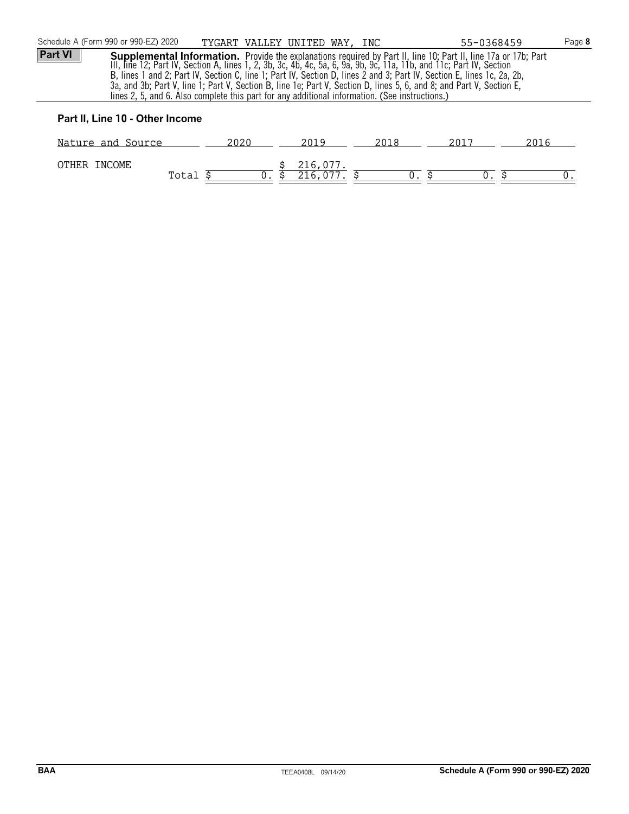| Schedule A (Form 990 or 990-EZ) 2020                                                                                                                                                                                                                                                                                                                                                                                                                                                                                                                                                                    |       | TYGART VALLEY UNITED WAY, INC |                     |      | 55-0368459 | Page 8 |  |  |
|---------------------------------------------------------------------------------------------------------------------------------------------------------------------------------------------------------------------------------------------------------------------------------------------------------------------------------------------------------------------------------------------------------------------------------------------------------------------------------------------------------------------------------------------------------------------------------------------------------|-------|-------------------------------|---------------------|------|------------|--------|--|--|
| <b>Part VI</b><br>Supplemental Information. Provide the explanations required by Part II, line 10; Part II, line 17a or 17b; Part<br>III, line 12; Part IV, Section A, lines 1, 2, 3b, 3c, 4b, 4c, 5a, 6, 9a, 9b, 9c, 11a, 11b, and 11c; Part IV, S<br>B, lines 1 and 2; Part IV, Section C, line 1; Part IV, Section D, lines 2 and 3; Part IV, Section E, lines 1c, 2a, 2b,<br>3a, and 3b; Part V, line 1; Part V, Section B, line 1e; Part V, Section D, lines 5, 6, and 8; and Part V, Section E,<br>lines 2, 5, and 6. Also complete this part for any additional information. (See instructions.) |       |                               |                     |      |            |        |  |  |
| Part II, Line 10 - Other Income                                                                                                                                                                                                                                                                                                                                                                                                                                                                                                                                                                         |       |                               |                     |      |            |        |  |  |
| Nature and Source                                                                                                                                                                                                                                                                                                                                                                                                                                                                                                                                                                                       | 2020  |                               | 2019                | 2018 | 2017       | 2016   |  |  |
| OTHER INCOME                                                                                                                                                                                                                                                                                                                                                                                                                                                                                                                                                                                            | Total | $0$ .                         | 216,077.<br>216,077 |      | $0$ .      |        |  |  |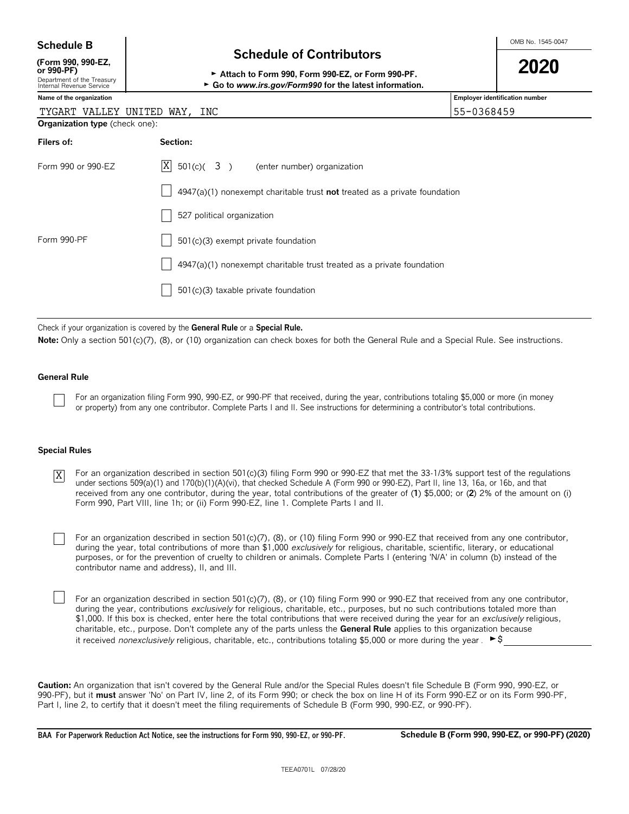| <b>Schedule B</b> |     | 1545-0047<br>OMB No. |
|-------------------|-----|----------------------|
|                   | - - |                      |

**(Form 990, 990-EZ,**

## **Schedule of Contributors**

| (Form 990, 990-EZ,                                     |                                                         | 2020 |
|--------------------------------------------------------|---------------------------------------------------------|------|
| or 990-PF)                                             | Attach to Form 990. Form 990-EZ, or Form 990-PF.        |      |
| Department of the Treasury<br>Internal Revenue Service | ► Go to www.irs.gov/Form990 for the latest information. |      |

| Internal Revenue Service              | $\triangleright$ Go to www.irs.gov/Form990 for the latest information.             |                                |
|---------------------------------------|------------------------------------------------------------------------------------|--------------------------------|
| Name of the organization              |                                                                                    | Employer identification number |
|                                       | TYGART VALLEY UNITED WAY, INC                                                      | 55-0368459                     |
| <b>Organization type</b> (check one): |                                                                                    |                                |
| Filers of:                            | Section:                                                                           |                                |
| Form 990 or 990-EZ                    | ΙXΙ<br>$501(c)$ $(3)$ (enter number) organization                                  |                                |
|                                       | $4947(a)(1)$ nonexempt charitable trust <b>not</b> treated as a private foundation |                                |
|                                       | 527 political organization                                                         |                                |
| Form 990-PF                           | 501(c)(3) exempt private foundation                                                |                                |
|                                       | 4947(a)(1) nonexempt charitable trust treated as a private foundation              |                                |
|                                       |                                                                                    |                                |

Check if your organization is covered by the **General Rule** or a **Special Rule.**

Note: Only a section 501(c)(7), (8), or (10) organization can check boxes for both the General Rule and a Special Rule. See instructions.

501(c)(3) taxable private foundation

#### **General Rule**

For an organization filing Form 990, 990-EZ, or 990-PF that received, during the year, contributions totaling \$5,000 or more (in money or property) from any one contributor. Complete Parts I and II. See instructions for determining a contributor's total contributions.

#### **Special Rules**

For an organization described in section 501(c)(3) filing Form 990 or 990-EZ that met the 33-1/3% support test of the regulations under sections 509(a)(1) and 170(b)(1)(A)(vi), that checked Schedule A (Form 990 or 990-EZ), Part II, line 13, 16a, or 16b, and that received from any one contributor, during the year, total contributions of the greater of (**1**) \$5,000; or (**2**) 2% of the amount on (i) Form 990, Part VIII, line 1h; or (ii) Form 990-EZ, line 1. Complete Parts I and II. X

For an organization described in section 501(c)(7), (8), or (10) filing Form 990 or 990-EZ that received from any one contributor, during the year, total contributions of more than \$1,000 *exclusively* for religious, charitable, scientific, literary, or educational purposes, or for the prevention of cruelty to children or animals. Complete Parts I (entering 'N/A' in column (b) instead of the contributor name and address), II, and III.

For an organization described in section 501(c)(7), (8), or (10) filing Form 990 or 990-EZ that received from any one contributor, during the year, contributions *exclusively* for religious, charitable, etc., purposes, but no such contributions totaled more than \$1,000. If this box is checked, enter here the total contributions that were received during the year for an *exclusively* religious, charitable, etc., purpose. Don't complete any of the parts unless the **General Rule** applies to this organization because it received *nonexclusively* religious, charitable, etc., contributions totaling \$5,000 or more during the year .  $\blacktriangleright$ \$

**Caution:** An organization that isn't covered by the General Rule and/or the Special Rules doesn't file Schedule B (Form 990, 990-EZ, or 990-PF), but it **must** answer 'No' on Part IV, line 2, of its Form 990; or check the box on line H of its Form 990-EZ or on its Form 990-PF, Part I, line 2, to certify that it doesn't meet the filing requirements of Schedule B (Form 990, 990-EZ, or 990-PF).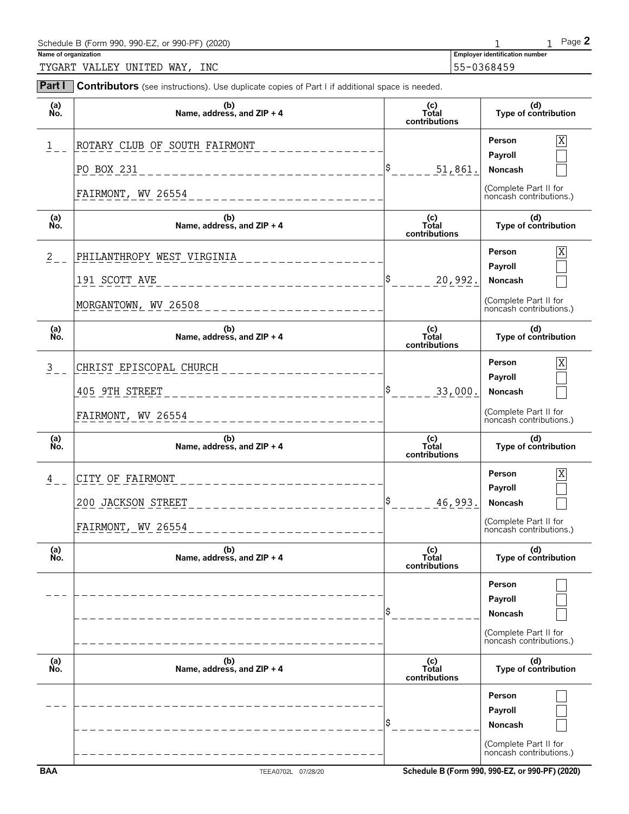| Schedule B (Form 990, 990-EZ, or 990-PF) (2020) |                                       | Page $\blacktriangle$ |
|-------------------------------------------------|---------------------------------------|-----------------------|
| Name of organization                            | <b>Employer identification number</b> |                       |
| INC<br>TYGART VALLEY UNITED WAY,                | 155-0368459                           |                       |

| Part I          | Contributors (see instructions). Use duplicate copies of Part I if additional space is needed. |                               |                                                                                  |
|-----------------|------------------------------------------------------------------------------------------------|-------------------------------|----------------------------------------------------------------------------------|
| (a)<br>No.      | (b)<br>Name, address, and ZIP + 4                                                              | (c)<br>Total<br>contributions | (d)<br>Type of contribution                                                      |
| $\frac{1}{2}$   | ROTARY CLUB OF SOUTH FAIRMONT                                                                  |                               | X<br>Person<br>Payroll                                                           |
|                 | PO BOX 231<br>______________________                                                           | ¦\$<br>51,861.                | Noncash                                                                          |
|                 | FAIRMONT, WV 26554<br>--------------------                                                     |                               | (Complete Part II for<br>noncash contributions.)                                 |
| (a)<br>No.      | (b)<br>Name, address, and ZIP + 4                                                              | (c)<br>Total<br>contributions | (d)<br>Type of contribution                                                      |
| $2 \rightarrow$ | PHILANTHROPY WEST VIRGINIA                                                                     |                               | $\overline{X}$<br>Person                                                         |
|                 | 191 SCOTT AVE                                                                                  | S,<br>20,992.                 | Payroll<br>Noncash                                                               |
|                 | MORGANTOWN, WV 26508                                                                           |                               | (Complete Part II for<br>noncash contributions.)                                 |
| (a)<br>No.      | (b)<br>Name, address, and ZIP + 4                                                              | (c)<br>Total<br>contributions | (d)<br>Type of contribution                                                      |
| $\frac{3}{2}$   | CHRIST EPISCOPAL CHURCH                                                                        |                               | $\overline{X}$<br>Person                                                         |
|                 | 405 9TH STREET<br>_ _ _ _ _ _ _ _ _ _                                                          | l\$<br>33,000.                | Payroll<br>Noncash                                                               |
|                 | FAIRMONT, WV 26554                                                                             |                               | (Complete Part II for<br>noncash contributions.)                                 |
| (a)<br>No.      | (b)<br>Name, address, and ZIP + 4                                                              | (c)<br>Total<br>contributions | (d)<br>Type of contribution                                                      |
| 4               | CITY OF FAIRMONT                                                                               |                               | $\overline{X}$<br>Person                                                         |
|                 | 200 JACKSON STREET                                                                             | \$<br>46,993.                 | Payroll<br>Noncash                                                               |
|                 | FAIRMONT, WV 26554<br>$- - - - - - - - -$                                                      |                               | (Complete Part II for<br>noncash contributions.)                                 |
| (a)             | (b)                                                                                            |                               |                                                                                  |
| Ńó.             | Name, address, and ZIP + 4                                                                     | (c)<br>Total<br>contributions | (d)<br>Type of contribution                                                      |
|                 |                                                                                                |                               | Person<br>Payroll<br>Noncash                                                     |
|                 |                                                                                                |                               | (Complete Part II for<br>noncash contributions.)                                 |
| (a)<br>No.      | (b)<br>Name, address, and ZIP + 4                                                              | (c)<br>Total<br>contributions | (d)<br>Type of contribution                                                      |
|                 |                                                                                                |                               | Person<br>Payroll<br>Noncash<br>(Complete Part II for<br>noncash contributions.) |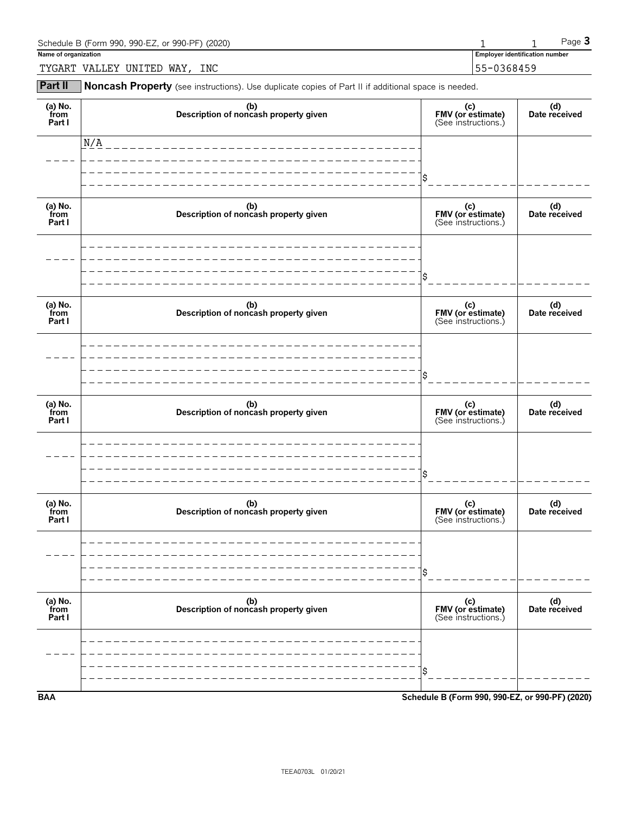| Schedule B (Form 990, 990-EZ, or 990-PF) (2020) |            |                                | $P$ aqe $\bullet$ |
|-------------------------------------------------|------------|--------------------------------|-------------------|
| Name of organization                            |            | Employer identification number |                   |
| INC<br>WAY<br>TYGART<br>VALLEY<br>UNITED        | 55-0368459 |                                |                   |

**Part II** Noncash Property (see instructions). Use duplicate copies of Part II if additional space is needed.

| (a) No.<br>from<br>Part I | (b)<br>Description of noncash property given | (c)<br>FMV (or estimate)<br>(See instructions.) | (d)<br>Date received |
|---------------------------|----------------------------------------------|-------------------------------------------------|----------------------|
|                           | $\mathrm{N}/\mathrm{A}$                      |                                                 |                      |
|                           |                                              | \$                                              |                      |
| (a) No.<br>from<br>Part I | (b)<br>Description of noncash property given | (c)<br>FMV (or estimate)<br>(See instructions.) | (d)<br>Date received |
|                           |                                              |                                                 |                      |
|                           |                                              | \$                                              |                      |
| (a) No.<br>from<br>Part I | (b)<br>Description of noncash property given | (c)<br>FMV (or estimate)<br>(See instructions.) | (d)<br>Date received |
|                           |                                              |                                                 |                      |
|                           |                                              | \$                                              |                      |
| (a) No.<br>from<br>Part I | (b)<br>Description of noncash property given | (c)<br>FMV (or estimate)<br>(See instructions.) | (d)<br>Date received |
|                           |                                              |                                                 |                      |
|                           |                                              | \$                                              |                      |
| (a) No.<br>from<br>Part I | (b)<br>Description of noncash property given | (c)<br>FMV (or estimate)<br>(See instructions.) | (d)<br>Date received |
|                           |                                              |                                                 |                      |
|                           |                                              | Ś                                               |                      |
| (a) No.<br>from<br>Part I | (b)<br>Description of noncash property given | (c)<br>FMV (or estimate)<br>(See instructions.) | (d)<br>Date received |
|                           |                                              |                                                 |                      |
|                           |                                              |                                                 |                      |
| <b>BAA</b>                |                                              | Schedule B (Form 990, 990-EZ, or 990-PF) (2020) |                      |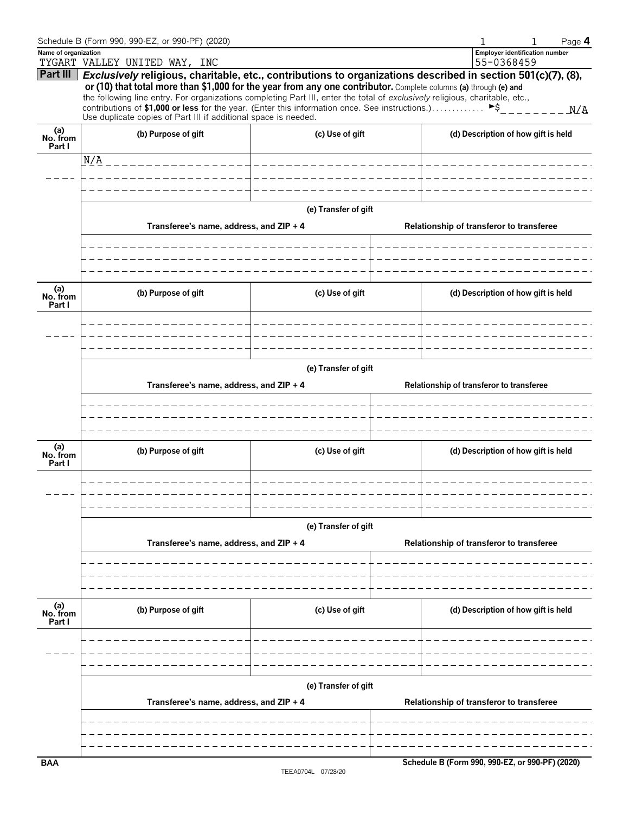|                           | Schedule B (Form 990, 990-EZ, or 990-PF) (2020)                                                                                                                                                                                                                                                                                                                                                                                                                                                                                        |                       |  | Page 4                                              |
|---------------------------|----------------------------------------------------------------------------------------------------------------------------------------------------------------------------------------------------------------------------------------------------------------------------------------------------------------------------------------------------------------------------------------------------------------------------------------------------------------------------------------------------------------------------------------|-----------------------|--|-----------------------------------------------------|
| Name of organization      | TYGART VALLEY UNITED WAY, INC                                                                                                                                                                                                                                                                                                                                                                                                                                                                                                          |                       |  | <b>Employer identification number</b><br>55-0368459 |
| Part III                  | Exclusively religious, charitable, etc., contributions to organizations described in section 501(c)(7), (8),<br>or (10) that total more than \$1,000 for the year from any one contributor. Complete columns (a) through (e) and<br>the following line entry. For organizations completing Part III, enter the total of exclusively religious, charitable, etc.,<br>contributions of \$1,000 or less for the year. (Enter this information once. See instructions.)<br>Use duplicate copies of Part III if additional space is needed. |                       |  | ►\$<br>$  N/A$                                      |
| (a)<br>No. from<br>Part I | (b) Purpose of gift                                                                                                                                                                                                                                                                                                                                                                                                                                                                                                                    | (c) Use of gift       |  | (d) Description of how gift is held                 |
|                           | N/A _________________                                                                                                                                                                                                                                                                                                                                                                                                                                                                                                                  | _____________________ |  |                                                     |
|                           |                                                                                                                                                                                                                                                                                                                                                                                                                                                                                                                                        |                       |  |                                                     |
|                           |                                                                                                                                                                                                                                                                                                                                                                                                                                                                                                                                        |                       |  |                                                     |
|                           | Transferee's name, address, and ZIP + 4                                                                                                                                                                                                                                                                                                                                                                                                                                                                                                | (e) Transfer of gift  |  | Relationship of transferor to transferee            |
|                           |                                                                                                                                                                                                                                                                                                                                                                                                                                                                                                                                        |                       |  |                                                     |
| (a)<br>No. from<br>Part I | (b) Purpose of gift                                                                                                                                                                                                                                                                                                                                                                                                                                                                                                                    | (c) Use of gift       |  | (d) Description of how gift is held                 |
|                           |                                                                                                                                                                                                                                                                                                                                                                                                                                                                                                                                        |                       |  |                                                     |
|                           |                                                                                                                                                                                                                                                                                                                                                                                                                                                                                                                                        | (e) Transfer of gift  |  |                                                     |
|                           | Transferee's name, address, and ZIP + 4                                                                                                                                                                                                                                                                                                                                                                                                                                                                                                |                       |  | Relationship of transferor to transferee            |
|                           |                                                                                                                                                                                                                                                                                                                                                                                                                                                                                                                                        |                       |  |                                                     |
|                           |                                                                                                                                                                                                                                                                                                                                                                                                                                                                                                                                        |                       |  |                                                     |
| (a)<br>No. from<br>Part I | (b) Purpose of gift                                                                                                                                                                                                                                                                                                                                                                                                                                                                                                                    | (c) Use of gift       |  | (d) Description of how gift is held                 |
|                           |                                                                                                                                                                                                                                                                                                                                                                                                                                                                                                                                        |                       |  |                                                     |
|                           |                                                                                                                                                                                                                                                                                                                                                                                                                                                                                                                                        | (e) Transfer of gift  |  |                                                     |
|                           | Transferee's name, address, and ZIP + 4                                                                                                                                                                                                                                                                                                                                                                                                                                                                                                |                       |  | Relationship of transferor to transferee            |
|                           |                                                                                                                                                                                                                                                                                                                                                                                                                                                                                                                                        |                       |  |                                                     |
|                           |                                                                                                                                                                                                                                                                                                                                                                                                                                                                                                                                        |                       |  |                                                     |
| (a)<br>No. from<br>Part I | (b) Purpose of gift                                                                                                                                                                                                                                                                                                                                                                                                                                                                                                                    | (c) Use of gift       |  | (d) Description of how gift is held                 |
|                           |                                                                                                                                                                                                                                                                                                                                                                                                                                                                                                                                        |                       |  |                                                     |
|                           |                                                                                                                                                                                                                                                                                                                                                                                                                                                                                                                                        |                       |  |                                                     |
|                           | (e) Transfer of gift<br>Transferee's name, address, and ZIP + 4                                                                                                                                                                                                                                                                                                                                                                                                                                                                        |                       |  | Relationship of transferor to transferee            |
|                           |                                                                                                                                                                                                                                                                                                                                                                                                                                                                                                                                        |                       |  |                                                     |
|                           |                                                                                                                                                                                                                                                                                                                                                                                                                                                                                                                                        |                       |  |                                                     |
| <b>BAA</b>                |                                                                                                                                                                                                                                                                                                                                                                                                                                                                                                                                        |                       |  | Schedule B (Form 990, 990-EZ, or 990-PF) (2020)     |
|                           |                                                                                                                                                                                                                                                                                                                                                                                                                                                                                                                                        |                       |  |                                                     |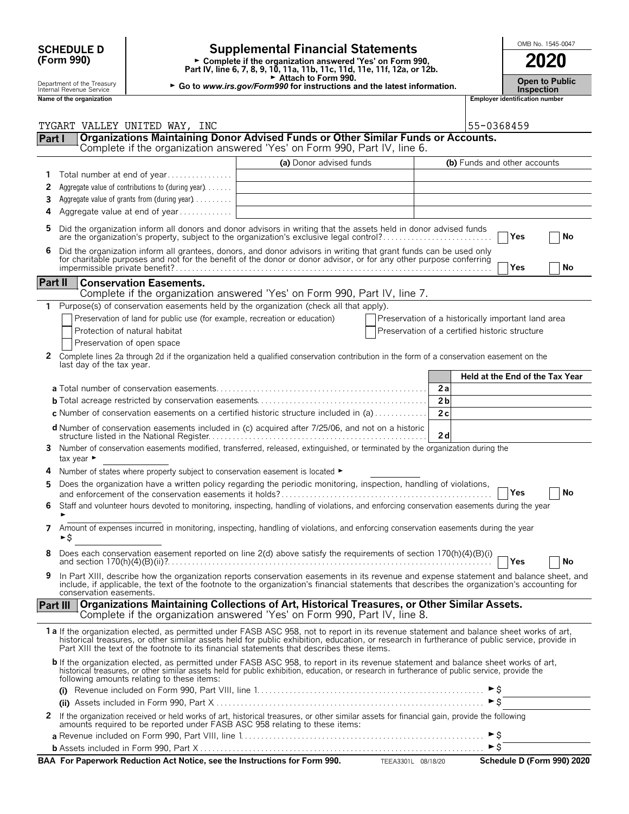| <b>SCHEDULE D</b>                                      |                                                                               | <b>Supplemental Financial Statements</b>                                                                                                                                                                                                                                                                                                                                               |                                                    |                |            | OMB No. 1545-0047                          |  |    |  |
|--------------------------------------------------------|-------------------------------------------------------------------------------|----------------------------------------------------------------------------------------------------------------------------------------------------------------------------------------------------------------------------------------------------------------------------------------------------------------------------------------------------------------------------------------|----------------------------------------------------|----------------|------------|--------------------------------------------|--|----|--|
| (Form 990)                                             |                                                                               | ► Complete if the organization answered 'Yes' on Form 990,<br>Part IV, line 6, 7, 8, 9, 10, 11a, 11b, 11c, 11d, 11e, 11f, 12a, or 12b.                                                                                                                                                                                                                                                 |                                                    |                | 2020       |                                            |  |    |  |
| Department of the Treasury<br>Internal Revenue Service |                                                                               | Attach to Form 990.<br>► Go to www.irs.gov/Form990 for instructions and the latest information.                                                                                                                                                                                                                                                                                        |                                                    |                |            | <b>Open to Public</b><br><b>Inspection</b> |  |    |  |
| Name of the organization                               |                                                                               |                                                                                                                                                                                                                                                                                                                                                                                        |                                                    |                |            | Employer identification number             |  |    |  |
|                                                        |                                                                               |                                                                                                                                                                                                                                                                                                                                                                                        |                                                    |                |            |                                            |  |    |  |
| Part I                                                 | TYGART VALLEY UNITED WAY, INC                                                 | Organizations Maintaining Donor Advised Funds or Other Similar Funds or Accounts.                                                                                                                                                                                                                                                                                                      |                                                    |                | 55-0368459 |                                            |  |    |  |
|                                                        |                                                                               | Complete if the organization answered 'Yes' on Form 990, Part IV, line 6.                                                                                                                                                                                                                                                                                                              |                                                    |                |            |                                            |  |    |  |
|                                                        |                                                                               | (a) Donor advised funds                                                                                                                                                                                                                                                                                                                                                                |                                                    |                |            | (b) Funds and other accounts               |  |    |  |
| 1.                                                     | Total number at end of year                                                   |                                                                                                                                                                                                                                                                                                                                                                                        |                                                    |                |            |                                            |  |    |  |
| 2                                                      | Aggregate value of contributions to (during year).                            |                                                                                                                                                                                                                                                                                                                                                                                        |                                                    |                |            |                                            |  |    |  |
| 3                                                      | Aggregate value of grants from (during year)                                  |                                                                                                                                                                                                                                                                                                                                                                                        |                                                    |                |            |                                            |  |    |  |
| 4                                                      | Aggregate value at end of year                                                |                                                                                                                                                                                                                                                                                                                                                                                        |                                                    |                |            |                                            |  |    |  |
| 5                                                      |                                                                               | Did the organization inform all donors and donor advisors in writing that the assets held in donor advised funds<br>are the organization's property, subject to the organization's exclusive legal control?                                                                                                                                                                            |                                                    |                |            | Yes                                        |  | No |  |
| 6                                                      |                                                                               | Did the organization inform all grantees, donors, and donor advisors in writing that grant funds can be used only for charitable purposes and not for the benefit of the donor or donor advisor, or for any other purpose conf                                                                                                                                                         |                                                    |                |            | Yes                                        |  | No |  |
| Part II                                                | <b>Conservation Easements.</b>                                                |                                                                                                                                                                                                                                                                                                                                                                                        |                                                    |                |            |                                            |  |    |  |
|                                                        |                                                                               | Complete if the organization answered 'Yes' on Form 990, Part IV, line 7.                                                                                                                                                                                                                                                                                                              |                                                    |                |            |                                            |  |    |  |
| $\mathbf{1}$                                           |                                                                               | Purpose(s) of conservation easements held by the organization (check all that apply).                                                                                                                                                                                                                                                                                                  |                                                    |                |            |                                            |  |    |  |
|                                                        | Preservation of land for public use (for example, recreation or education)    |                                                                                                                                                                                                                                                                                                                                                                                        | Preservation of a historically important land area |                |            |                                            |  |    |  |
|                                                        | Protection of natural habitat                                                 |                                                                                                                                                                                                                                                                                                                                                                                        | Preservation of a certified historic structure     |                |            |                                            |  |    |  |
|                                                        | Preservation of open space                                                    |                                                                                                                                                                                                                                                                                                                                                                                        |                                                    |                |            |                                            |  |    |  |
| last day of the tax year.                              |                                                                               | 2 Complete lines 2a through 2d if the organization held a qualified conservation contribution in the form of a conservation easement on the                                                                                                                                                                                                                                            |                                                    |                |            |                                            |  |    |  |
|                                                        |                                                                               |                                                                                                                                                                                                                                                                                                                                                                                        |                                                    |                |            | Held at the End of the Tax Year            |  |    |  |
|                                                        |                                                                               |                                                                                                                                                                                                                                                                                                                                                                                        |                                                    | 2a             |            |                                            |  |    |  |
|                                                        |                                                                               |                                                                                                                                                                                                                                                                                                                                                                                        |                                                    | 2 <sub>b</sub> |            |                                            |  |    |  |
|                                                        |                                                                               | c Number of conservation easements on a certified historic structure included in (a)                                                                                                                                                                                                                                                                                                   |                                                    | 2c             |            |                                            |  |    |  |
|                                                        |                                                                               | d Number of conservation easements included in (c) acquired after 7/25/06, and not on a historic                                                                                                                                                                                                                                                                                       |                                                    |                |            |                                            |  |    |  |
|                                                        |                                                                               |                                                                                                                                                                                                                                                                                                                                                                                        |                                                    | 2d             |            |                                            |  |    |  |
| tax year $\blacktriangleright$                         |                                                                               | 3 Number of conservation easements modified, transferred, released, extinguished, or terminated by the organization during the                                                                                                                                                                                                                                                         |                                                    |                |            |                                            |  |    |  |
|                                                        | Number of states where property subject to conservation easement is located ► |                                                                                                                                                                                                                                                                                                                                                                                        |                                                    |                |            |                                            |  |    |  |
|                                                        |                                                                               | Does the organization have a written policy regarding the periodic monitoring, inspection, handling of violations,                                                                                                                                                                                                                                                                     |                                                    |                |            |                                            |  |    |  |
|                                                        |                                                                               |                                                                                                                                                                                                                                                                                                                                                                                        |                                                    |                |            | Yes                                        |  | No |  |
| 6                                                      |                                                                               | Staff and volunteer hours devoted to monitoring, inspecting, handling of violations, and enforcing conservation easements during the year                                                                                                                                                                                                                                              |                                                    |                |            |                                            |  |    |  |
| ►\$                                                    |                                                                               | 7 Amount of expenses incurred in monitoring, inspecting, handling of violations, and enforcing conservation easements during the year                                                                                                                                                                                                                                                  |                                                    |                |            |                                            |  |    |  |
|                                                        |                                                                               | 8 Does each conservation easement reported on line 2(d) above satisfy the requirements of section 170(h)(4)(B)(i)                                                                                                                                                                                                                                                                      |                                                    |                |            | <b>TYes</b>                                |  | No |  |
| 9<br>conservation easements.                           |                                                                               | In Part XIII, describe how the organization reports conservation easements in its revenue and expense statement and balance sheet, and<br>include, if applicable, the text of the footnote to the organization's financial statements that describes the organization's accounting for                                                                                                 |                                                    |                |            |                                            |  |    |  |
| Part III                                               |                                                                               | Organizations Maintaining Collections of Art, Historical Treasures, or Other Similar Assets.<br>Complete if the organization answered 'Yes' on Form 990, Part IV, line 8.                                                                                                                                                                                                              |                                                    |                |            |                                            |  |    |  |
|                                                        |                                                                               | 1a If the organization elected, as permitted under FASB ASC 958, not to report in its revenue statement and balance sheet works of art,<br>historical treasures, or other similar assets held for public exhibition, education, or research in furtherance of public service, provide in<br>Part XIII the text of the footnote to its financial statements that describes these items. |                                                    |                |            |                                            |  |    |  |
|                                                        | following amounts relating to these items:                                    | <b>b</b> If the organization elected, as permitted under FASB ASC 958, to report in its revenue statement and balance sheet works of art,<br>historical treasures, or other similar assets held for public exhibition, education, or research in furtherance of public service, provide the                                                                                            |                                                    |                |            |                                            |  |    |  |
| (i)                                                    |                                                                               |                                                                                                                                                                                                                                                                                                                                                                                        |                                                    |                |            |                                            |  |    |  |
|                                                        |                                                                               | and the contract of the contract of the contract of the contract of the contract of the contract of the contract of                                                                                                                                                                                                                                                                    |                                                    |                |            |                                            |  |    |  |
|                                                        |                                                                               |                                                                                                                                                                                                                                                                                                                                                                                        |                                                    |                |            |                                            |  |    |  |

| 2 If the organization received or held works of art, historical treasures, or other similar assets for financial gain, provide the following<br>amounts required to be reported under FASB ASC 958 relating to these items: |  |
|-----------------------------------------------------------------------------------------------------------------------------------------------------------------------------------------------------------------------------|--|
|                                                                                                                                                                                                                             |  |
|                                                                                                                                                                                                                             |  |

| BAA For Paperwork Reduction Act Notice, see the Instructions for Form 990. | TEEA3301L 08/18/20 | Schedule D (Form 990) 2020 |
|----------------------------------------------------------------------------|--------------------|----------------------------|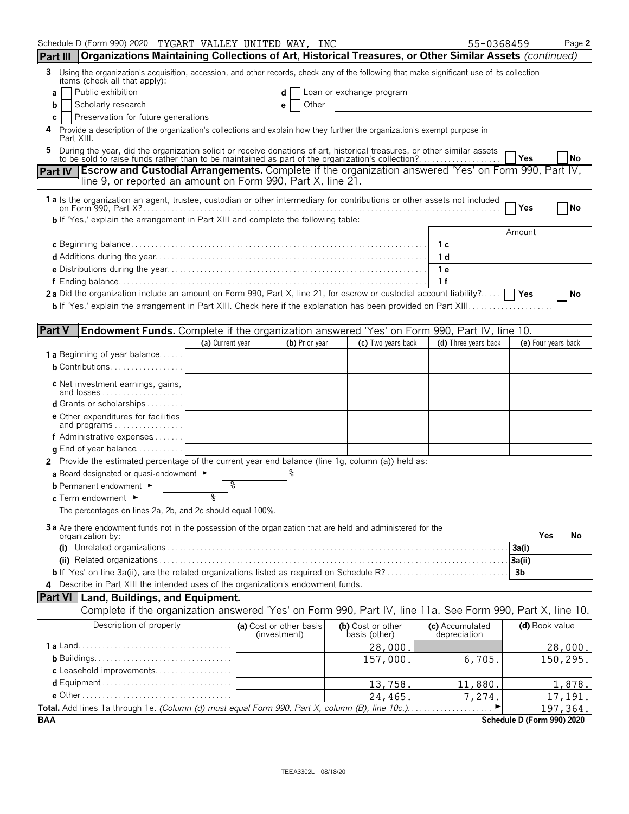| Schedule D (Form 990) 2020 TYGART VALLEY UNITED WAY, INC                                                                                                                                                                  |                  |                                         |                                    |                                 | 55-0368459                 |                     | Page 2    |
|---------------------------------------------------------------------------------------------------------------------------------------------------------------------------------------------------------------------------|------------------|-----------------------------------------|------------------------------------|---------------------------------|----------------------------|---------------------|-----------|
| Organizations Maintaining Collections of Art, Historical Treasures, or Other Similar Assets (continued)<br><b>Part III</b>                                                                                                |                  |                                         |                                    |                                 |                            |                     |           |
| Using the organization's acquisition, accession, and other records, check any of the following that make significant use of its collection<br>3.<br>items (check all that apply):                                         |                  |                                         |                                    |                                 |                            |                     |           |
| Public exhibition<br>a                                                                                                                                                                                                    |                  | d                                       | Loan or exchange program           |                                 |                            |                     |           |
| Scholarly research<br>b                                                                                                                                                                                                   |                  | Other<br>е                              |                                    |                                 |                            |                     |           |
| Preservation for future generations<br>С                                                                                                                                                                                  |                  |                                         |                                    |                                 |                            |                     |           |
| Provide a description of the organization's collections and explain how they further the organization's exempt purpose in<br>4<br>Part XIII.                                                                              |                  |                                         |                                    |                                 |                            |                     |           |
| During the year, did the organization solicit or receive donations of art, historical treasures, or other similar assets to be sold to raise funds rather than to be maintained as part of the organization's collection? |                  |                                         |                                    |                                 | Yes                        |                     | <b>No</b> |
| <b>Escrow and Custodial Arrangements.</b> Complete if the organization answered 'Yes' on Form 990, Part IV,<br><b>Part IV</b>                                                                                             |                  |                                         |                                    |                                 |                            |                     |           |
| line 9, or reported an amount on Form 990, Part X, line 21.                                                                                                                                                               |                  |                                         |                                    |                                 |                            |                     |           |
| 1 a Is the organization an agent, trustee, custodian or other intermediary for contributions or other assets not included                                                                                                 |                  |                                         |                                    |                                 | Yes                        |                     | <b>No</b> |
| <b>b</b> If 'Yes,' explain the arrangement in Part XIII and complete the following table:                                                                                                                                 |                  |                                         |                                    |                                 |                            |                     |           |
|                                                                                                                                                                                                                           |                  |                                         |                                    |                                 | Amount                     |                     |           |
|                                                                                                                                                                                                                           |                  |                                         |                                    | - 1 c                           |                            |                     |           |
|                                                                                                                                                                                                                           |                  |                                         |                                    | 1 <sub>d</sub>                  |                            |                     |           |
|                                                                                                                                                                                                                           |                  |                                         |                                    | 1е                              |                            |                     |           |
|                                                                                                                                                                                                                           |                  |                                         |                                    | 1f                              |                            |                     |           |
| 2a Did the organization include an amount on Form 990, Part X, line 21, for escrow or custodial account liability?                                                                                                        |                  |                                         |                                    |                                 | <b>Yes</b>                 |                     | No        |
|                                                                                                                                                                                                                           |                  |                                         |                                    |                                 |                            |                     |           |
|                                                                                                                                                                                                                           |                  |                                         |                                    |                                 |                            |                     |           |
| <b>Part V</b><br>Endowment Funds. Complete if the organization answered 'Yes' on Form 990, Part IV, line 10.                                                                                                              |                  |                                         |                                    |                                 |                            |                     |           |
| <b>1 a</b> Beginning of year balance                                                                                                                                                                                      | (a) Current year | (b) Prior year                          | (c) Two years back                 | (d) Three years back            |                            | (e) Four years back |           |
| <b>b</b> Contributions                                                                                                                                                                                                    |                  |                                         |                                    |                                 |                            |                     |           |
|                                                                                                                                                                                                                           |                  |                                         |                                    |                                 |                            |                     |           |
| c Net investment earnings, gains,<br>and losses                                                                                                                                                                           |                  |                                         |                                    |                                 |                            |                     |           |
| d Grants or scholarships                                                                                                                                                                                                  |                  |                                         |                                    |                                 |                            |                     |           |
| <b>e</b> Other expenditures for facilities                                                                                                                                                                                |                  |                                         |                                    |                                 |                            |                     |           |
| and programs $\ldots \ldots \ldots \ldots \ldots$                                                                                                                                                                         |                  |                                         |                                    |                                 |                            |                     |           |
| f Administrative expenses $\ldots$                                                                                                                                                                                        |                  |                                         |                                    |                                 |                            |                     |           |
| <b>q</b> End of year balance $\dots\dots\dots\dots$                                                                                                                                                                       |                  |                                         |                                    |                                 |                            |                     |           |
| 2 Provide the estimated percentage of the current year end balance (line 1g, column (a)) held as:                                                                                                                         |                  |                                         |                                    |                                 |                            |                     |           |
| a Board designated or quasi-endowment ►<br><b>b</b> Permanent endowment ►                                                                                                                                                 |                  |                                         |                                    |                                 |                            |                     |           |
| c Term endowment ►                                                                                                                                                                                                        | ०                |                                         |                                    |                                 |                            |                     |           |
| The percentages on lines 2a, 2b, and 2c should equal 100%.                                                                                                                                                                |                  |                                         |                                    |                                 |                            |                     |           |
|                                                                                                                                                                                                                           |                  |                                         |                                    |                                 |                            |                     |           |
| 3a Are there endowment funds not in the possession of the organization that are held and administered for the<br>organization by:                                                                                         |                  |                                         |                                    |                                 |                            | Yes                 | No        |
|                                                                                                                                                                                                                           |                  |                                         |                                    |                                 | 3a(i)                      |                     |           |
|                                                                                                                                                                                                                           |                  |                                         |                                    |                                 | 3a(ii)                     |                     |           |
| <b>b</b> If 'Yes' on line 3a(ii), are the related organizations listed as required on Schedule R?                                                                                                                         |                  |                                         |                                    |                                 | 3 <sub>b</sub>             |                     |           |
| 4 Describe in Part XIII the intended uses of the organization's endowment funds.                                                                                                                                          |                  |                                         |                                    |                                 |                            |                     |           |
| <b>Part VI</b> Land, Buildings, and Equipment.                                                                                                                                                                            |                  |                                         |                                    |                                 |                            |                     |           |
| Complete if the organization answered 'Yes' on Form 990, Part IV, line 11a. See Form 990, Part X, line 10.                                                                                                                |                  |                                         |                                    |                                 |                            |                     |           |
| Description of property                                                                                                                                                                                                   |                  | (a) Cost or other basis<br>(investment) | (b) Cost or other<br>basis (other) | (c) Accumulated<br>depreciation |                            | (d) Book value      |           |
|                                                                                                                                                                                                                           |                  |                                         | 28,000.                            |                                 |                            |                     | 28,000.   |
|                                                                                                                                                                                                                           |                  |                                         | 157,000.                           | 6,705.                          |                            |                     | 150,295.  |
| c Leasehold improvements                                                                                                                                                                                                  |                  |                                         |                                    |                                 |                            |                     |           |
|                                                                                                                                                                                                                           |                  |                                         | 13,758.                            | 11,880.                         |                            |                     | 1,878.    |
|                                                                                                                                                                                                                           |                  |                                         | 24,465.                            | 7,274.                          |                            |                     | 17,191.   |
|                                                                                                                                                                                                                           |                  |                                         |                                    |                                 |                            |                     | 197,364.  |
| <b>BAA</b>                                                                                                                                                                                                                |                  |                                         |                                    |                                 | Schedule D (Form 990) 2020 |                     |           |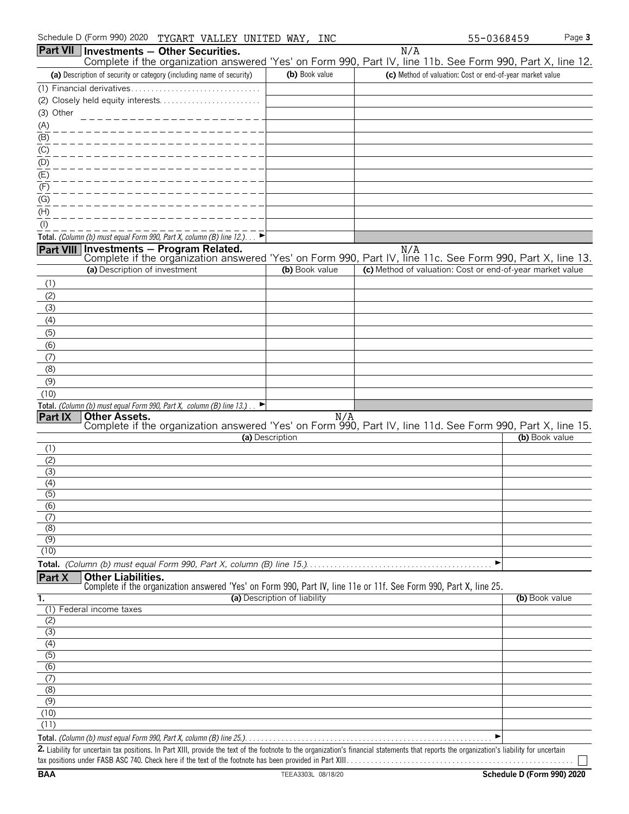|                                     | Part VII   Investments - Other Securities.                                                                                                             |                              | N/A                                                       |                |
|-------------------------------------|--------------------------------------------------------------------------------------------------------------------------------------------------------|------------------------------|-----------------------------------------------------------|----------------|
|                                     | Complete if the organization answered 'Yes' on Form 990, Part IV, line 11b. See Form 990, Part X, line 12.                                             |                              |                                                           |                |
|                                     | (a) Description of security or category (including name of security)                                                                                   | (b) Book value               | (c) Method of valuation: Cost or end-of-year market value |                |
|                                     |                                                                                                                                                        |                              |                                                           |                |
|                                     | (2) Closely held equity interests                                                                                                                      |                              |                                                           |                |
| (3) Other                           | ___________________                                                                                                                                    |                              |                                                           |                |
| <u>(A)</u>                          | ___________________                                                                                                                                    |                              |                                                           |                |
| $\frac{\overline{B}}{\overline{C}}$ | ___________________                                                                                                                                    |                              |                                                           |                |
| (D)                                 | ___________________                                                                                                                                    |                              |                                                           |                |
| (E)                                 | __________________                                                                                                                                     |                              |                                                           |                |
| (F)                                 | __________________                                                                                                                                     |                              |                                                           |                |
| (G)                                 | _________________                                                                                                                                      |                              |                                                           |                |
| (H)                                 |                                                                                                                                                        |                              |                                                           |                |
| $($ l $)$                           |                                                                                                                                                        |                              |                                                           |                |
|                                     | Total. (Column (b) must equal Form 990, Part X, column (B) line 12.)                                                                                   |                              |                                                           |                |
|                                     | Part VIII Investments - Program Related.<br>Complete if the organization answered 'Yes' on Form 990, Part IV, line 11c. See Form 990, Part X, line 13. |                              | N/A                                                       |                |
|                                     | (a) Description of investment                                                                                                                          | (b) Book value               | (c) Method of valuation: Cost or end-of-year market value |                |
| (1)                                 |                                                                                                                                                        |                              |                                                           |                |
| (2)                                 |                                                                                                                                                        |                              |                                                           |                |
| (3)                                 |                                                                                                                                                        |                              |                                                           |                |
| (4)                                 |                                                                                                                                                        |                              |                                                           |                |
| (5)                                 |                                                                                                                                                        |                              |                                                           |                |
| (6)                                 |                                                                                                                                                        |                              |                                                           |                |
| (7)                                 |                                                                                                                                                        |                              |                                                           |                |
| (8)                                 |                                                                                                                                                        |                              |                                                           |                |
| (9)                                 |                                                                                                                                                        |                              |                                                           |                |
| (10)                                |                                                                                                                                                        |                              |                                                           |                |
| Part IX                             | Total. (Column (b) must equal Form 990, Part X, column (B) line 13.).<br><b>Other Assets.</b>                                                          |                              |                                                           |                |
|                                     | Complete if the organization answered 'Yes' on Form 990, Part IV, line 11d. See Form 990, Part X, line 15.                                             | N/A                          |                                                           |                |
|                                     |                                                                                                                                                        | (a) Description              |                                                           | (b) Book value |
| (1)                                 |                                                                                                                                                        |                              |                                                           |                |
| (2)                                 |                                                                                                                                                        |                              |                                                           |                |
| (3)                                 |                                                                                                                                                        |                              |                                                           |                |
| (4)<br>$\overline{(5)}$             |                                                                                                                                                        |                              |                                                           |                |
| (6)                                 |                                                                                                                                                        |                              |                                                           |                |
| (7)                                 |                                                                                                                                                        |                              |                                                           |                |
| (8)                                 |                                                                                                                                                        |                              |                                                           |                |
| (9)                                 |                                                                                                                                                        |                              |                                                           |                |
| (10)                                |                                                                                                                                                        |                              |                                                           |                |
|                                     |                                                                                                                                                        |                              | ▶                                                         |                |
| Part X                              | <b>Other Liabilities.</b><br>Complete if the organization answered 'Yes' on Form 990, Part IV, line 11e or 11f. See Form 990, Part X, line 25.         |                              |                                                           |                |
| 1.                                  |                                                                                                                                                        | (a) Description of liability |                                                           | (b) Book value |
|                                     | (1) Federal income taxes                                                                                                                               |                              |                                                           |                |
| (2)                                 |                                                                                                                                                        |                              |                                                           |                |
| (3)                                 |                                                                                                                                                        |                              |                                                           |                |
| (4)                                 |                                                                                                                                                        |                              |                                                           |                |
| (5)<br>(6)                          |                                                                                                                                                        |                              |                                                           |                |
| (7)                                 |                                                                                                                                                        |                              |                                                           |                |
| (8)                                 |                                                                                                                                                        |                              |                                                           |                |
| (9)                                 |                                                                                                                                                        |                              |                                                           |                |
| (10)                                |                                                                                                                                                        |                              |                                                           |                |
| (11)                                |                                                                                                                                                        |                              |                                                           |                |
|                                     |                                                                                                                                                        |                              |                                                           |                |

**Total.** *(Column (b) must equal Form 990, Part X, column (B) line 25.)*. . . . . . . . . . . . . . . . . . . . . . . . . . . . . . . . . . . . . . . . . . . . . . . . . . . . . . . . . . . . . G

2. Liability for uncertain tax positions. In Part XIII, provide the text of the footnote to the organization's financial statements that reports the organization's liability for uncertain tax positions under FASB ASC 740. Check here if the text of the footnote has been provided in Part XIII. . . . . . . . . . . . . . . . . . . . . . . . . . . . . . . . . . . . . . . . . . . . . . . . . . . . . . . .

 $\Box$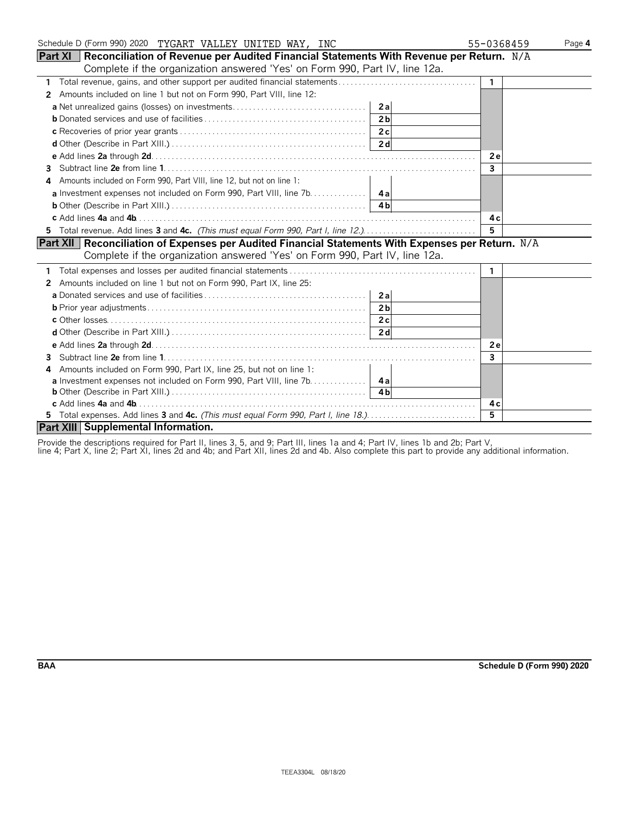| Schedule D (Form 990) 2020 TYGART VALLEY UNITED WAY, INC                                                   | 55-0368459     | Page 4 |
|------------------------------------------------------------------------------------------------------------|----------------|--------|
| <b>Part XI</b>   Reconciliation of Revenue per Audited Financial Statements With Revenue per Return. $N/A$ |                |        |
| Complete if the organization answered 'Yes' on Form 990, Part IV, line 12a.                                |                |        |
| 1                                                                                                          | $\mathbf{1}$   |        |
| Amounts included on line 1 but not on Form 990, Part VIII, line 12:<br>2                                   |                |        |
|                                                                                                            |                |        |
| 2 <sub>b</sub>                                                                                             |                |        |
|                                                                                                            |                |        |
|                                                                                                            |                |        |
|                                                                                                            | 2e             |        |
| 3                                                                                                          | $\mathbf{3}$   |        |
| Amounts included on Form 990, Part VIII, line 12, but not on line 1:<br>4                                  |                |        |
|                                                                                                            |                |        |
|                                                                                                            |                |        |
|                                                                                                            | 4c             |        |
|                                                                                                            | 5              |        |
| Part XII   Reconciliation of Expenses per Audited Financial Statements With Expenses per Return. N/A       |                |        |
| Complete if the organization answered 'Yes' on Form 990, Part IV, line 12a.                                |                |        |
|                                                                                                            | $\mathbf{1}$   |        |
| Amounts included on line 1 but not on Form 990, Part IX, line 25:<br>2                                     |                |        |
|                                                                                                            |                |        |
|                                                                                                            |                |        |
|                                                                                                            |                |        |
|                                                                                                            |                |        |
|                                                                                                            | <b>2e</b>      |        |
| 3                                                                                                          | $\overline{3}$ |        |
| Amounts included on Form 990, Part IX, line 25, but not on line 1:<br>4                                    |                |        |
| a Investment expenses not included on Form 990, Part VIII, line 7b. 4a                                     |                |        |
|                                                                                                            |                |        |
|                                                                                                            | 4 c            |        |
| 5 Total expenses. Add lines 3 and 4c. (This must equal Form 990, Part I, line 18.)                         | 5              |        |
| Part XIII Supplemental Information.                                                                        |                |        |

Provide the descriptions required for Part II, lines 3, 5, and 9; Part III, lines 1a and 4; Part IV, lines 1b and 2b; Part V,

line 4; Part X, line 2; Part XI, lines 2d and 4b; and Part XII, lines 2d and 4b. Also complete this part to provide any additional information.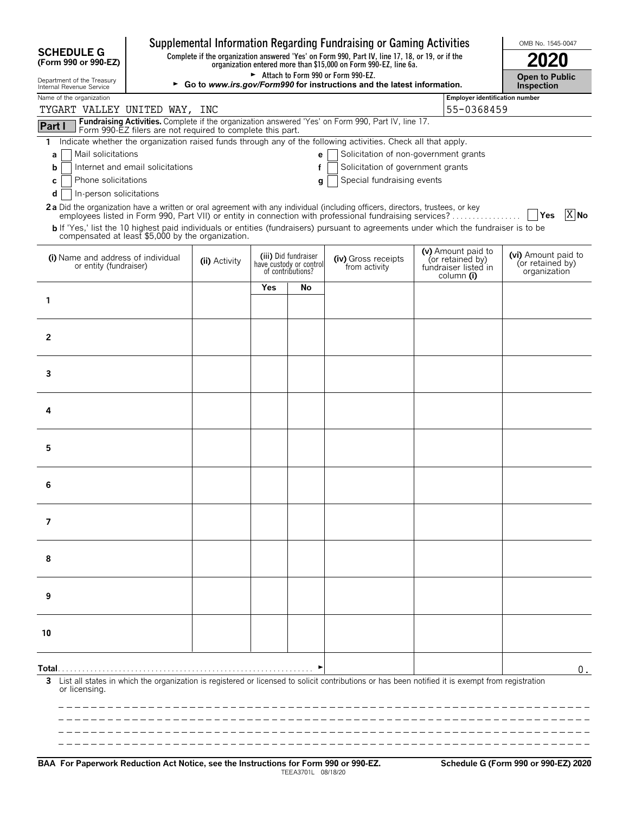| Supplemental Information Regarding Fundraising or Gaming Activities |                                                                                                                                                                          |               |     |                                                                      |                                                                                                                                                  |  |                                                                | OMB No. 1545-0047                                       |  |  |  |
|---------------------------------------------------------------------|--------------------------------------------------------------------------------------------------------------------------------------------------------------------------|---------------|-----|----------------------------------------------------------------------|--------------------------------------------------------------------------------------------------------------------------------------------------|--|----------------------------------------------------------------|---------------------------------------------------------|--|--|--|
| <b>SCHEDULE G</b><br>(Form 990 or 990-EZ)                           | Complete if the organization answered 'Yes' on Form 990, Part IV, line 17, 18, or 19, or if the organization entered more than \$15,000 on Form 990-EZ, line 6a.<br>2020 |               |     |                                                                      |                                                                                                                                                  |  |                                                                |                                                         |  |  |  |
| Department of the Treasury<br>Internal Revenue Service              | Attach to Form 990 or Form 990-EZ.<br><b>Open to Public</b><br>► Go to www.irs.gov/Form990 for instructions and the latest information.<br>Inspection                    |               |     |                                                                      |                                                                                                                                                  |  |                                                                |                                                         |  |  |  |
| Name of the organization<br>Employer identification number          |                                                                                                                                                                          |               |     |                                                                      |                                                                                                                                                  |  |                                                                |                                                         |  |  |  |
|                                                                     | 55-0368459<br>TYGART VALLEY UNITED WAY, INC<br>Fundraising Activities. Complete if the organization answered 'Yes' on Form 990, Part IV, line 17.                        |               |     |                                                                      |                                                                                                                                                  |  |                                                                |                                                         |  |  |  |
| Part I                                                              | Form 990-EZ filers are not required to complete this part.                                                                                                               |               |     |                                                                      |                                                                                                                                                  |  |                                                                |                                                         |  |  |  |
| 1.                                                                  |                                                                                                                                                                          |               |     |                                                                      | Indicate whether the organization raised funds through any of the following activities. Check all that apply.                                    |  |                                                                |                                                         |  |  |  |
| Mail solicitations<br>a                                             |                                                                                                                                                                          |               |     | e                                                                    | Solicitation of non-government grants                                                                                                            |  |                                                                |                                                         |  |  |  |
| b<br>Phone solicitations<br>C                                       | Internet and email solicitations                                                                                                                                         |               |     |                                                                      | Solicitation of government grants<br>Special fundraising events                                                                                  |  |                                                                |                                                         |  |  |  |
| In-person solicitations<br>d                                        |                                                                                                                                                                          |               |     | g                                                                    |                                                                                                                                                  |  |                                                                |                                                         |  |  |  |
|                                                                     |                                                                                                                                                                          |               |     |                                                                      | 2a Did the organization have a written or oral agreement with any individual (including officers, directors, trustees, or key                    |  |                                                                |                                                         |  |  |  |
|                                                                     |                                                                                                                                                                          |               |     |                                                                      | employees listed in Form 990, Part VII) or entity in connection with professional fundraising services?                                          |  |                                                                | X No<br>Yes                                             |  |  |  |
| compensated at least \$5,000 by the organization.                   |                                                                                                                                                                          |               |     |                                                                      | b If 'Yes,' list the 10 highest paid individuals or entities (fundraisers) pursuant to agreements under which the fundraiser is to be            |  |                                                                |                                                         |  |  |  |
| (i) Name and address of individual<br>or entity (fundraiser)        |                                                                                                                                                                          | (ii) Activity |     | (iii) Did fundraiser<br>have custody or control<br>of contributions? | (iv) Gross receipts<br>from activity                                                                                                             |  | (v) Amount paid to<br>(or retained by)<br>fundraiser listed in | (vi) Amount paid to<br>(or retained by)<br>organization |  |  |  |
|                                                                     |                                                                                                                                                                          |               | Yes | No                                                                   |                                                                                                                                                  |  | column (i)                                                     |                                                         |  |  |  |
| 1                                                                   |                                                                                                                                                                          |               |     |                                                                      |                                                                                                                                                  |  |                                                                |                                                         |  |  |  |
|                                                                     |                                                                                                                                                                          |               |     |                                                                      |                                                                                                                                                  |  |                                                                |                                                         |  |  |  |
| $\overline{2}$                                                      |                                                                                                                                                                          |               |     |                                                                      |                                                                                                                                                  |  |                                                                |                                                         |  |  |  |
|                                                                     |                                                                                                                                                                          |               |     |                                                                      |                                                                                                                                                  |  |                                                                |                                                         |  |  |  |
|                                                                     |                                                                                                                                                                          |               |     |                                                                      |                                                                                                                                                  |  |                                                                |                                                         |  |  |  |
| 3                                                                   |                                                                                                                                                                          |               |     |                                                                      |                                                                                                                                                  |  |                                                                |                                                         |  |  |  |
|                                                                     |                                                                                                                                                                          |               |     |                                                                      |                                                                                                                                                  |  |                                                                |                                                         |  |  |  |
| 4                                                                   |                                                                                                                                                                          |               |     |                                                                      |                                                                                                                                                  |  |                                                                |                                                         |  |  |  |
|                                                                     |                                                                                                                                                                          |               |     |                                                                      |                                                                                                                                                  |  |                                                                |                                                         |  |  |  |
|                                                                     |                                                                                                                                                                          |               |     |                                                                      |                                                                                                                                                  |  |                                                                |                                                         |  |  |  |
| 5                                                                   |                                                                                                                                                                          |               |     |                                                                      |                                                                                                                                                  |  |                                                                |                                                         |  |  |  |
|                                                                     |                                                                                                                                                                          |               |     |                                                                      |                                                                                                                                                  |  |                                                                |                                                         |  |  |  |
| 6                                                                   |                                                                                                                                                                          |               |     |                                                                      |                                                                                                                                                  |  |                                                                |                                                         |  |  |  |
|                                                                     |                                                                                                                                                                          |               |     |                                                                      |                                                                                                                                                  |  |                                                                |                                                         |  |  |  |
| 7                                                                   |                                                                                                                                                                          |               |     |                                                                      |                                                                                                                                                  |  |                                                                |                                                         |  |  |  |
|                                                                     |                                                                                                                                                                          |               |     |                                                                      |                                                                                                                                                  |  |                                                                |                                                         |  |  |  |
|                                                                     |                                                                                                                                                                          |               |     |                                                                      |                                                                                                                                                  |  |                                                                |                                                         |  |  |  |
| 8                                                                   |                                                                                                                                                                          |               |     |                                                                      |                                                                                                                                                  |  |                                                                |                                                         |  |  |  |
|                                                                     |                                                                                                                                                                          |               |     |                                                                      |                                                                                                                                                  |  |                                                                |                                                         |  |  |  |
| 9                                                                   |                                                                                                                                                                          |               |     |                                                                      |                                                                                                                                                  |  |                                                                |                                                         |  |  |  |
|                                                                     |                                                                                                                                                                          |               |     |                                                                      |                                                                                                                                                  |  |                                                                |                                                         |  |  |  |
|                                                                     |                                                                                                                                                                          |               |     |                                                                      |                                                                                                                                                  |  |                                                                |                                                         |  |  |  |
| 10                                                                  |                                                                                                                                                                          |               |     |                                                                      |                                                                                                                                                  |  |                                                                |                                                         |  |  |  |
|                                                                     |                                                                                                                                                                          |               |     |                                                                      |                                                                                                                                                  |  |                                                                |                                                         |  |  |  |
| Total…                                                              |                                                                                                                                                                          |               |     |                                                                      |                                                                                                                                                  |  |                                                                | 0.                                                      |  |  |  |
| 3<br>or licensing.                                                  |                                                                                                                                                                          |               |     |                                                                      | List all states in which the organization is registered or licensed to solicit contributions or has been notified it is exempt from registration |  |                                                                |                                                         |  |  |  |
|                                                                     |                                                                                                                                                                          |               |     |                                                                      |                                                                                                                                                  |  |                                                                |                                                         |  |  |  |
|                                                                     |                                                                                                                                                                          |               |     |                                                                      |                                                                                                                                                  |  |                                                                |                                                         |  |  |  |
|                                                                     |                                                                                                                                                                          |               |     |                                                                      |                                                                                                                                                  |  |                                                                |                                                         |  |  |  |
|                                                                     |                                                                                                                                                                          |               |     |                                                                      |                                                                                                                                                  |  |                                                                |                                                         |  |  |  |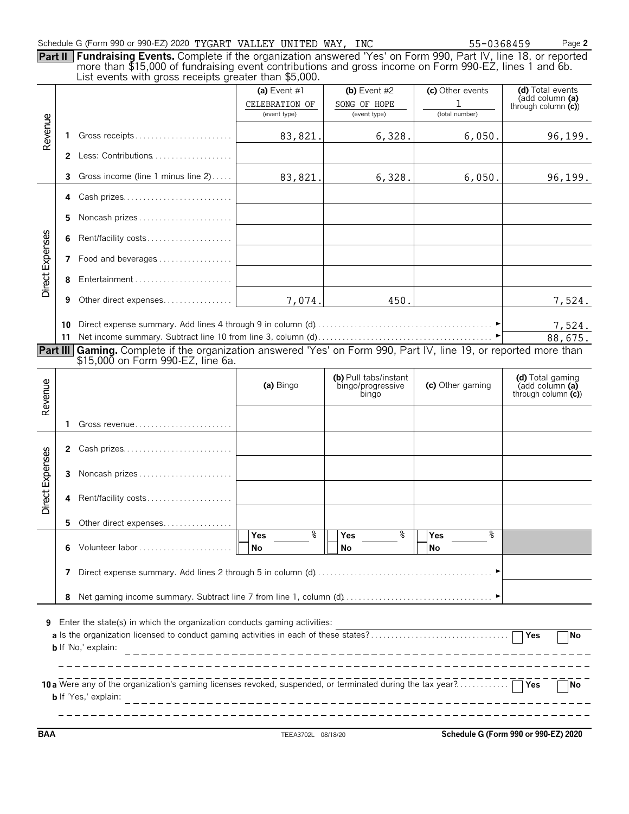## Schedule G (Form 990 or 990-EZ) 2020 TYGART VALLEY UNITED WAY, INC 55-0368459 Page 2

| Part II Fundraising Events. Complete if the organization answered 'Yes' on Form 990, Part IV, line 18, or reported |
|--------------------------------------------------------------------------------------------------------------------|
| more than \$15,000 of fundraising event contributions and gross income on Form 990-EZ, lines 1 and 6b.             |
| List events with gross receipts greater than \$5,000.                                                              |

|                                                                                                                                                 |              | $\blacksquare$ be overled with gross receipts groater than $\psi$ s,000.                                 | (a) Event $#1$<br>CELEBRATION OF<br>(event type) | (b) Event $#2$<br>SONG OF HOPE<br>(event type) | (c) Other events<br>(total number) | (d) Total events<br>(add column (a)<br>through column $(c)$ |  |  |
|-------------------------------------------------------------------------------------------------------------------------------------------------|--------------|----------------------------------------------------------------------------------------------------------|--------------------------------------------------|------------------------------------------------|------------------------------------|-------------------------------------------------------------|--|--|
| Revenue                                                                                                                                         | 1            | Gross receipts                                                                                           | 83,821.                                          | 6,328.                                         | 6,050.                             | 96,199.                                                     |  |  |
|                                                                                                                                                 |              | 2 Less: Contributions                                                                                    |                                                  |                                                |                                    |                                                             |  |  |
|                                                                                                                                                 | 3.           | Gross income (line 1 minus line 2)                                                                       | 83,821.                                          | 6,328.                                         | 6,050.                             | 96,199.                                                     |  |  |
|                                                                                                                                                 | 4            | Cash prizes                                                                                              |                                                  |                                                |                                    |                                                             |  |  |
|                                                                                                                                                 | 5            | Noncash prizes                                                                                           |                                                  |                                                |                                    |                                                             |  |  |
|                                                                                                                                                 | 6            | Rent/facility costs                                                                                      |                                                  |                                                |                                    |                                                             |  |  |
| Direct Expenses                                                                                                                                 | 7            | Food and beverages                                                                                       |                                                  |                                                |                                    |                                                             |  |  |
|                                                                                                                                                 | 8            | Entertainment                                                                                            |                                                  |                                                |                                    |                                                             |  |  |
|                                                                                                                                                 | 9            | Other direct expenses                                                                                    | 7,074.                                           | 450.                                           |                                    | 7,524.                                                      |  |  |
|                                                                                                                                                 | 10<br>11     |                                                                                                          |                                                  |                                                |                                    | 7,524.<br>88,675.                                           |  |  |
| Part III                                                                                                                                        |              | Gaming. Complete if the organization answered 'Yes' on Form 990, Part IV, line 19, or reported more than |                                                  |                                                |                                    |                                                             |  |  |
|                                                                                                                                                 |              | \$15,000 on Form 990-EZ, line 6a.                                                                        |                                                  | (b) Pull tabs/instant                          |                                    | (d) Total gaming                                            |  |  |
| Revenue                                                                                                                                         |              |                                                                                                          | (a) Bingo                                        | bingo/progressive<br>bingo                     | (c) Other gaming                   | (add column (a)<br>through column $(c)$                     |  |  |
|                                                                                                                                                 | 1            |                                                                                                          |                                                  |                                                |                                    |                                                             |  |  |
|                                                                                                                                                 | $\mathbf{2}$ | Cash prizes                                                                                              |                                                  |                                                |                                    |                                                             |  |  |
|                                                                                                                                                 |              | 3 Noncash prizes                                                                                         |                                                  |                                                |                                    |                                                             |  |  |
| Direct Expenses                                                                                                                                 | 4            | Rent/facility costs                                                                                      |                                                  |                                                |                                    |                                                             |  |  |
|                                                                                                                                                 | 5.           | Other direct expenses                                                                                    |                                                  |                                                |                                    |                                                             |  |  |
|                                                                                                                                                 | 6            | Volunteer labor                                                                                          | %<br>Yes<br>No                                   | န့<br><b>Yes</b><br>No                         | နွ<br><b>Yes</b><br>No             |                                                             |  |  |
|                                                                                                                                                 | 7            |                                                                                                          |                                                  |                                                |                                    |                                                             |  |  |
|                                                                                                                                                 | 8            |                                                                                                          |                                                  |                                                |                                    |                                                             |  |  |
| Enter the state(s) in which the organization conducts gaming activities:<br>9<br>No<br><b>b</b> If 'No,' explain:                               |              |                                                                                                          |                                                  |                                                |                                    |                                                             |  |  |
| 10 a Were any of the organization's gaming licenses revoked, suspended, or terminated during the tax year?<br>No<br><b>b</b> If 'Yes,' explain: |              |                                                                                                          |                                                  |                                                |                                    |                                                             |  |  |

**BAA** TEEA3702L 08/18/20 **Schedule G (Form 990 or 990-EZ) 2020**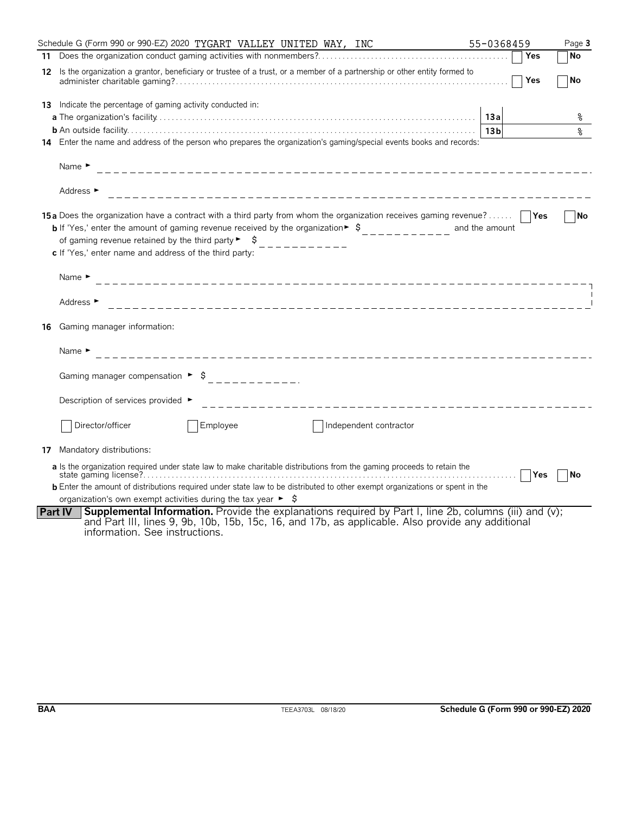|    | Schedule G (Form 990 or 990-EZ) 2020 TYGART VALLEY UNITED WAY, INC                                                                                                                                                                                                                                                                                                                                    | 55-0368459      | Page 3    |
|----|-------------------------------------------------------------------------------------------------------------------------------------------------------------------------------------------------------------------------------------------------------------------------------------------------------------------------------------------------------------------------------------------------------|-----------------|-----------|
|    |                                                                                                                                                                                                                                                                                                                                                                                                       | Yes             | No        |
| 12 | Is the organization a grantor, beneficiary or trustee of a trust, or a member of a partnership or other entity formed to                                                                                                                                                                                                                                                                              | Yes             | No        |
| 13 | Indicate the percentage of gaming activity conducted in:                                                                                                                                                                                                                                                                                                                                              | 13a             | ႜ         |
|    |                                                                                                                                                                                                                                                                                                                                                                                                       | 13 <sub>b</sub> | နွ        |
|    | 14 Enter the name and address of the person who prepares the organization's gaming/special events books and records:                                                                                                                                                                                                                                                                                  |                 |           |
|    | Name $\blacktriangleright$                                                                                                                                                                                                                                                                                                                                                                            |                 |           |
|    | Address ►<br>_______________________________                                                                                                                                                                                                                                                                                                                                                          |                 |           |
|    | 15a Does the organization have a contract with a third party from whom the organization receives gaming revenue?<br><b>b</b> If 'Yes,' enter the amount of gaming revenue received by the organization $\ast$ $\uparrow$<br>of gaming revenue retained by the third party $\blacktriangleright$ $\blacktriangleright$ $\blacktriangleright$<br>c If 'Yes,' enter name and address of the third party: | and the amount  | No        |
|    | Name $\blacktriangleright$                                                                                                                                                                                                                                                                                                                                                                            |                 |           |
|    | Address $\blacktriangleright$                                                                                                                                                                                                                                                                                                                                                                         |                 |           |
| 16 | Gaming manager information:                                                                                                                                                                                                                                                                                                                                                                           |                 |           |
|    | Name $\blacktriangleright$                                                                                                                                                                                                                                                                                                                                                                            |                 |           |
|    | Gaming manager compensation $\rightarrow$ \$<br>------------                                                                                                                                                                                                                                                                                                                                          |                 |           |
|    | Description of services provided ►<br>_____________________________________                                                                                                                                                                                                                                                                                                                           |                 |           |
|    | Director/officer<br>Employee<br>Independent contractor                                                                                                                                                                                                                                                                                                                                                |                 |           |
| 17 | Mandatory distributions:                                                                                                                                                                                                                                                                                                                                                                              |                 |           |
|    | a Is the organization required under state law to make charitable distributions from the gaming proceeds to retain the                                                                                                                                                                                                                                                                                | <b>Yes</b><br>. | <b>No</b> |
|    | <b>b</b> Enter the amount of distributions required under state law to be distributed to other exempt organizations or spent in the                                                                                                                                                                                                                                                                   |                 |           |
|    | organization's own exempt activities during the tax year $\blacktriangleright$ $\blacktriangleright$                                                                                                                                                                                                                                                                                                  |                 |           |
|    | Supplemental Information. Provide the explanations required by Part I, line 2b, columns (iii) and (v);<br>Part IV<br>and Part III, lines 9, 9b, 10b, 15b, 15c, 16, and 17b, as applicable. Also provide any additional<br>information. See instructions.                                                                                                                                              |                 |           |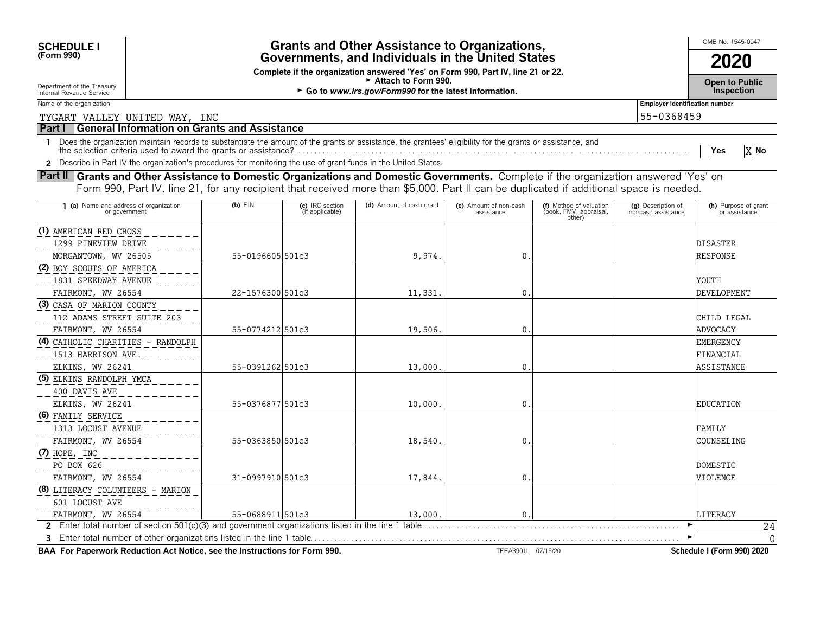| <b>SCHEDULE I</b> |  |
|-------------------|--|
| (Form 990)        |  |

## **OMB No. 1545-0047 Grants and Other Assistance to Organizations, And Development COMB No. 1545-0047 (Form 990) Governments, and Individuals in the United States 2020**

**Complete if the organization answered 'Yes' on Form 990, Part IV, line 21 or 22.**

Department of the Treasury **Contract of the Treasury and Contract of the Treasury of the Treasury of the Treasury of the Treasury of the Treasury of the Treasury of the Treasury of the Treasury of the Treasury of the Treas** 

Internal Revenue Service G **Go to** *www.irs.gov/Form990* **for the latest information***.* **Inspection**

Name of the organization **Employer identification number** 

TYGART VALLEY UNITED WAY, INC 55-0368459

## **Part I General Information on Grants and Assistance**

1 Does the organization maintain records to substantiate the amount of the grants or assistance, the grantees' eligibility for the grants or assistance, and<br>the selection criteria used to award the grants or assistance?.

**2** Describe in Part IV the organization's procedures for monitoring the use of grant funds in the United States.

**Part II** Grants and Other Assistance to Domestic Organizations and Domestic Governments. Complete if the organization answered 'Yes' on Form 990, Part IV, line 21, for any recipient that received more than \$5,000. Part II can be duplicated if additional space is needed.

| 1 (a) Name and address of organization<br>or government                    | $(b)$ $E$ IN     | (c) IRC section<br>(if applicable) | (d) Amount of cash grant | (e) Amount of non-cash<br>assistance | (f) Method of valuation<br>(book, FMV, appraisal,<br>other) | (g) Description of<br>noncash assistance | (h) Purpose of grant<br>or assistance |
|----------------------------------------------------------------------------|------------------|------------------------------------|--------------------------|--------------------------------------|-------------------------------------------------------------|------------------------------------------|---------------------------------------|
| (1) AMERICAN RED CROSS                                                     |                  |                                    |                          |                                      |                                                             |                                          |                                       |
| 1299 PINEVIEW DRIVE                                                        |                  |                                    |                          |                                      |                                                             |                                          | <b>DISASTER</b>                       |
| MORGANTOWN, WV 26505                                                       | 55-0196605 501c3 |                                    | 9,974.                   | 0.                                   |                                                             |                                          | <b>RESPONSE</b>                       |
| (2) BOY SCOUTS OF AMERICA                                                  |                  |                                    |                          |                                      |                                                             |                                          |                                       |
| 1831 SPEEDWAY AVENUE                                                       |                  |                                    |                          |                                      |                                                             |                                          | YOUTH                                 |
| FAIRMONT, WV 26554                                                         | 22-1576300 501c3 |                                    | 11,331.                  | $\mathbf{0}$ .                       |                                                             |                                          | <b>DEVELOPMENT</b>                    |
| (3) CASA OF MARION COUNTY                                                  |                  |                                    |                          |                                      |                                                             |                                          |                                       |
| 112 ADAMS STREET SUITE 203                                                 |                  |                                    |                          |                                      |                                                             |                                          | CHILD LEGAL                           |
| FAIRMONT, WV 26554                                                         | 55-0774212 501c3 |                                    | 19,506.                  | 0.                                   |                                                             |                                          | <b>ADVOCACY</b>                       |
| (4) CATHOLIC CHARITIES - RANDOLPH                                          |                  |                                    |                          |                                      |                                                             |                                          | <b>EMERGENCY</b>                      |
| 1513 HARRISON AVE.                                                         |                  |                                    |                          |                                      |                                                             |                                          | FINANCIAL                             |
| ELKINS, WV 26241                                                           | 55-0391262501c3  |                                    | 13,000.                  | $0$ .                                |                                                             |                                          | <b>ASSISTANCE</b>                     |
| (5) ELKINS RANDOLPH YMCA                                                   |                  |                                    |                          |                                      |                                                             |                                          |                                       |
| 400 DAVIS AVE                                                              |                  |                                    |                          |                                      |                                                             |                                          |                                       |
| ELKINS, WV 26241                                                           | 55-0376877 501c3 |                                    | 10,000                   | $\Omega$ .                           |                                                             |                                          | <b>EDUCATION</b>                      |
| (6) FAMILY SERVICE                                                         |                  |                                    |                          |                                      |                                                             |                                          |                                       |
| 1313 LOCUST AVENUE                                                         |                  |                                    |                          |                                      |                                                             |                                          | <b>FAMILY</b>                         |
| FAIRMONT, WV 26554                                                         | 55-0363850 501c3 |                                    | 18,540.                  | $0$ .                                |                                                             |                                          | COUNSELING                            |
| $(7)$ HOPE, INC                                                            |                  |                                    |                          |                                      |                                                             |                                          |                                       |
| PO BOX 626                                                                 |                  |                                    |                          |                                      |                                                             |                                          | DOMESTIC                              |
| FAIRMONT, WV 26554                                                         | 31-0997910 501c3 |                                    | 17,844                   | $\overline{0}$ .                     |                                                             |                                          | VIOLENCE                              |
| (8) LITERACY COLUNTEERS - MARION                                           |                  |                                    |                          |                                      |                                                             |                                          |                                       |
| 601 LOCUST AVE                                                             |                  |                                    |                          |                                      |                                                             |                                          |                                       |
| FAIRMONT, WV 26554                                                         | 55-0688911501c3  |                                    | 13,000.                  | $\overline{0}$ .                     |                                                             |                                          | LITERACY                              |
|                                                                            |                  |                                    |                          |                                      |                                                             |                                          | 24                                    |
| 3 Enter total number of other organizations listed in the line 1 table.    |                  |                                    |                          |                                      |                                                             |                                          |                                       |
| BAA For Paperwork Reduction Act Notice, see the Instructions for Form 990. |                  |                                    |                          | TEEA3901L 07/15/20                   |                                                             |                                          | Schedule I (Form 990) 2020            |

X<sub>No</sub>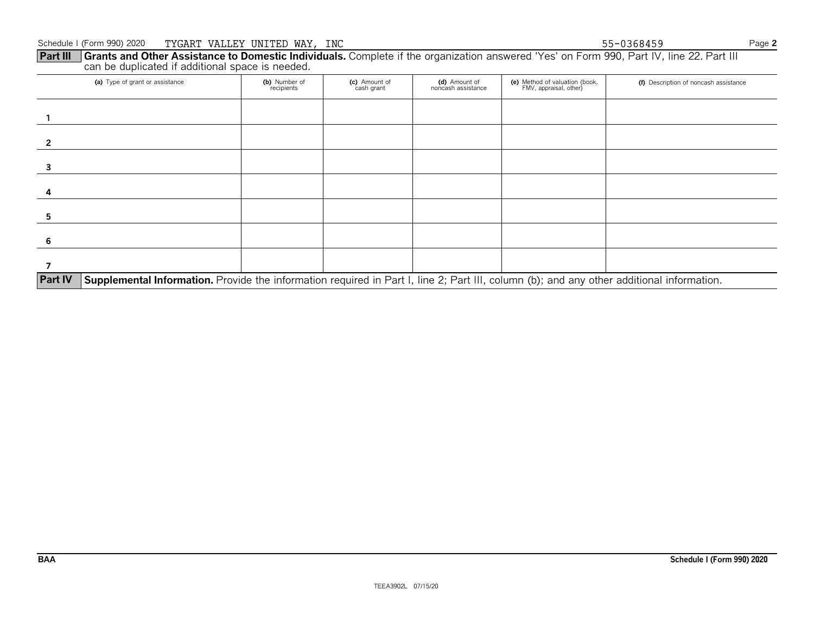## **Part III Grants and Other Assistance to Domestic Individuals.** Complete if the organization answered 'Yes' on Form 990, Part IV, line 22. Part III can be duplicated if additional space is needed.

| (a) Type of grant or assistance                                                                                                                             | (b) Number of<br>recipients | (c) Amount of<br>cash grant | (d) Amount of<br>noncash assistance | (e) Method of valuation (book,<br>FMV, appraisal, other) | (f) Description of noncash assistance |  |  |  |  |
|-------------------------------------------------------------------------------------------------------------------------------------------------------------|-----------------------------|-----------------------------|-------------------------------------|----------------------------------------------------------|---------------------------------------|--|--|--|--|
|                                                                                                                                                             |                             |                             |                                     |                                                          |                                       |  |  |  |  |
|                                                                                                                                                             |                             |                             |                                     |                                                          |                                       |  |  |  |  |
|                                                                                                                                                             |                             |                             |                                     |                                                          |                                       |  |  |  |  |
|                                                                                                                                                             |                             |                             |                                     |                                                          |                                       |  |  |  |  |
|                                                                                                                                                             |                             |                             |                                     |                                                          |                                       |  |  |  |  |
| 6                                                                                                                                                           |                             |                             |                                     |                                                          |                                       |  |  |  |  |
|                                                                                                                                                             |                             |                             |                                     |                                                          |                                       |  |  |  |  |
| <b>Part IV</b><br>Supplemental Information. Provide the information required in Part I, line 2; Part III, column (b); and any other additional information. |                             |                             |                                     |                                                          |                                       |  |  |  |  |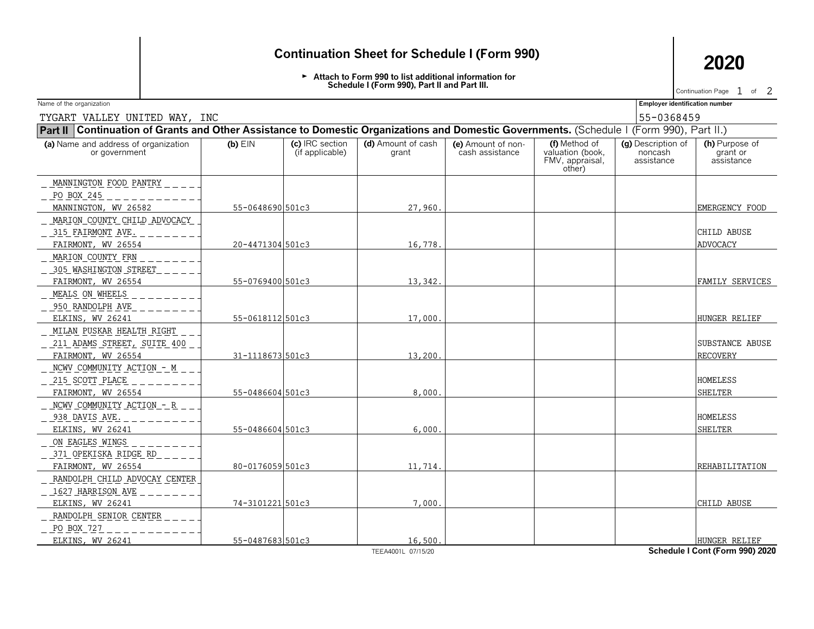## **Continuation Sheet for Schedule I (Form 990) 2020**

Attach to Form 990 to list additional information for **Schedule I (Form 990), Part II and Part III.**

Continuation Page  $1$  of  $2$ 

Name of the organization **Employer identification number Employer identification number** 

| TYGART VALLEY UNITED WAY, INC                                                                                                             |                  | 55-0368459                         |                               |                                       |                                                                |                                             |                                           |  |  |  |
|-------------------------------------------------------------------------------------------------------------------------------------------|------------------|------------------------------------|-------------------------------|---------------------------------------|----------------------------------------------------------------|---------------------------------------------|-------------------------------------------|--|--|--|
| Part II Continuation of Grants and Other Assistance to Domestic Organizations and Domestic Governments. (Schedule I (Form 990), Part II.) |                  |                                    |                               |                                       |                                                                |                                             |                                           |  |  |  |
| (a) Name and address of organization<br>or government                                                                                     | $(b)$ $EIN$      | (c) IRC section<br>(if applicable) | $(d)$ Amount of cash<br>grant | (e) Amount of non-<br>cash assistance | (f) Method of<br>valuation (book,<br>FMV, appraisal,<br>other) | (g) Description of<br>noncash<br>assistance | (h) Purpose of<br>grant or<br>assistance  |  |  |  |
| MANNINGTON FOOD PANTRY<br>PO BOX 245                                                                                                      |                  |                                    |                               |                                       |                                                                |                                             |                                           |  |  |  |
| MANNINGTON, WV 26582                                                                                                                      | 55-0648690 501c3 |                                    | 27,960.                       |                                       |                                                                |                                             | EMERGENCY FOOD                            |  |  |  |
| MARION COUNTY CHILD ADVOCACY<br>315 FAIRMONT AVE.<br>FAIRMONT, WV 26554                                                                   | 20-4471304 501c3 |                                    | 16,778.                       |                                       |                                                                |                                             | <b>CHILD ABUSE</b><br><b>ADVOCACY</b>     |  |  |  |
| MARION COUNTY FRN<br>_ 305 WASHINGTON STREET<br>FAIRMONT, WV 26554                                                                        | 55-0769400 501c3 |                                    | 13,342.                       |                                       |                                                                |                                             | FAMILY SERVICES                           |  |  |  |
| MEALS ON WHEELS<br>950 RANDOLPH AVE<br>ELKINS, WV 26241                                                                                   | 55-0618112 501c3 |                                    | 17,000.                       |                                       |                                                                |                                             | HUNGER RELIEF                             |  |  |  |
| MILAN PUSKAR HEALTH RIGHT<br>211 ADAMS STREET, SUITE 400<br>FAIRMONT, WV 26554                                                            | 31-1118673 501c3 |                                    | 13,200.                       |                                       |                                                                |                                             | <b>SUBSTANCE ABUSE</b><br><b>RECOVERY</b> |  |  |  |
| NCWV COMMUNITY ACTION - M<br>215 SCOTT PLACE<br>FAIRMONT, WV 26554                                                                        | 55-0486604 501c3 |                                    | 8,000.                        |                                       |                                                                |                                             | <b>HOMELESS</b><br><b>SHELTER</b>         |  |  |  |
| NCWV COMMUNITY ACTION - R<br>938 DAVIS AVE.<br>ELKINS, WV 26241                                                                           | 55-0486604 501c3 |                                    | 6,000.                        |                                       |                                                                |                                             | HOMELESS<br><b>SHELTER</b>                |  |  |  |
| ON EAGLES WINGS<br>371 OPEKISKA RIDGE RD<br>FAIRMONT, WV 26554                                                                            | 80-0176059 501c3 |                                    | 11,714.                       |                                       |                                                                |                                             | REHABILITATION                            |  |  |  |
| RANDOLPH CHILD ADVOCAY CENTER<br>1627 HARRISON AVE                                                                                        |                  |                                    |                               |                                       |                                                                |                                             |                                           |  |  |  |
| ELKINS, WV 26241<br>RANDOLPH SENIOR CENTER<br>PO BOX 727                                                                                  | 74-3101221501c3  |                                    | 7,000.                        |                                       |                                                                |                                             | <b>CHILD ABUSE</b>                        |  |  |  |
| ELKINS, WV 26241                                                                                                                          | 55-0487683 501c3 |                                    | 16,500.                       |                                       |                                                                |                                             | HUNGER RELIEF                             |  |  |  |

TEEA4001L 07/15/20 **Schedule I Cont (Form 990) 2020**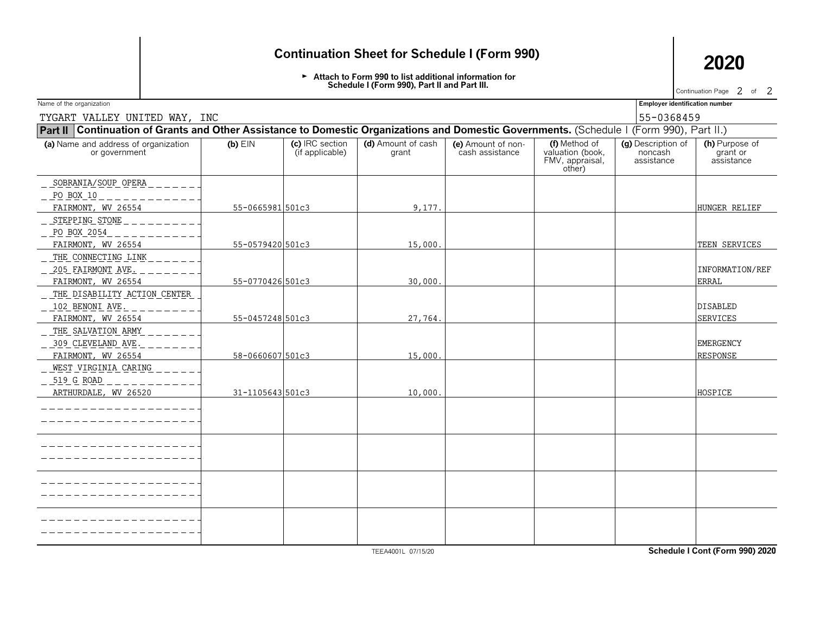## **Continuation Sheet for Schedule I (Form 990) 2020**

Attach to Form 990 to list additional information for **Schedule I (Form 990), Part II and Part III.**

Continuation Page  $2$  of  $2$ 

Name of the organization **Employer identification number Employer identification number** 

TYGART VALLEY UNITED WAY, INC 55-0368459

| Part II Continuation of Grants and Other Assistance to Domestic Organizations and Domestic Governments. (Schedule I (Form 990), Part II.) |                  |                                    |                             |                                       |                                                                |                                             |                                          |  |  |  |
|-------------------------------------------------------------------------------------------------------------------------------------------|------------------|------------------------------------|-----------------------------|---------------------------------------|----------------------------------------------------------------|---------------------------------------------|------------------------------------------|--|--|--|
| (a) Name and address of organization<br>or government                                                                                     | $(b)$ EIN        | (c) IRC section<br>(if applicable) | (d) Amount of cash<br>grant | (e) Amount of non-<br>cash assistance | (f) Method of<br>valuation (book,<br>FMV, appraisal,<br>other) | (g) Description of<br>noncash<br>assistance | (h) Purpose of<br>grant or<br>assistance |  |  |  |
| SOBRANIA/SOUP OPERA                                                                                                                       |                  |                                    |                             |                                       |                                                                |                                             |                                          |  |  |  |
| $PQ BQX_10$                                                                                                                               |                  |                                    |                             |                                       |                                                                |                                             |                                          |  |  |  |
| FAIRMONT, WV 26554                                                                                                                        | 55-0665981 501c3 |                                    | 9,177.                      |                                       |                                                                |                                             | HUNGER RELIEF                            |  |  |  |
| _ STEPPING STONE                                                                                                                          |                  |                                    |                             |                                       |                                                                |                                             |                                          |  |  |  |
| _ PO BOX 2054                                                                                                                             |                  |                                    |                             |                                       |                                                                |                                             |                                          |  |  |  |
| FAIRMONT, WV 26554                                                                                                                        | 55-0579420 501c3 |                                    | 15,000.                     |                                       |                                                                |                                             | TEEN SERVICES                            |  |  |  |
| THE CONNECTING LINK                                                                                                                       |                  |                                    |                             |                                       |                                                                |                                             |                                          |  |  |  |
| _ 205 FAIRMONT AVE.                                                                                                                       |                  |                                    |                             |                                       |                                                                |                                             | INFORMATION/REF                          |  |  |  |
| FAIRMONT, WV 26554                                                                                                                        | 55-0770426 501c3 |                                    | 30,000.                     |                                       |                                                                |                                             | <b>ERRAL</b>                             |  |  |  |
| THE DISABILITY ACTION CENTER                                                                                                              |                  |                                    |                             |                                       |                                                                |                                             |                                          |  |  |  |
| 102 BENONI AVE.                                                                                                                           |                  |                                    |                             |                                       |                                                                |                                             | <b>DISABLED</b>                          |  |  |  |
| FAIRMONT, WV 26554                                                                                                                        | 55-0457248 501c3 |                                    | 27,764.                     |                                       |                                                                |                                             | <b>SERVICES</b>                          |  |  |  |
| THE SALVATION ARMY                                                                                                                        |                  |                                    |                             |                                       |                                                                |                                             |                                          |  |  |  |
| <u>_ 309 CLEVELAND AVE.</u>                                                                                                               |                  |                                    |                             |                                       |                                                                |                                             | <b>EMERGENCY</b>                         |  |  |  |
| FAIRMONT, WV 26554                                                                                                                        | 58-0660607 501c3 |                                    | 15,000.                     |                                       |                                                                |                                             | <b>RESPONSE</b>                          |  |  |  |
| WEST VIRGINIA CARING                                                                                                                      |                  |                                    |                             |                                       |                                                                |                                             |                                          |  |  |  |
| _ 519 G ROAD                                                                                                                              |                  |                                    |                             |                                       |                                                                |                                             |                                          |  |  |  |
| ARTHURDALE, WV 26520                                                                                                                      | 31-1105643 501c3 |                                    | 10,000                      |                                       |                                                                |                                             | HOSPICE                                  |  |  |  |
|                                                                                                                                           |                  |                                    |                             |                                       |                                                                |                                             |                                          |  |  |  |
|                                                                                                                                           |                  |                                    |                             |                                       |                                                                |                                             |                                          |  |  |  |
|                                                                                                                                           |                  |                                    |                             |                                       |                                                                |                                             |                                          |  |  |  |
|                                                                                                                                           |                  |                                    |                             |                                       |                                                                |                                             |                                          |  |  |  |
|                                                                                                                                           |                  |                                    |                             |                                       |                                                                |                                             |                                          |  |  |  |
|                                                                                                                                           |                  |                                    |                             |                                       |                                                                |                                             |                                          |  |  |  |
|                                                                                                                                           |                  |                                    |                             |                                       |                                                                |                                             |                                          |  |  |  |
|                                                                                                                                           |                  |                                    |                             |                                       |                                                                |                                             |                                          |  |  |  |

TEEA4001L 07/15/20 **Schedule I Cont (Form 990) 2020**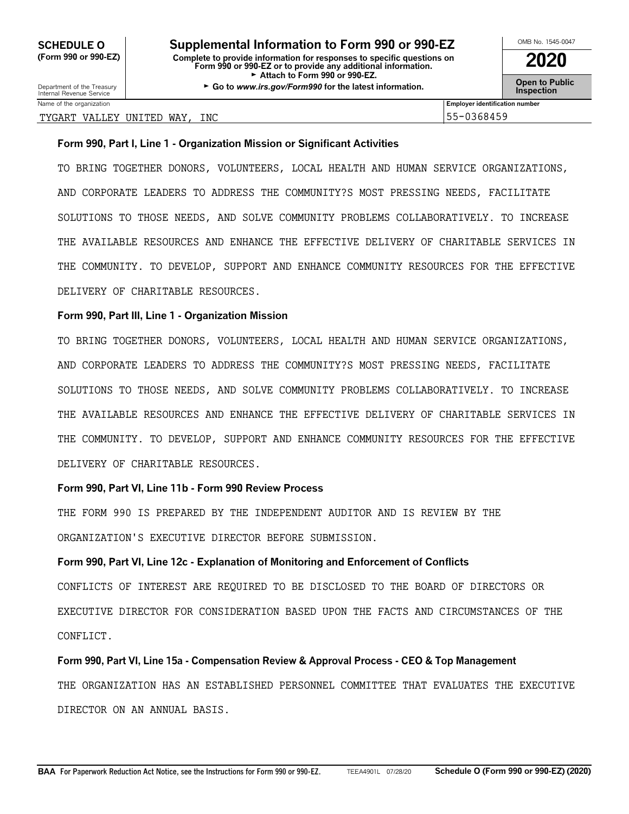Department of the Treasury **Constant Comment of the Collaboration Constant Constant Comment Constant Constant Constant Constant Constant Constant Constant Constant Constant Constant Constant Constant Constant Constant C** 

## TYGART VALLEY UNITED WAY, INC 55-0368459

Name of the organization **Employer identification number Employer identification number** 

## **Form 990, Part I, Line 1 - Organization Mission or Significant Activities**

TO BRING TOGETHER DONORS, VOLUNTEERS, LOCAL HEALTH AND HUMAN SERVICE ORGANIZATIONS, AND CORPORATE LEADERS TO ADDRESS THE COMMUNITY?S MOST PRESSING NEEDS, FACILITATE SOLUTIONS TO THOSE NEEDS, AND SOLVE COMMUNITY PROBLEMS COLLABORATIVELY. TO INCREASE THE AVAILABLE RESOURCES AND ENHANCE THE EFFECTIVE DELIVERY OF CHARITABLE SERVICES IN THE COMMUNITY. TO DEVELOP, SUPPORT AND ENHANCE COMMUNITY RESOURCES FOR THE EFFECTIVE DELIVERY OF CHARITABLE RESOURCES.

## **Form 990, Part III, Line 1 - Organization Mission**

TO BRING TOGETHER DONORS, VOLUNTEERS, LOCAL HEALTH AND HUMAN SERVICE ORGANIZATIONS, AND CORPORATE LEADERS TO ADDRESS THE COMMUNITY?S MOST PRESSING NEEDS, FACILITATE SOLUTIONS TO THOSE NEEDS, AND SOLVE COMMUNITY PROBLEMS COLLABORATIVELY. TO INCREASE THE AVAILABLE RESOURCES AND ENHANCE THE EFFECTIVE DELIVERY OF CHARITABLE SERVICES IN THE COMMUNITY. TO DEVELOP, SUPPORT AND ENHANCE COMMUNITY RESOURCES FOR THE EFFECTIVE DELIVERY OF CHARITABLE RESOURCES.

## **Form 990, Part VI, Line 11b - Form 990 Review Process**

THE FORM 990 IS PREPARED BY THE INDEPENDENT AUDITOR AND IS REVIEW BY THE ORGANIZATION'S EXECUTIVE DIRECTOR BEFORE SUBMISSION.

## **Form 990, Part VI, Line 12c - Explanation of Monitoring and Enforcement of Conflicts**

CONFLICTS OF INTEREST ARE REQUIRED TO BE DISCLOSED TO THE BOARD OF DIRECTORS OR EXECUTIVE DIRECTOR FOR CONSIDERATION BASED UPON THE FACTS AND CIRCUMSTANCES OF THE CONFLICT.

**Form 990, Part VI, Line 15a - Compensation Review & Approval Process - CEO & Top Management** THE ORGANIZATION HAS AN ESTABLISHED PERSONNEL COMMITTEE THAT EVALUATES THE EXECUTIVE DIRECTOR ON AN ANNUAL BASIS.